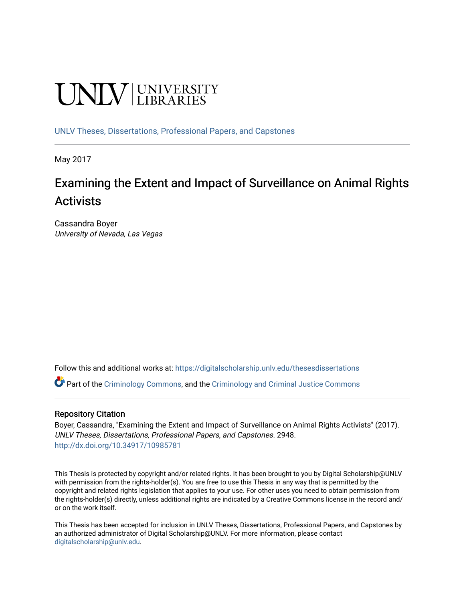# **UNIVERSITY**

[UNLV Theses, Dissertations, Professional Papers, and Capstones](https://digitalscholarship.unlv.edu/thesesdissertations)

May 2017

## Examining the Extent and Impact of Surveillance on Animal Rights Activists

Cassandra Boyer University of Nevada, Las Vegas

Follow this and additional works at: [https://digitalscholarship.unlv.edu/thesesdissertations](https://digitalscholarship.unlv.edu/thesesdissertations?utm_source=digitalscholarship.unlv.edu%2Fthesesdissertations%2F2948&utm_medium=PDF&utm_campaign=PDFCoverPages)

Part of the [Criminology Commons](http://network.bepress.com/hgg/discipline/417?utm_source=digitalscholarship.unlv.edu%2Fthesesdissertations%2F2948&utm_medium=PDF&utm_campaign=PDFCoverPages), and the [Criminology and Criminal Justice Commons](http://network.bepress.com/hgg/discipline/367?utm_source=digitalscholarship.unlv.edu%2Fthesesdissertations%2F2948&utm_medium=PDF&utm_campaign=PDFCoverPages)

#### Repository Citation

Boyer, Cassandra, "Examining the Extent and Impact of Surveillance on Animal Rights Activists" (2017). UNLV Theses, Dissertations, Professional Papers, and Capstones. 2948. <http://dx.doi.org/10.34917/10985781>

This Thesis is protected by copyright and/or related rights. It has been brought to you by Digital Scholarship@UNLV with permission from the rights-holder(s). You are free to use this Thesis in any way that is permitted by the copyright and related rights legislation that applies to your use. For other uses you need to obtain permission from the rights-holder(s) directly, unless additional rights are indicated by a Creative Commons license in the record and/ or on the work itself.

This Thesis has been accepted for inclusion in UNLV Theses, Dissertations, Professional Papers, and Capstones by an authorized administrator of Digital Scholarship@UNLV. For more information, please contact [digitalscholarship@unlv.edu](mailto:digitalscholarship@unlv.edu).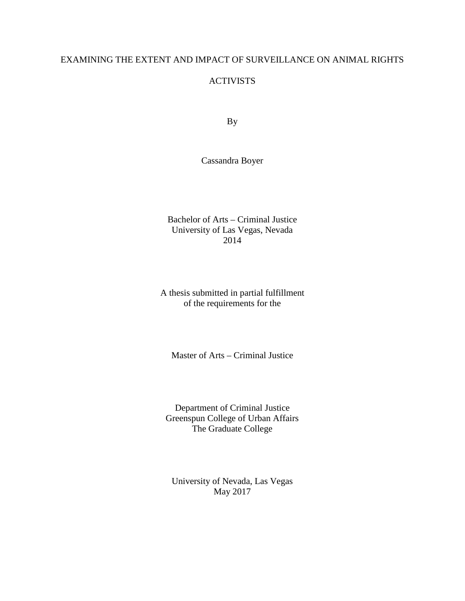#### EXAMINING THE EXTENT AND IMPACT OF SURVEILLANCE ON ANIMAL RIGHTS

#### **ACTIVISTS**

By

Cassandra Boyer

Bachelor of Arts – Criminal Justice University of Las Vegas, Nevada 2014

A thesis submitted in partial fulfillment of the requirements for the

Master of Arts – Criminal Justice

Department of Criminal Justice Greenspun College of Urban Affairs The Graduate College

University of Nevada, Las Vegas May 2017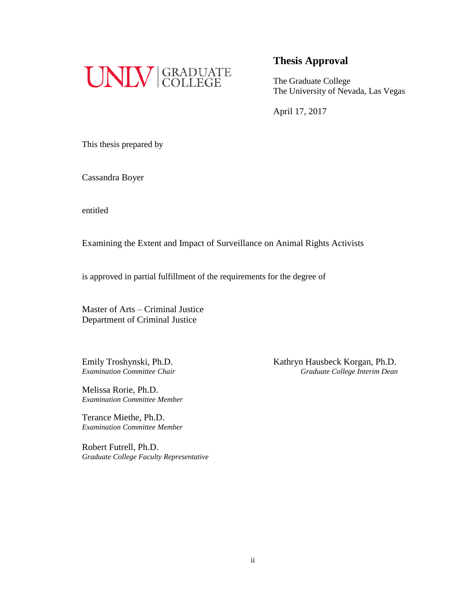

The Graduate College The University of Nevada, Las Vegas

April 17, 2017

This thesis prepared by

Cassandra Boyer

entitled

Examining the Extent and Impact of Surveillance on Animal Rights Activists

is approved in partial fulfillment of the requirements for the degree of

Master of Arts – Criminal Justice Department of Criminal Justice

Melissa Rorie, Ph.D. *Examination Committee Member*

Terance Miethe, Ph.D. *Examination Committee Member*

Robert Futrell, Ph.D. *Graduate College Faculty Representative*

Emily Troshynski, Ph.D.<br>
Examination Committee Chair<br>
Graduate College Interim Dean *Examination Committee Chair Graduate College Interim Dean*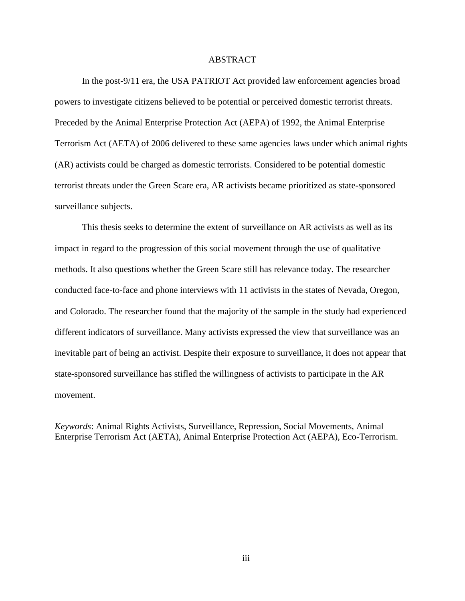#### ABSTRACT

In the post-9/11 era, the USA PATRIOT Act provided law enforcement agencies broad powers to investigate citizens believed to be potential or perceived domestic terrorist threats. Preceded by the Animal Enterprise Protection Act (AEPA) of 1992, the Animal Enterprise Terrorism Act (AETA) of 2006 delivered to these same agencies laws under which animal rights (AR) activists could be charged as domestic terrorists. Considered to be potential domestic terrorist threats under the Green Scare era, AR activists became prioritized as state-sponsored surveillance subjects.

This thesis seeks to determine the extent of surveillance on AR activists as well as its impact in regard to the progression of this social movement through the use of qualitative methods. It also questions whether the Green Scare still has relevance today. The researcher conducted face-to-face and phone interviews with 11 activists in the states of Nevada, Oregon, and Colorado. The researcher found that the majority of the sample in the study had experienced different indicators of surveillance. Many activists expressed the view that surveillance was an inevitable part of being an activist. Despite their exposure to surveillance, it does not appear that state-sponsored surveillance has stifled the willingness of activists to participate in the AR movement.

*Keywords*: Animal Rights Activists, Surveillance, Repression, Social Movements, Animal Enterprise Terrorism Act (AETA), Animal Enterprise Protection Act (AEPA), Eco-Terrorism.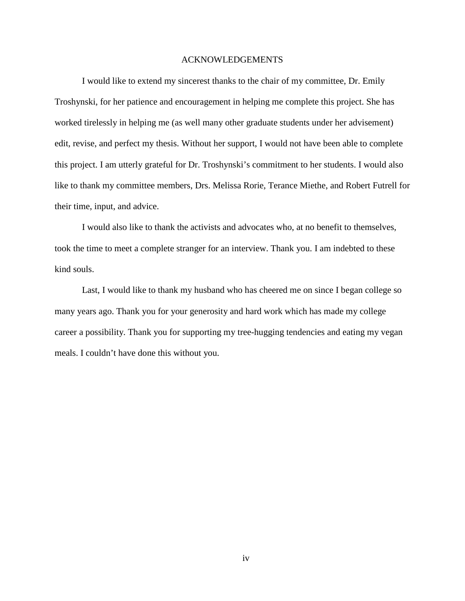#### ACKNOWLEDGEMENTS

I would like to extend my sincerest thanks to the chair of my committee, Dr. Emily Troshynski, for her patience and encouragement in helping me complete this project. She has worked tirelessly in helping me (as well many other graduate students under her advisement) edit, revise, and perfect my thesis. Without her support, I would not have been able to complete this project. I am utterly grateful for Dr. Troshynski's commitment to her students. I would also like to thank my committee members, Drs. Melissa Rorie, Terance Miethe, and Robert Futrell for their time, input, and advice.

I would also like to thank the activists and advocates who, at no benefit to themselves, took the time to meet a complete stranger for an interview. Thank you. I am indebted to these kind souls.

Last, I would like to thank my husband who has cheered me on since I began college so many years ago. Thank you for your generosity and hard work which has made my college career a possibility. Thank you for supporting my tree-hugging tendencies and eating my vegan meals. I couldn't have done this without you.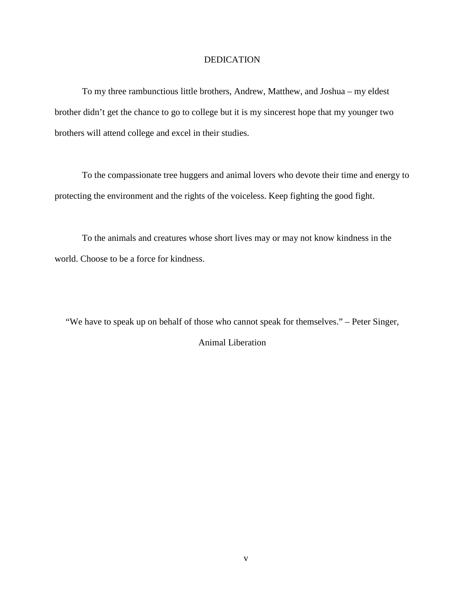#### **DEDICATION**

To my three rambunctious little brothers, Andrew, Matthew, and Joshua – my eldest brother didn't get the chance to go to college but it is my sincerest hope that my younger two brothers will attend college and excel in their studies.

To the compassionate tree huggers and animal lovers who devote their time and energy to protecting the environment and the rights of the voiceless. Keep fighting the good fight.

To the animals and creatures whose short lives may or may not know kindness in the world. Choose to be a force for kindness.

"We have to speak up on behalf of those who cannot speak for themselves." – Peter Singer, Animal Liberation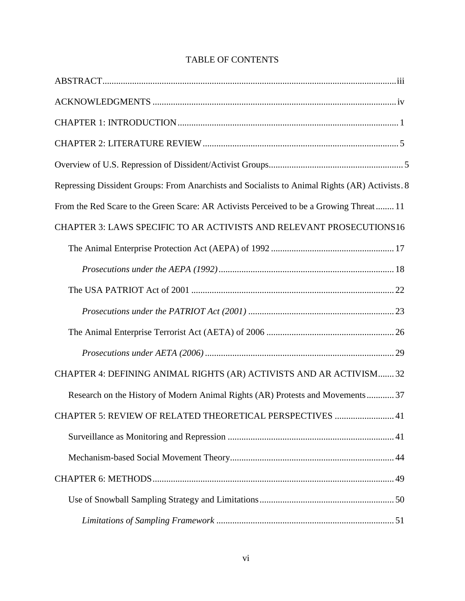| Repressing Dissident Groups: From Anarchists and Socialists to Animal Rights (AR) Activists. 8 |
|------------------------------------------------------------------------------------------------|
| From the Red Scare to the Green Scare: AR Activists Perceived to be a Growing Threat 11        |
| CHAPTER 3: LAWS SPECIFIC TO AR ACTIVISTS AND RELEVANT PROSECUTIONS16                           |
|                                                                                                |
|                                                                                                |
|                                                                                                |
|                                                                                                |
|                                                                                                |
|                                                                                                |
| CHAPTER 4: DEFINING ANIMAL RIGHTS (AR) ACTIVISTS AND AR ACTIVISM 32                            |
| Research on the History of Modern Animal Rights (AR) Protests and Movements 37                 |
| CHAPTER 5: REVIEW OF RELATED THEORETICAL PERSPECTIVES  41                                      |
|                                                                                                |
|                                                                                                |
|                                                                                                |
|                                                                                                |
|                                                                                                |

### TABLE OF CONTENTS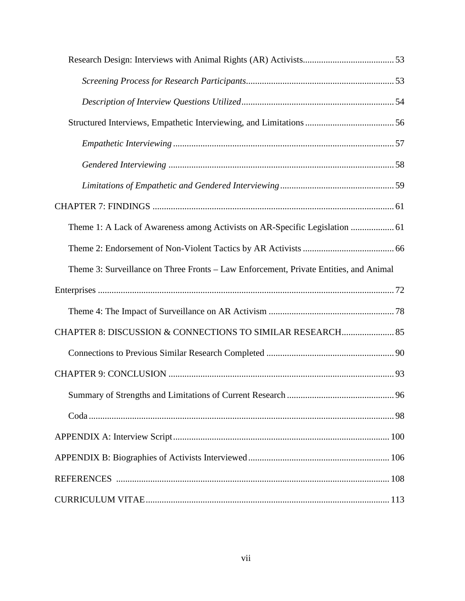| Theme 1: A Lack of Awareness among Activists on AR-Specific Legislation  61           |  |
|---------------------------------------------------------------------------------------|--|
|                                                                                       |  |
| Theme 3: Surveillance on Three Fronts - Law Enforcement, Private Entities, and Animal |  |
|                                                                                       |  |
|                                                                                       |  |
| CHAPTER 8: DISCUSSION & CONNECTIONS TO SIMILAR RESEARCH 85                            |  |
|                                                                                       |  |
|                                                                                       |  |
|                                                                                       |  |
|                                                                                       |  |
|                                                                                       |  |
|                                                                                       |  |
|                                                                                       |  |
|                                                                                       |  |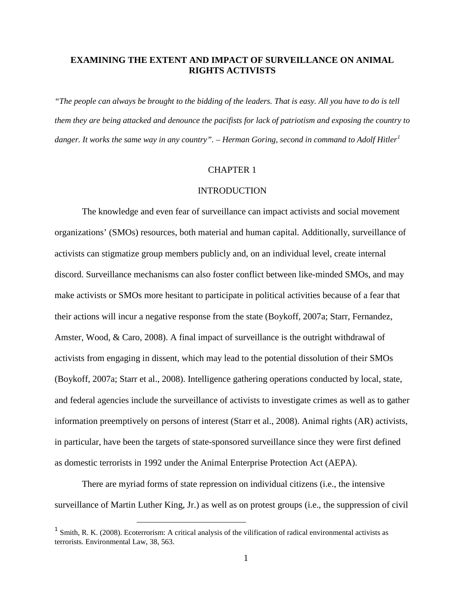#### **EXAMINING THE EXTENT AND IMPACT OF SURVEILLANCE ON ANIMAL RIGHTS ACTIVISTS**

*"The people can always be brought to the bidding of the leaders. That is easy. All you have to do is tell them they are being attacked and denounce the pacifists for lack of patriotism and exposing the country to danger. It works the same way in any country". – Herman Goring, second in command to Adolf Hitler[1](#page-8-0)*

#### CHAPTER 1

#### **INTRODUCTION**

The knowledge and even fear of surveillance can impact activists and social movement organizations' (SMOs) resources, both material and human capital. Additionally, surveillance of activists can stigmatize group members publicly and, on an individual level, create internal discord. Surveillance mechanisms can also foster conflict between like-minded SMOs, and may make activists or SMOs more hesitant to participate in political activities because of a fear that their actions will incur a negative response from the state (Boykoff, 2007a; Starr, Fernandez, Amster, Wood, & Caro, 2008). A final impact of surveillance is the outright withdrawal of activists from engaging in dissent, which may lead to the potential dissolution of their SMOs (Boykoff, 2007a; Starr et al., 2008). Intelligence gathering operations conducted by local, state, and federal agencies include the surveillance of activists to investigate crimes as well as to gather information preemptively on persons of interest (Starr et al., 2008). Animal rights (AR) activists, in particular, have been the targets of state-sponsored surveillance since they were first defined as domestic terrorists in 1992 under the Animal Enterprise Protection Act (AEPA).

There are myriad forms of state repression on individual citizens (i.e., the intensive surveillance of Martin Luther King, Jr.) as well as on protest groups (i.e., the suppression of civil

<span id="page-8-0"></span> $1 \text{ Smith}$ , R. K. (2008). Ecoterrorism: A critical analysis of the vilification of radical environmental activists as terrorists. Environmental Law, 38, 563.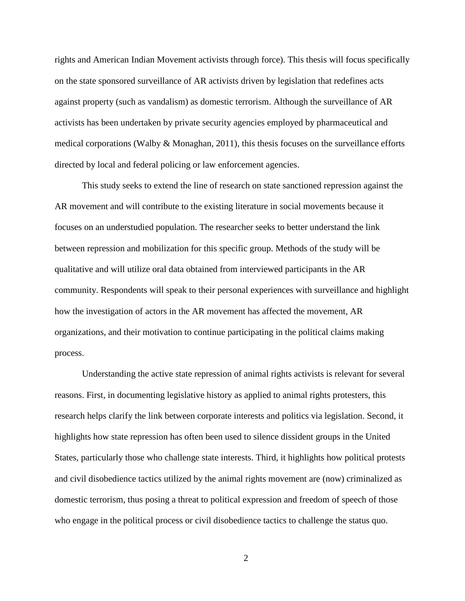rights and American Indian Movement activists through force). This thesis will focus specifically on the state sponsored surveillance of AR activists driven by legislation that redefines acts against property (such as vandalism) as domestic terrorism. Although the surveillance of AR activists has been undertaken by private security agencies employed by pharmaceutical and medical corporations (Walby & Monaghan, 2011), this thesis focuses on the surveillance efforts directed by local and federal policing or law enforcement agencies.

This study seeks to extend the line of research on state sanctioned repression against the AR movement and will contribute to the existing literature in social movements because it focuses on an understudied population. The researcher seeks to better understand the link between repression and mobilization for this specific group. Methods of the study will be qualitative and will utilize oral data obtained from interviewed participants in the AR community. Respondents will speak to their personal experiences with surveillance and highlight how the investigation of actors in the AR movement has affected the movement, AR organizations, and their motivation to continue participating in the political claims making process.

Understanding the active state repression of animal rights activists is relevant for several reasons. First, in documenting legislative history as applied to animal rights protesters, this research helps clarify the link between corporate interests and politics via legislation. Second, it highlights how state repression has often been used to silence dissident groups in the United States, particularly those who challenge state interests. Third, it highlights how political protests and civil disobedience tactics utilized by the animal rights movement are (now) criminalized as domestic terrorism, thus posing a threat to political expression and freedom of speech of those who engage in the political process or civil disobedience tactics to challenge the status quo.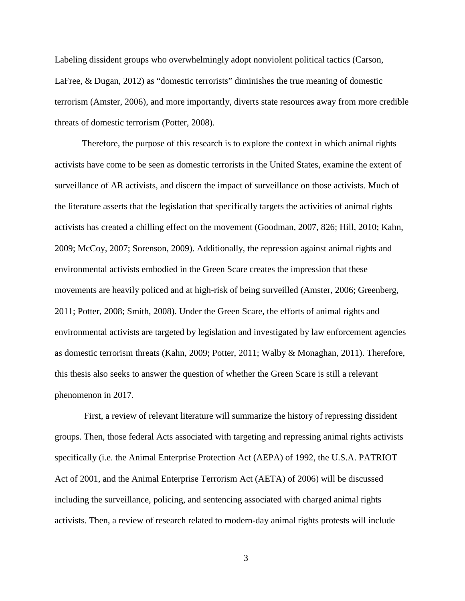Labeling dissident groups who overwhelmingly adopt nonviolent political tactics (Carson, LaFree, & Dugan, 2012) as "domestic terrorists" diminishes the true meaning of domestic terrorism (Amster, 2006), and more importantly, diverts state resources away from more credible threats of domestic terrorism (Potter, 2008).

Therefore, the purpose of this research is to explore the context in which animal rights activists have come to be seen as domestic terrorists in the United States, examine the extent of surveillance of AR activists, and discern the impact of surveillance on those activists. Much of the literature asserts that the legislation that specifically targets the activities of animal rights activists has created a chilling effect on the movement (Goodman, 2007, 826; Hill, 2010; Kahn, 2009; McCoy, 2007; Sorenson, 2009). Additionally, the repression against animal rights and environmental activists embodied in the Green Scare creates the impression that these movements are heavily policed and at high-risk of being surveilled (Amster, 2006; Greenberg, 2011; Potter, 2008; Smith, 2008). Under the Green Scare, the efforts of animal rights and environmental activists are targeted by legislation and investigated by law enforcement agencies as domestic terrorism threats (Kahn, 2009; Potter, 2011; Walby & Monaghan, 2011). Therefore, this thesis also seeks to answer the question of whether the Green Scare is still a relevant phenomenon in 2017.

First, a review of relevant literature will summarize the history of repressing dissident groups. Then, those federal Acts associated with targeting and repressing animal rights activists specifically (i.e. the Animal Enterprise Protection Act (AEPA) of 1992, the U.S.A. PATRIOT Act of 2001, and the Animal Enterprise Terrorism Act (AETA) of 2006) will be discussed including the surveillance, policing, and sentencing associated with charged animal rights activists. Then, a review of research related to modern-day animal rights protests will include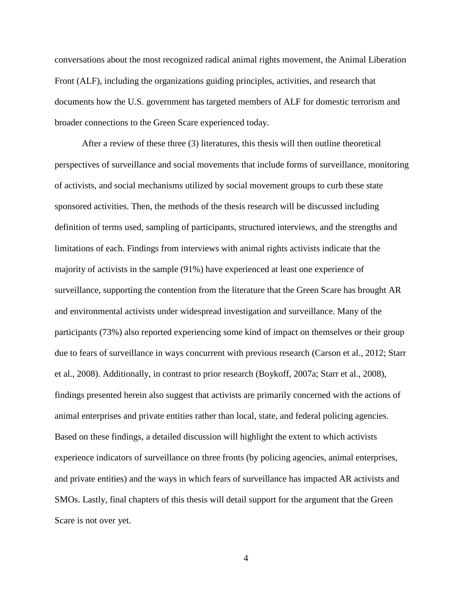conversations about the most recognized radical animal rights movement, the Animal Liberation Front (ALF), including the organizations guiding principles, activities, and research that documents how the U.S. government has targeted members of ALF for domestic terrorism and broader connections to the Green Scare experienced today.

After a review of these three (3) literatures, this thesis will then outline theoretical perspectives of surveillance and social movements that include forms of surveillance, monitoring of activists, and social mechanisms utilized by social movement groups to curb these state sponsored activities. Then, the methods of the thesis research will be discussed including definition of terms used, sampling of participants, structured interviews, and the strengths and limitations of each. Findings from interviews with animal rights activists indicate that the majority of activists in the sample (91%) have experienced at least one experience of surveillance, supporting the contention from the literature that the Green Scare has brought AR and environmental activists under widespread investigation and surveillance. Many of the participants (73%) also reported experiencing some kind of impact on themselves or their group due to fears of surveillance in ways concurrent with previous research (Carson et al., 2012; Starr et al., 2008). Additionally, in contrast to prior research (Boykoff, 2007a; Starr et al., 2008), findings presented herein also suggest that activists are primarily concerned with the actions of animal enterprises and private entities rather than local, state, and federal policing agencies. Based on these findings, a detailed discussion will highlight the extent to which activists experience indicators of surveillance on three fronts (by policing agencies, animal enterprises, and private entities) and the ways in which fears of surveillance has impacted AR activists and SMOs. Lastly, final chapters of this thesis will detail support for the argument that the Green Scare is not over yet.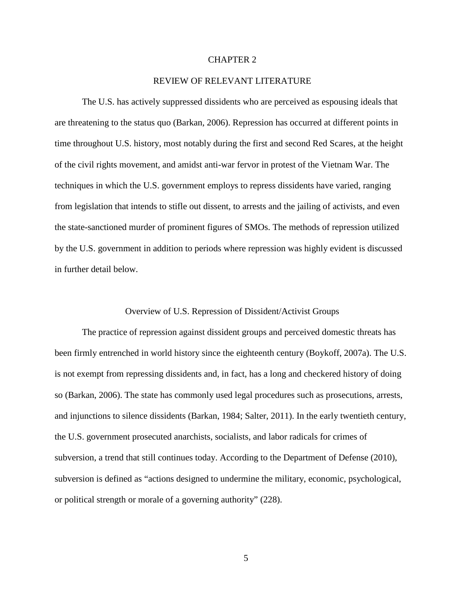#### CHAPTER 2

#### REVIEW OF RELEVANT LITERATURE

The U.S. has actively suppressed dissidents who are perceived as espousing ideals that are threatening to the status quo (Barkan, 2006). Repression has occurred at different points in time throughout U.S. history, most notably during the first and second Red Scares, at the height of the civil rights movement, and amidst anti-war fervor in protest of the Vietnam War. The techniques in which the U.S. government employs to repress dissidents have varied, ranging from legislation that intends to stifle out dissent, to arrests and the jailing of activists, and even the state-sanctioned murder of prominent figures of SMOs. The methods of repression utilized by the U.S. government in addition to periods where repression was highly evident is discussed in further detail below.

#### Overview of U.S. Repression of Dissident/Activist Groups

The practice of repression against dissident groups and perceived domestic threats has been firmly entrenched in world history since the eighteenth century (Boykoff, 2007a). The U.S. is not exempt from repressing dissidents and, in fact, has a long and checkered history of doing so (Barkan, 2006). The state has commonly used legal procedures such as prosecutions, arrests, and injunctions to silence dissidents (Barkan, 1984; Salter, 2011). In the early twentieth century, the U.S. government prosecuted anarchists, socialists, and labor radicals for crimes of subversion, a trend that still continues today. According to the Department of Defense (2010), subversion is defined as "actions designed to undermine the military, economic, psychological, or political strength or morale of a governing authority" (228).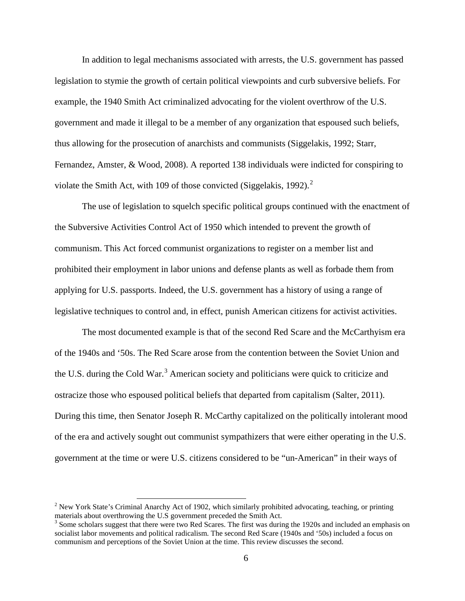In addition to legal mechanisms associated with arrests, the U.S. government has passed legislation to stymie the growth of certain political viewpoints and curb subversive beliefs. For example, the 1940 Smith Act criminalized advocating for the violent overthrow of the U.S. government and made it illegal to be a member of any organization that espoused such beliefs, thus allowing for the prosecution of anarchists and communists (Siggelakis, 1992; Starr, Fernandez, Amster, & Wood, 2008). A reported 138 individuals were indicted for conspiring to violate the Smith Act, with 109 of those convicted (Siggelakis, 199[2](#page-13-0)).<sup>2</sup>

The use of legislation to squelch specific political groups continued with the enactment of the Subversive Activities Control Act of 1950 which intended to prevent the growth of communism. This Act forced communist organizations to register on a member list and prohibited their employment in labor unions and defense plants as well as forbade them from applying for U.S. passports. Indeed, the U.S. government has a history of using a range of legislative techniques to control and, in effect, punish American citizens for activist activities.

The most documented example is that of the second Red Scare and the McCarthyism era of the 1940s and '50s. The Red Scare arose from the contention between the Soviet Union and the U.S. during the Cold War.<sup>[3](#page-13-1)</sup> American society and politicians were quick to criticize and ostracize those who espoused political beliefs that departed from capitalism (Salter, 2011). During this time, then Senator Joseph R. McCarthy capitalized on the politically intolerant mood of the era and actively sought out communist sympathizers that were either operating in the U.S. government at the time or were U.S. citizens considered to be "un-American" in their ways of

<span id="page-13-0"></span> $2$  New York State's Criminal Anarchy Act of 1902, which similarly prohibited advocating, teaching, or printing materials about overthrowing the U.S government preceded the Smith Act.

<span id="page-13-1"></span><sup>&</sup>lt;sup>3</sup> Some scholars suggest that there were two Red Scares. The first was during the 1920s and included an emphasis on socialist labor movements and political radicalism. The second Red Scare (1940s and '50s) included a focus on communism and perceptions of the Soviet Union at the time. This review discusses the second.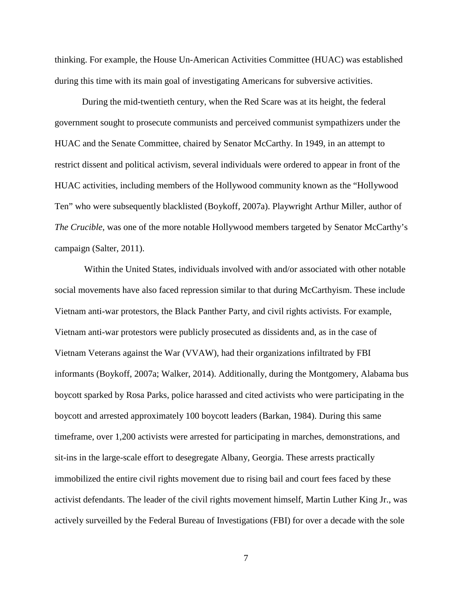thinking. For example, the House Un-American Activities Committee (HUAC) was established during this time with its main goal of investigating Americans for subversive activities.

During the mid-twentieth century, when the Red Scare was at its height, the federal government sought to prosecute communists and perceived communist sympathizers under the HUAC and the Senate Committee, chaired by Senator McCarthy. In 1949, in an attempt to restrict dissent and political activism, several individuals were ordered to appear in front of the HUAC activities, including members of the Hollywood community known as the "Hollywood Ten" who were subsequently blacklisted (Boykoff, 2007a). Playwright Arthur Miller, author of *The Crucible*, was one of the more notable Hollywood members targeted by Senator McCarthy's campaign (Salter, 2011).

Within the United States, individuals involved with and/or associated with other notable social movements have also faced repression similar to that during McCarthyism. These include Vietnam anti-war protestors, the Black Panther Party, and civil rights activists. For example, Vietnam anti-war protestors were publicly prosecuted as dissidents and, as in the case of Vietnam Veterans against the War (VVAW), had their organizations infiltrated by FBI informants (Boykoff, 2007a; Walker, 2014). Additionally, during the Montgomery, Alabama bus boycott sparked by Rosa Parks, police harassed and cited activists who were participating in the boycott and arrested approximately 100 boycott leaders (Barkan, 1984). During this same timeframe, over 1,200 activists were arrested for participating in marches, demonstrations, and sit-ins in the large-scale effort to desegregate Albany, Georgia. These arrests practically immobilized the entire civil rights movement due to rising bail and court fees faced by these activist defendants. The leader of the civil rights movement himself, Martin Luther King Jr., was actively surveilled by the Federal Bureau of Investigations (FBI) for over a decade with the sole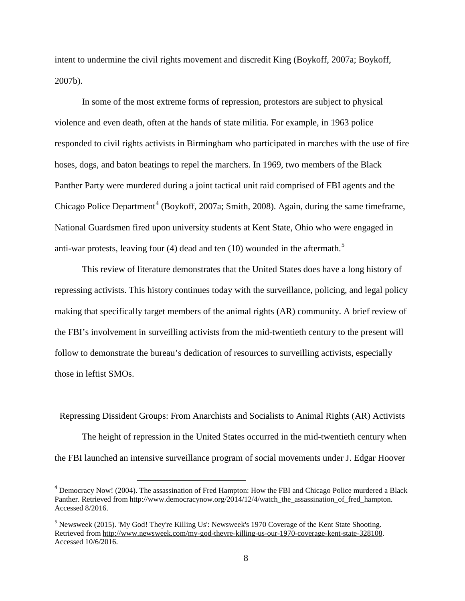intent to undermine the civil rights movement and discredit King (Boykoff, 2007a; Boykoff, 2007b).

In some of the most extreme forms of repression, protestors are subject to physical violence and even death, often at the hands of state militia. For example, in 1963 police responded to civil rights activists in Birmingham who participated in marches with the use of fire hoses, dogs, and baton beatings to repel the marchers. In 1969, two members of the Black Panther Party were murdered during a joint tactical unit raid comprised of FBI agents and the Chicago Police Department<sup>[4](#page-15-0)</sup> (Boykoff, 2007a; Smith, 2008). Again, during the same timeframe, National Guardsmen fired upon university students at Kent State, Ohio who were engaged in anti-war protests, leaving four (4) dead and ten  $(10)$  wounded in the aftermath.<sup>[5](#page-15-1)</sup>

This review of literature demonstrates that the United States does have a long history of repressing activists. This history continues today with the surveillance, policing, and legal policy making that specifically target members of the animal rights (AR) community. A brief review of the FBI's involvement in surveilling activists from the mid-twentieth century to the present will follow to demonstrate the bureau's dedication of resources to surveilling activists, especially those in leftist SMOs.

Repressing Dissident Groups: From Anarchists and Socialists to Animal Rights (AR) Activists The height of repression in the United States occurred in the mid-twentieth century when the FBI launched an intensive surveillance program of social movements under J. Edgar Hoover

<span id="page-15-0"></span><sup>&</sup>lt;sup>4</sup> Democracy Now! (2004). The assassination of Fred Hampton: How the FBI and Chicago Police murdered a Black Panther. Retrieved from [http://www.democracynow.org/2014/12/4/watch\\_the\\_assassination\\_of\\_fred\\_hampton.](http://www.democracynow.org/2014/12/4/watch_the_assassination_of_fred_hampton) Accessed 8/2016.

<span id="page-15-1"></span><sup>&</sup>lt;sup>5</sup> Newsweek (2015). 'My God! They're Killing Us': Newsweek's 1970 Coverage of the Kent State Shooting. Retrieved from [http://www.newsweek.com/my-god-theyre-killing-us-our-1970-coverage-kent-state-328108.](http://www.newsweek.com/my-god-theyre-killing-us-our-1970-coverage-kent-state-328108) Accessed 10/6/2016.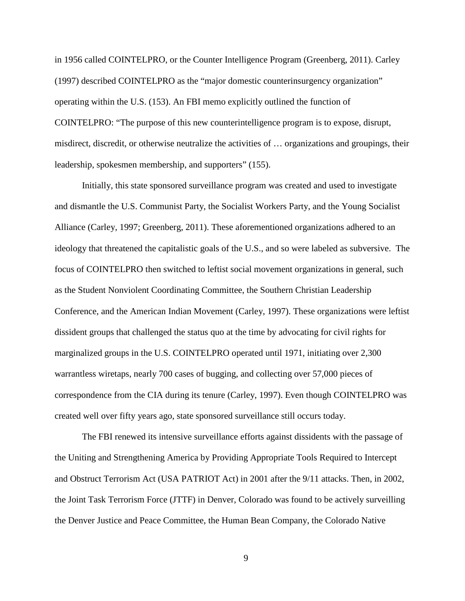in 1956 called COINTELPRO, or the Counter Intelligence Program (Greenberg, 2011). Carley (1997) described COINTELPRO as the "major domestic counterinsurgency organization" operating within the U.S. (153). An FBI memo explicitly outlined the function of COINTELPRO: "The purpose of this new counterintelligence program is to expose, disrupt, misdirect, discredit, or otherwise neutralize the activities of … organizations and groupings, their leadership, spokesmen membership, and supporters" (155).

Initially, this state sponsored surveillance program was created and used to investigate and dismantle the U.S. Communist Party, the Socialist Workers Party, and the Young Socialist Alliance (Carley, 1997; Greenberg, 2011). These aforementioned organizations adhered to an ideology that threatened the capitalistic goals of the U.S., and so were labeled as subversive. The focus of COINTELPRO then switched to leftist social movement organizations in general, such as the Student Nonviolent Coordinating Committee, the Southern Christian Leadership Conference, and the American Indian Movement (Carley, 1997). These organizations were leftist dissident groups that challenged the status quo at the time by advocating for civil rights for marginalized groups in the U.S. COINTELPRO operated until 1971, initiating over 2,300 warrantless wiretaps, nearly 700 cases of bugging, and collecting over 57,000 pieces of correspondence from the CIA during its tenure (Carley, 1997). Even though COINTELPRO was created well over fifty years ago, state sponsored surveillance still occurs today.

The FBI renewed its intensive surveillance efforts against dissidents with the passage of the Uniting and Strengthening America by Providing Appropriate Tools Required to Intercept and Obstruct Terrorism Act (USA PATRIOT Act) in 2001 after the 9/11 attacks. Then, in 2002, the Joint Task Terrorism Force (JTTF) in Denver, Colorado was found to be actively surveilling the Denver Justice and Peace Committee, the Human Bean Company, the Colorado Native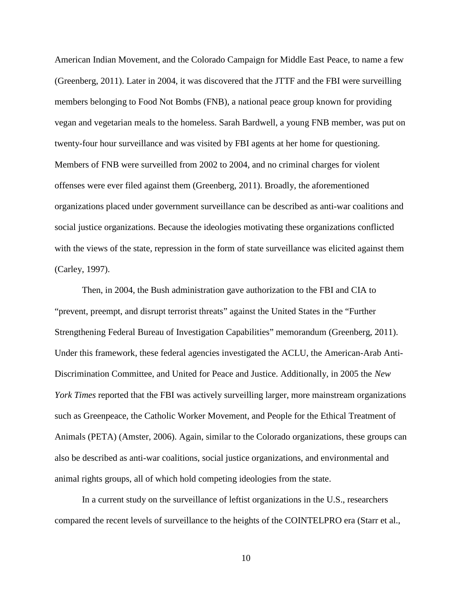American Indian Movement, and the Colorado Campaign for Middle East Peace, to name a few (Greenberg, 2011). Later in 2004, it was discovered that the JTTF and the FBI were surveilling members belonging to Food Not Bombs (FNB), a national peace group known for providing vegan and vegetarian meals to the homeless. Sarah Bardwell, a young FNB member, was put on twenty-four hour surveillance and was visited by FBI agents at her home for questioning. Members of FNB were surveilled from 2002 to 2004, and no criminal charges for violent offenses were ever filed against them (Greenberg, 2011). Broadly, the aforementioned organizations placed under government surveillance can be described as anti-war coalitions and social justice organizations. Because the ideologies motivating these organizations conflicted with the views of the state, repression in the form of state surveillance was elicited against them (Carley, 1997).

Then, in 2004, the Bush administration gave authorization to the FBI and CIA to "prevent, preempt, and disrupt terrorist threats" against the United States in the "Further Strengthening Federal Bureau of Investigation Capabilities" memorandum (Greenberg, 2011). Under this framework, these federal agencies investigated the ACLU, the American-Arab Anti-Discrimination Committee, and United for Peace and Justice. Additionally, in 2005 the *New York Times* reported that the FBI was actively surveilling larger, more mainstream organizations such as Greenpeace, the Catholic Worker Movement, and People for the Ethical Treatment of Animals (PETA) (Amster, 2006). Again, similar to the Colorado organizations, these groups can also be described as anti-war coalitions, social justice organizations, and environmental and animal rights groups, all of which hold competing ideologies from the state.

In a current study on the surveillance of leftist organizations in the U.S., researchers compared the recent levels of surveillance to the heights of the COINTELPRO era (Starr et al.,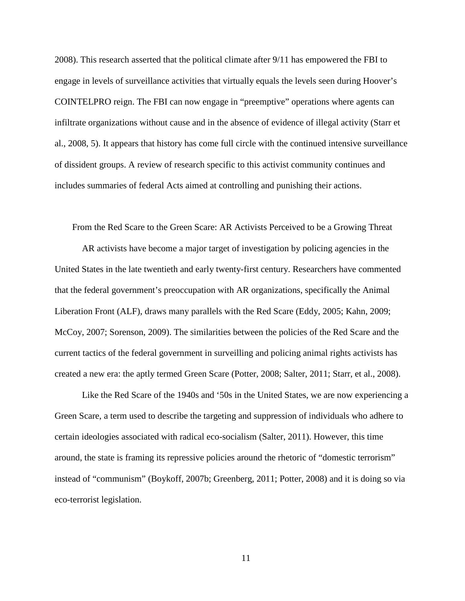2008). This research asserted that the political climate after 9/11 has empowered the FBI to engage in levels of surveillance activities that virtually equals the levels seen during Hoover's COINTELPRO reign. The FBI can now engage in "preemptive" operations where agents can infiltrate organizations without cause and in the absence of evidence of illegal activity (Starr et al., 2008, 5). It appears that history has come full circle with the continued intensive surveillance of dissident groups. A review of research specific to this activist community continues and includes summaries of federal Acts aimed at controlling and punishing their actions.

From the Red Scare to the Green Scare: AR Activists Perceived to be a Growing Threat

AR activists have become a major target of investigation by policing agencies in the United States in the late twentieth and early twenty-first century. Researchers have commented that the federal government's preoccupation with AR organizations, specifically the Animal Liberation Front (ALF), draws many parallels with the Red Scare (Eddy, 2005; Kahn, 2009; McCoy, 2007; Sorenson, 2009). The similarities between the policies of the Red Scare and the current tactics of the federal government in surveilling and policing animal rights activists has created a new era: the aptly termed Green Scare (Potter, 2008; Salter, 2011; Starr, et al., 2008).

Like the Red Scare of the 1940s and '50s in the United States, we are now experiencing a Green Scare, a term used to describe the targeting and suppression of individuals who adhere to certain ideologies associated with radical eco-socialism (Salter, 2011). However, this time around, the state is framing its repressive policies around the rhetoric of "domestic terrorism" instead of "communism" (Boykoff, 2007b; Greenberg, 2011; Potter, 2008) and it is doing so via eco-terrorist legislation.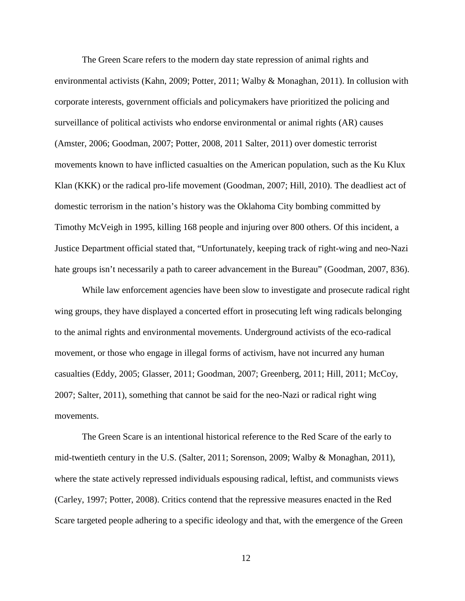The Green Scare refers to the modern day state repression of animal rights and environmental activists (Kahn, 2009; Potter, 2011; Walby & Monaghan, 2011). In collusion with corporate interests, government officials and policymakers have prioritized the policing and surveillance of political activists who endorse environmental or animal rights (AR) causes (Amster, 2006; Goodman, 2007; Potter, 2008, 2011 Salter, 2011) over domestic terrorist movements known to have inflicted casualties on the American population, such as the Ku Klux Klan (KKK) or the radical pro-life movement (Goodman, 2007; Hill, 2010). The deadliest act of domestic terrorism in the nation's history was the Oklahoma City bombing committed by Timothy McVeigh in 1995, killing 168 people and injuring over 800 others. Of this incident, a Justice Department official stated that, "Unfortunately, keeping track of right-wing and neo-Nazi hate groups isn't necessarily a path to career advancement in the Bureau" (Goodman, 2007, 836).

While law enforcement agencies have been slow to investigate and prosecute radical right wing groups, they have displayed a concerted effort in prosecuting left wing radicals belonging to the animal rights and environmental movements. Underground activists of the eco-radical movement, or those who engage in illegal forms of activism, have not incurred any human casualties (Eddy, 2005; Glasser, 2011; Goodman, 2007; Greenberg, 2011; Hill, 2011; McCoy, 2007; Salter, 2011), something that cannot be said for the neo-Nazi or radical right wing movements.

The Green Scare is an intentional historical reference to the Red Scare of the early to mid-twentieth century in the U.S. (Salter, 2011; Sorenson, 2009; Walby & Monaghan, 2011), where the state actively repressed individuals espousing radical, leftist, and communists views (Carley, 1997; Potter, 2008). Critics contend that the repressive measures enacted in the Red Scare targeted people adhering to a specific ideology and that, with the emergence of the Green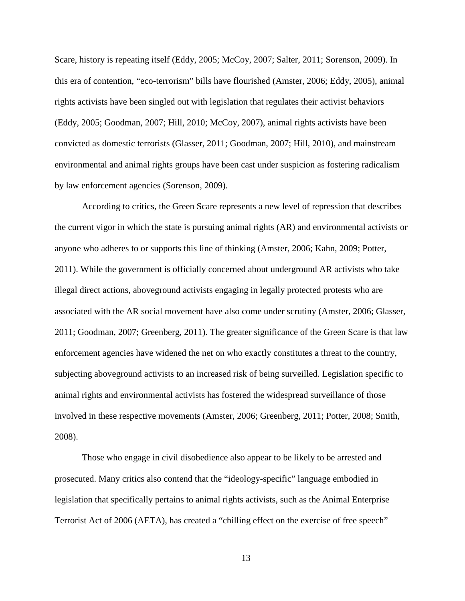Scare, history is repeating itself (Eddy, 2005; McCoy, 2007; Salter, 2011; Sorenson, 2009). In this era of contention, "eco-terrorism" bills have flourished (Amster, 2006; Eddy, 2005), animal rights activists have been singled out with legislation that regulates their activist behaviors (Eddy, 2005; Goodman, 2007; Hill, 2010; McCoy, 2007), animal rights activists have been convicted as domestic terrorists (Glasser, 2011; Goodman, 2007; Hill, 2010), and mainstream environmental and animal rights groups have been cast under suspicion as fostering radicalism by law enforcement agencies (Sorenson, 2009).

According to critics, the Green Scare represents a new level of repression that describes the current vigor in which the state is pursuing animal rights (AR) and environmental activists or anyone who adheres to or supports this line of thinking (Amster, 2006; Kahn, 2009; Potter, 2011). While the government is officially concerned about underground AR activists who take illegal direct actions, aboveground activists engaging in legally protected protests who are associated with the AR social movement have also come under scrutiny (Amster, 2006; Glasser, 2011; Goodman, 2007; Greenberg, 2011). The greater significance of the Green Scare is that law enforcement agencies have widened the net on who exactly constitutes a threat to the country, subjecting aboveground activists to an increased risk of being surveilled. Legislation specific to animal rights and environmental activists has fostered the widespread surveillance of those involved in these respective movements (Amster, 2006; Greenberg, 2011; Potter, 2008; Smith, 2008).

Those who engage in civil disobedience also appear to be likely to be arrested and prosecuted. Many critics also contend that the "ideology-specific" language embodied in legislation that specifically pertains to animal rights activists, such as the Animal Enterprise Terrorist Act of 2006 (AETA), has created a "chilling effect on the exercise of free speech"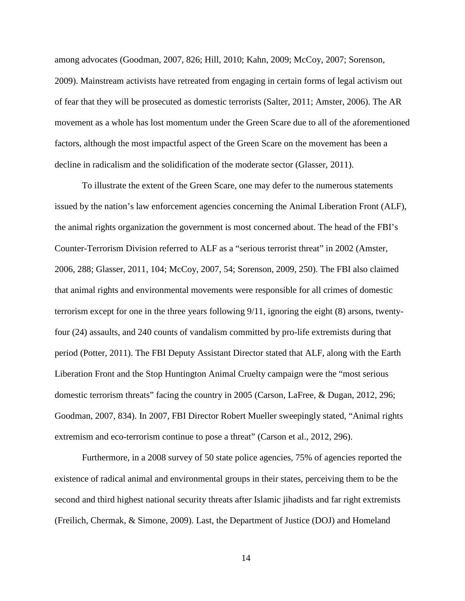among advocates (Goodman, 2007, 826; Hill, 2010; Kahn, 2009; McCoy, 2007; Sorenson, 2009). Mainstream activists have retreated from engaging in certain forms of legal activism out of fear that they will be prosecuted as domestic terrorists (Salter, 2011; Amster, 2006). The AR movement as a whole has lost momentum under the Green Scare due to all of the aforementioned factors, although the most impactful aspect of the Green Scare on the movement has been a decline in radicalism and the solidification of the moderate sector (Glasser, 2011).

To illustrate the extent of the Green Scare, one may defer to the numerous statements issued by the nation's law enforcement agencies concerning the Animal Liberation Front (ALF), the animal rights organization the government is most concerned about. The head of the FBI's Counter-Terrorism Division referred to ALF as a "serious terrorist threat" in 2002 (Amster, 2006, 288; Glasser, 2011, 104; McCoy, 2007, 54; Sorenson, 2009, 250). The FBI also claimed that animal rights and environmental movements were responsible for all crimes of domestic terrorism except for one in the three years following 9/11, ignoring the eight (8) arsons, twentyfour (24) assaults, and 240 counts of vandalism committed by pro-life extremists during that period (Potter, 2011). The FBI Deputy Assistant Director stated that ALF, along with the Earth Liberation Front and the Stop Huntington Animal Cruelty campaign were the "most serious domestic terrorism threats" facing the country in 2005 (Carson, LaFree, & Dugan, 2012, 296; Goodman, 2007, 834). In 2007, FBI Director Robert Mueller sweepingly stated, "Animal rights extremism and eco-terrorism continue to pose a threat" (Carson et al., 2012, 296).

Furthermore, in a 2008 survey of 50 state police agencies, 75% of agencies reported the existence of radical animal and environmental groups in their states, perceiving them to be the second and third highest national security threats after Islamic jihadists and far right extremists (Freilich, Chermak, & Simone, 2009). Last, the Department of Justice (DOJ) and Homeland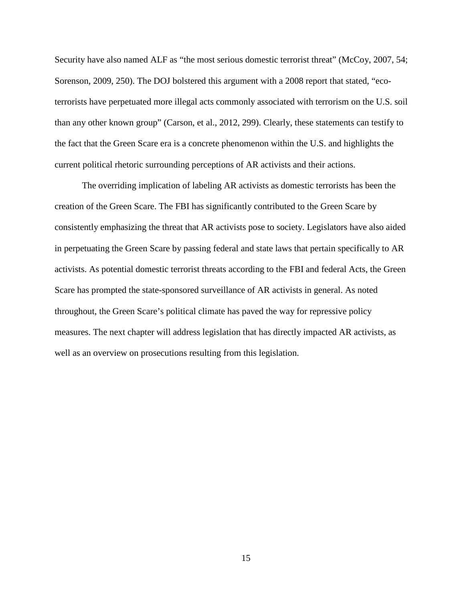Security have also named ALF as "the most serious domestic terrorist threat" (McCoy, 2007, 54; Sorenson, 2009, 250). The DOJ bolstered this argument with a 2008 report that stated, "ecoterrorists have perpetuated more illegal acts commonly associated with terrorism on the U.S. soil than any other known group" (Carson, et al., 2012, 299). Clearly, these statements can testify to the fact that the Green Scare era is a concrete phenomenon within the U.S. and highlights the current political rhetoric surrounding perceptions of AR activists and their actions.

The overriding implication of labeling AR activists as domestic terrorists has been the creation of the Green Scare. The FBI has significantly contributed to the Green Scare by consistently emphasizing the threat that AR activists pose to society. Legislators have also aided in perpetuating the Green Scare by passing federal and state laws that pertain specifically to AR activists. As potential domestic terrorist threats according to the FBI and federal Acts, the Green Scare has prompted the state-sponsored surveillance of AR activists in general. As noted throughout, the Green Scare's political climate has paved the way for repressive policy measures. The next chapter will address legislation that has directly impacted AR activists, as well as an overview on prosecutions resulting from this legislation.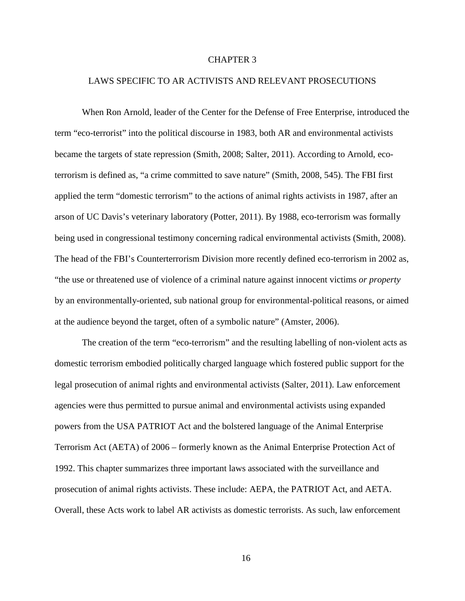#### CHAPTER 3

#### LAWS SPECIFIC TO AR ACTIVISTS AND RELEVANT PROSECUTIONS

When Ron Arnold, leader of the Center for the Defense of Free Enterprise, introduced the term "eco-terrorist" into the political discourse in 1983, both AR and environmental activists became the targets of state repression (Smith, 2008; Salter, 2011). According to Arnold, ecoterrorism is defined as, "a crime committed to save nature" (Smith, 2008, 545). The FBI first applied the term "domestic terrorism" to the actions of animal rights activists in 1987, after an arson of UC Davis's veterinary laboratory (Potter, 2011). By 1988, eco-terrorism was formally being used in congressional testimony concerning radical environmental activists (Smith, 2008). The head of the FBI's Counterterrorism Division more recently defined eco-terrorism in 2002 as, "the use or threatened use of violence of a criminal nature against innocent victims *or property* by an environmentally-oriented, sub national group for environmental-political reasons, or aimed at the audience beyond the target, often of a symbolic nature" (Amster, 2006).

The creation of the term "eco-terrorism" and the resulting labelling of non-violent acts as domestic terrorism embodied politically charged language which fostered public support for the legal prosecution of animal rights and environmental activists (Salter, 2011). Law enforcement agencies were thus permitted to pursue animal and environmental activists using expanded powers from the USA PATRIOT Act and the bolstered language of the Animal Enterprise Terrorism Act (AETA) of 2006 – formerly known as the Animal Enterprise Protection Act of 1992. This chapter summarizes three important laws associated with the surveillance and prosecution of animal rights activists. These include: AEPA, the PATRIOT Act, and AETA. Overall, these Acts work to label AR activists as domestic terrorists. As such, law enforcement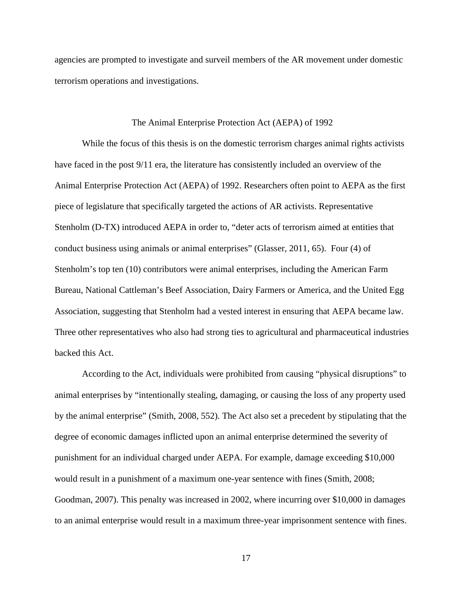agencies are prompted to investigate and surveil members of the AR movement under domestic terrorism operations and investigations.

#### The Animal Enterprise Protection Act (AEPA) of 1992

While the focus of this thesis is on the domestic terrorism charges animal rights activists have faced in the post 9/11 era, the literature has consistently included an overview of the Animal Enterprise Protection Act (AEPA) of 1992. Researchers often point to AEPA as the first piece of legislature that specifically targeted the actions of AR activists. Representative Stenholm (D-TX) introduced AEPA in order to, "deter acts of terrorism aimed at entities that conduct business using animals or animal enterprises" (Glasser, 2011, 65). Four (4) of Stenholm's top ten (10) contributors were animal enterprises, including the American Farm Bureau, National Cattleman's Beef Association, Dairy Farmers or America, and the United Egg Association, suggesting that Stenholm had a vested interest in ensuring that AEPA became law. Three other representatives who also had strong ties to agricultural and pharmaceutical industries backed this Act.

According to the Act, individuals were prohibited from causing "physical disruptions" to animal enterprises by "intentionally stealing, damaging, or causing the loss of any property used by the animal enterprise" (Smith, 2008, 552). The Act also set a precedent by stipulating that the degree of economic damages inflicted upon an animal enterprise determined the severity of punishment for an individual charged under AEPA. For example, damage exceeding \$10,000 would result in a punishment of a maximum one-year sentence with fines (Smith, 2008; Goodman, 2007). This penalty was increased in 2002, where incurring over \$10,000 in damages to an animal enterprise would result in a maximum three-year imprisonment sentence with fines.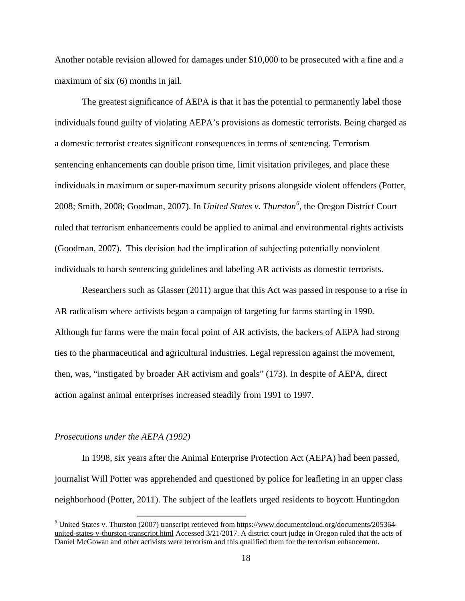Another notable revision allowed for damages under \$10,000 to be prosecuted with a fine and a maximum of six (6) months in jail.

The greatest significance of AEPA is that it has the potential to permanently label those individuals found guilty of violating AEPA's provisions as domestic terrorists. Being charged as a domestic terrorist creates significant consequences in terms of sentencing. Terrorism sentencing enhancements can double prison time, limit visitation privileges, and place these individuals in maximum or super-maximum security prisons alongside violent offenders (Potter, 2008; Smith, 2008; Goodman, 2007). In *United States v. Thurston[6](#page-25-0)* , the Oregon District Court ruled that terrorism enhancements could be applied to animal and environmental rights activists (Goodman, 2007). This decision had the implication of subjecting potentially nonviolent individuals to harsh sentencing guidelines and labeling AR activists as domestic terrorists.

Researchers such as Glasser (2011) argue that this Act was passed in response to a rise in AR radicalism where activists began a campaign of targeting fur farms starting in 1990. Although fur farms were the main focal point of AR activists, the backers of AEPA had strong ties to the pharmaceutical and agricultural industries. Legal repression against the movement, then, was, "instigated by broader AR activism and goals" (173). In despite of AEPA, direct action against animal enterprises increased steadily from 1991 to 1997.

#### *Prosecutions under the AEPA (1992)*

In 1998, six years after the Animal Enterprise Protection Act (AEPA) had been passed, journalist Will Potter was apprehended and questioned by police for leafleting in an upper class neighborhood (Potter, 2011). The subject of the leaflets urged residents to boycott Huntingdon

<span id="page-25-0"></span><sup>6</sup> United States v. Thurston (2007) transcript retrieved from [https://www.documentcloud.org/documents/205364](https://www.documentcloud.org/documents/205364-united-states-v-thurston-transcript.html) [united-states-v-thurston-transcript.html](https://www.documentcloud.org/documents/205364-united-states-v-thurston-transcript.html) Accessed 3/21/2017. A district court judge in Oregon ruled that the acts of Daniel McGowan and other activists were terrorism and this qualified them for the terrorism enhancement.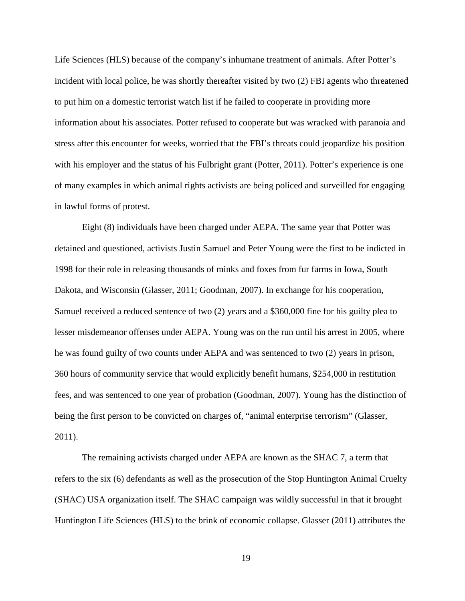Life Sciences (HLS) because of the company's inhumane treatment of animals. After Potter's incident with local police, he was shortly thereafter visited by two (2) FBI agents who threatened to put him on a domestic terrorist watch list if he failed to cooperate in providing more information about his associates. Potter refused to cooperate but was wracked with paranoia and stress after this encounter for weeks, worried that the FBI's threats could jeopardize his position with his employer and the status of his Fulbright grant (Potter, 2011). Potter's experience is one of many examples in which animal rights activists are being policed and surveilled for engaging in lawful forms of protest.

Eight (8) individuals have been charged under AEPA. The same year that Potter was detained and questioned, activists Justin Samuel and Peter Young were the first to be indicted in 1998 for their role in releasing thousands of minks and foxes from fur farms in Iowa, South Dakota, and Wisconsin (Glasser, 2011; Goodman, 2007). In exchange for his cooperation, Samuel received a reduced sentence of two (2) years and a \$360,000 fine for his guilty plea to lesser misdemeanor offenses under AEPA. Young was on the run until his arrest in 2005, where he was found guilty of two counts under AEPA and was sentenced to two (2) years in prison, 360 hours of community service that would explicitly benefit humans, \$254,000 in restitution fees, and was sentenced to one year of probation (Goodman, 2007). Young has the distinction of being the first person to be convicted on charges of, "animal enterprise terrorism" (Glasser, 2011).

The remaining activists charged under AEPA are known as the SHAC 7, a term that refers to the six (6) defendants as well as the prosecution of the Stop Huntington Animal Cruelty (SHAC) USA organization itself. The SHAC campaign was wildly successful in that it brought Huntington Life Sciences (HLS) to the brink of economic collapse. Glasser (2011) attributes the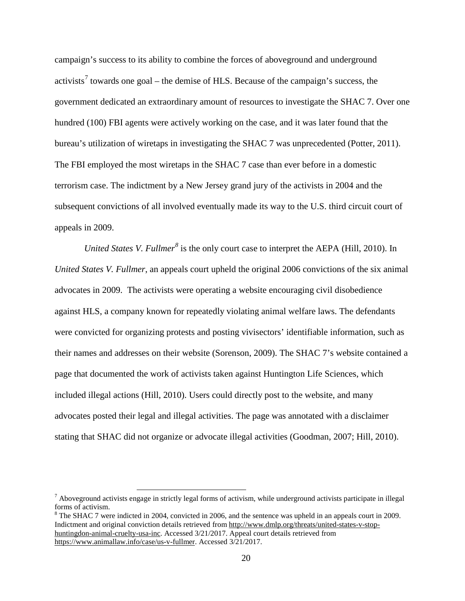campaign's success to its ability to combine the forces of aboveground and underground activists<sup>[7](#page-27-0)</sup> towards one goal – the demise of HLS. Because of the campaign's success, the government dedicated an extraordinary amount of resources to investigate the SHAC 7. Over one hundred (100) FBI agents were actively working on the case, and it was later found that the bureau's utilization of wiretaps in investigating the SHAC 7 was unprecedented (Potter, 2011). The FBI employed the most wiretaps in the SHAC 7 case than ever before in a domestic terrorism case. The indictment by a New Jersey grand jury of the activists in 2004 and the subsequent convictions of all involved eventually made its way to the U.S. third circuit court of appeals in 2009.

*United States V. Fullmer[8](#page-27-1)* is the only court case to interpret the AEPA (Hill, 2010). In *United States V. Fullmer*, an appeals court upheld the original 2006 convictions of the six animal advocates in 2009. The activists were operating a website encouraging civil disobedience against HLS, a company known for repeatedly violating animal welfare laws. The defendants were convicted for organizing protests and posting vivisectors' identifiable information, such as their names and addresses on their website (Sorenson, 2009). The SHAC 7's website contained a page that documented the work of activists taken against Huntington Life Sciences, which included illegal actions (Hill, 2010). Users could directly post to the website, and many advocates posted their legal and illegal activities. The page was annotated with a disclaimer stating that SHAC did not organize or advocate illegal activities (Goodman, 2007; Hill, 2010).

<span id="page-27-1"></span><sup>8</sup> The SHAC 7 were indicted in 2004, convicted in 2006, and the sentence was upheld in an appeals court in 2009. Indictment and original conviction details retrieved fro[m http://www.dmlp.org/threats/united-states-v-stop](http://www.dmlp.org/threats/united-states-v-stop-huntingdon-animal-cruelty-usa-inc)[huntingdon-animal-cruelty-usa-inc.](http://www.dmlp.org/threats/united-states-v-stop-huntingdon-animal-cruelty-usa-inc) Accessed 3/21/2017. Appeal court details retrieved from [https://www.animallaw.info/case/us-v-fullmer.](https://www.animallaw.info/case/us-v-fullmer) Accessed 3/21/2017.

<span id="page-27-0"></span> $<sup>7</sup>$  Aboveground activists engage in strictly legal forms of activism, while underground activists participate in illegal</sup> forms of activism.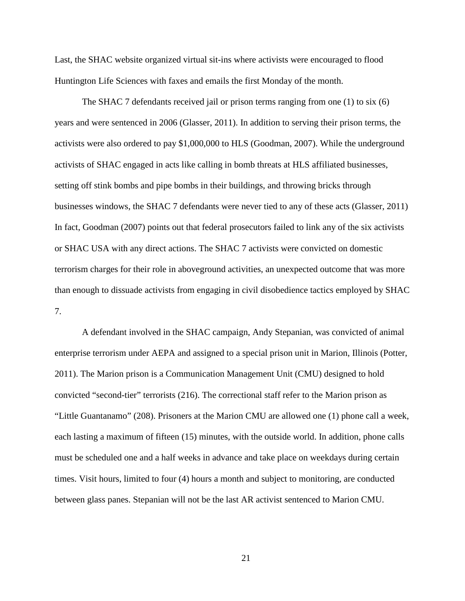Last, the SHAC website organized virtual sit-ins where activists were encouraged to flood Huntington Life Sciences with faxes and emails the first Monday of the month.

The SHAC 7 defendants received jail or prison terms ranging from one (1) to six (6) years and were sentenced in 2006 (Glasser, 2011). In addition to serving their prison terms, the activists were also ordered to pay \$1,000,000 to HLS (Goodman, 2007). While the underground activists of SHAC engaged in acts like calling in bomb threats at HLS affiliated businesses, setting off stink bombs and pipe bombs in their buildings, and throwing bricks through businesses windows, the SHAC 7 defendants were never tied to any of these acts (Glasser, 2011) In fact, Goodman (2007) points out that federal prosecutors failed to link any of the six activists or SHAC USA with any direct actions. The SHAC 7 activists were convicted on domestic terrorism charges for their role in aboveground activities, an unexpected outcome that was more than enough to dissuade activists from engaging in civil disobedience tactics employed by SHAC 7.

A defendant involved in the SHAC campaign, Andy Stepanian, was convicted of animal enterprise terrorism under AEPA and assigned to a special prison unit in Marion, Illinois (Potter, 2011). The Marion prison is a Communication Management Unit (CMU) designed to hold convicted "second-tier" terrorists (216). The correctional staff refer to the Marion prison as "Little Guantanamo" (208). Prisoners at the Marion CMU are allowed one (1) phone call a week, each lasting a maximum of fifteen (15) minutes, with the outside world. In addition, phone calls must be scheduled one and a half weeks in advance and take place on weekdays during certain times. Visit hours, limited to four (4) hours a month and subject to monitoring, are conducted between glass panes. Stepanian will not be the last AR activist sentenced to Marion CMU.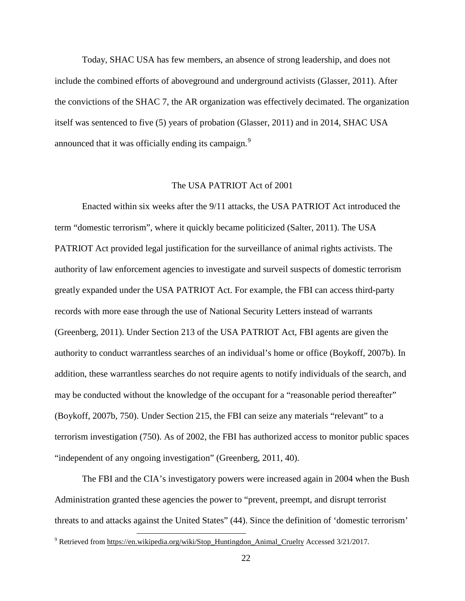Today, SHAC USA has few members, an absence of strong leadership, and does not include the combined efforts of aboveground and underground activists (Glasser, 2011). After the convictions of the SHAC 7, the AR organization was effectively decimated. The organization itself was sentenced to five (5) years of probation (Glasser, 2011) and in 2014, SHAC USA announced that it was officially ending its campaign.<sup>[9](#page-29-0)</sup>

#### The USA PATRIOT Act of 2001

Enacted within six weeks after the 9/11 attacks, the USA PATRIOT Act introduced the term "domestic terrorism", where it quickly became politicized (Salter, 2011). The USA PATRIOT Act provided legal justification for the surveillance of animal rights activists. The authority of law enforcement agencies to investigate and surveil suspects of domestic terrorism greatly expanded under the USA PATRIOT Act. For example, the FBI can access third-party records with more ease through the use of National Security Letters instead of warrants (Greenberg, 2011). Under Section 213 of the USA PATRIOT Act, FBI agents are given the authority to conduct warrantless searches of an individual's home or office (Boykoff, 2007b). In addition, these warrantless searches do not require agents to notify individuals of the search, and may be conducted without the knowledge of the occupant for a "reasonable period thereafter" (Boykoff, 2007b, 750). Under Section 215, the FBI can seize any materials "relevant" to a terrorism investigation (750). As of 2002, the FBI has authorized access to monitor public spaces "independent of any ongoing investigation" (Greenberg, 2011, 40).

The FBI and the CIA's investigatory powers were increased again in 2004 when the Bush Administration granted these agencies the power to "prevent, preempt, and disrupt terrorist threats to and attacks against the United States" (44). Since the definition of 'domestic terrorism'

<span id="page-29-0"></span><sup>&</sup>lt;sup>9</sup> Retrieved from [https://en.wikipedia.org/wiki/Stop\\_Huntingdon\\_Animal\\_Cruelty](https://en.wikipedia.org/wiki/Stop_Huntingdon_Animal_Cruelty) Accessed 3/21/2017.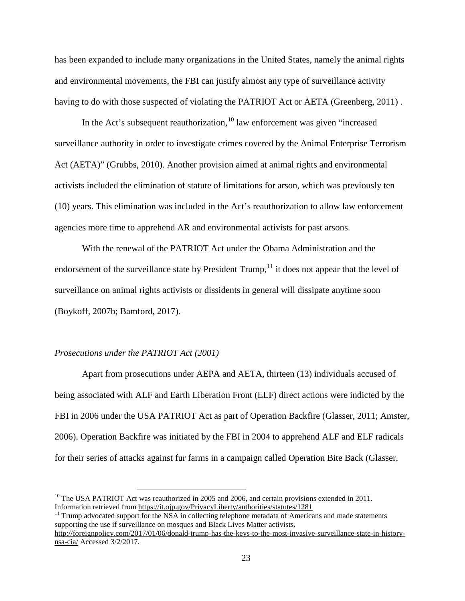has been expanded to include many organizations in the United States, namely the animal rights and environmental movements, the FBI can justify almost any type of surveillance activity having to do with those suspected of violating the PATRIOT Act or AETA (Greenberg, 2011).

In the Act's subsequent reauthorization,  $10$  law enforcement was given "increased surveillance authority in order to investigate crimes covered by the Animal Enterprise Terrorism Act (AETA)" (Grubbs, 2010). Another provision aimed at animal rights and environmental activists included the elimination of statute of limitations for arson, which was previously ten (10) years. This elimination was included in the Act's reauthorization to allow law enforcement agencies more time to apprehend AR and environmental activists for past arsons.

With the renewal of the PATRIOT Act under the Obama Administration and the endorsement of the surveillance state by President Trump, <sup>[11](#page-30-1)</sup> it does not appear that the level of surveillance on animal rights activists or dissidents in general will dissipate anytime soon (Boykoff, 2007b; Bamford, 2017).

#### *Prosecutions under the PATRIOT Act (2001)*

Apart from prosecutions under AEPA and AETA, thirteen (13) individuals accused of being associated with ALF and Earth Liberation Front (ELF) direct actions were indicted by the FBI in 2006 under the USA PATRIOT Act as part of Operation Backfire (Glasser, 2011; Amster, 2006). Operation Backfire was initiated by the FBI in 2004 to apprehend ALF and ELF radicals for their series of attacks against fur farms in a campaign called Operation Bite Back (Glasser,

<span id="page-30-1"></span> $11$  Trump advocated support for the NSA in collecting telephone metadata of Americans and made statements supporting the use if surveillance on mosques and Black Lives Matter activists.

<span id="page-30-0"></span><sup>&</sup>lt;sup>10</sup> The USA PATRIOT Act was reauthorized in 2005 and 2006, and certain provisions extended in 2011.<br>Information retrieved from https://it.oip.gov/PrivacyLiberty/authorities/statutes/1281

[http://foreignpolicy.com/2017/01/06/donald-trump-has-the-keys-to-the-most-invasive-surveillance-state-in-history](http://foreignpolicy.com/2017/01/06/donald-trump-has-the-keys-to-the-most-invasive-surveillance-state-in-history-nsa-cia/)[nsa-cia/](http://foreignpolicy.com/2017/01/06/donald-trump-has-the-keys-to-the-most-invasive-surveillance-state-in-history-nsa-cia/) Accessed 3/2/2017.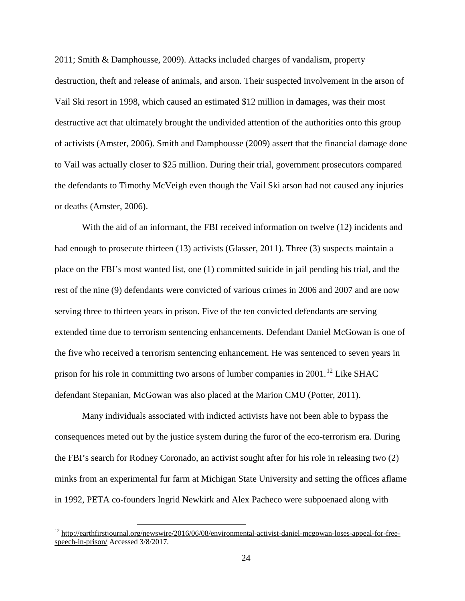2011; Smith & Damphousse, 2009). Attacks included charges of vandalism, property destruction, theft and release of animals, and arson. Their suspected involvement in the arson of Vail Ski resort in 1998, which caused an estimated \$12 million in damages, was their most destructive act that ultimately brought the undivided attention of the authorities onto this group of activists (Amster, 2006). Smith and Damphousse (2009) assert that the financial damage done to Vail was actually closer to \$25 million. During their trial, government prosecutors compared the defendants to Timothy McVeigh even though the Vail Ski arson had not caused any injuries or deaths (Amster, 2006).

With the aid of an informant, the FBI received information on twelve (12) incidents and had enough to prosecute thirteen (13) activists (Glasser, 2011). Three (3) suspects maintain a place on the FBI's most wanted list, one (1) committed suicide in jail pending his trial, and the rest of the nine (9) defendants were convicted of various crimes in 2006 and 2007 and are now serving three to thirteen years in prison. Five of the ten convicted defendants are serving extended time due to terrorism sentencing enhancements. Defendant Daniel McGowan is one of the five who received a terrorism sentencing enhancement. He was sentenced to seven years in prison for his role in committing two arsons of lumber companies in 2001.<sup>[12](#page-31-0)</sup> Like SHAC defendant Stepanian, McGowan was also placed at the Marion CMU (Potter, 2011).

Many individuals associated with indicted activists have not been able to bypass the consequences meted out by the justice system during the furor of the eco-terrorism era. During the FBI's search for Rodney Coronado, an activist sought after for his role in releasing two (2) minks from an experimental fur farm at Michigan State University and setting the offices aflame in 1992, PETA co-founders Ingrid Newkirk and Alex Pacheco were subpoenaed along with

<span id="page-31-0"></span><sup>&</sup>lt;sup>12</sup> [http://earthfirstjournal.org/newswire/2016/06/08/environmental-activist-daniel-mcgowan-loses-appeal-for-free](http://earthfirstjournal.org/newswire/2016/06/08/environmental-activist-daniel-mcgowan-loses-appeal-for-free-speech-in-prison/)[speech-in-prison/](http://earthfirstjournal.org/newswire/2016/06/08/environmental-activist-daniel-mcgowan-loses-appeal-for-free-speech-in-prison/) Accessed 3/8/2017.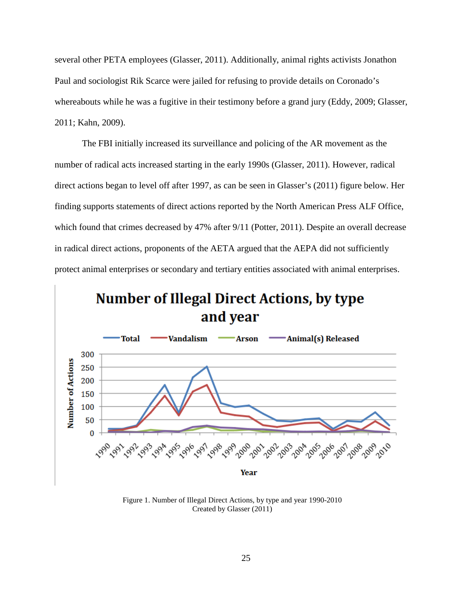several other PETA employees (Glasser, 2011). Additionally, animal rights activists Jonathon Paul and sociologist Rik Scarce were jailed for refusing to provide details on Coronado's whereabouts while he was a fugitive in their testimony before a grand jury (Eddy, 2009; Glasser, 2011; Kahn, 2009).

The FBI initially increased its surveillance and policing of the AR movement as the number of radical acts increased starting in the early 1990s (Glasser, 2011). However, radical direct actions began to level off after 1997, as can be seen in Glasser's (2011) figure below. Her finding supports statements of direct actions reported by the North American Press ALF Office, which found that crimes decreased by 47% after 9/11 (Potter, 2011). Despite an overall decrease in radical direct actions, proponents of the AETA argued that the AEPA did not sufficiently protect animal enterprises or secondary and tertiary entities associated with animal enterprises.



Figure 1. Number of Illegal Direct Actions, by type and year 1990-2010 Created by Glasser (2011)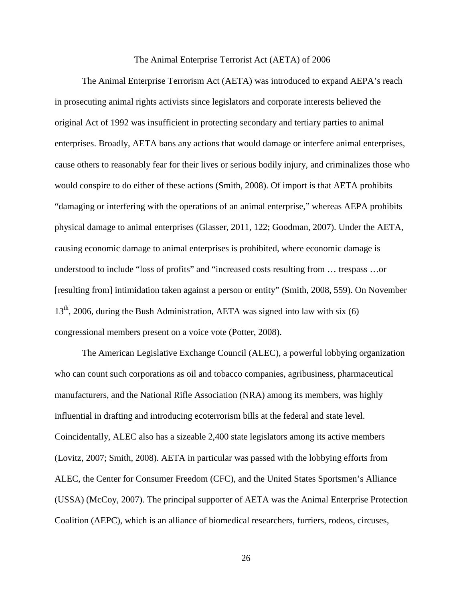#### The Animal Enterprise Terrorist Act (AETA) of 2006

The Animal Enterprise Terrorism Act (AETA) was introduced to expand AEPA's reach in prosecuting animal rights activists since legislators and corporate interests believed the original Act of 1992 was insufficient in protecting secondary and tertiary parties to animal enterprises. Broadly, AETA bans any actions that would damage or interfere animal enterprises, cause others to reasonably fear for their lives or serious bodily injury, and criminalizes those who would conspire to do either of these actions (Smith, 2008). Of import is that AETA prohibits "damaging or interfering with the operations of an animal enterprise," whereas AEPA prohibits physical damage to animal enterprises (Glasser, 2011, 122; Goodman, 2007). Under the AETA, causing economic damage to animal enterprises is prohibited, where economic damage is understood to include "loss of profits" and "increased costs resulting from … trespass …or [resulting from] intimidation taken against a person or entity" (Smith, 2008, 559). On November  $13<sup>th</sup>$ , 2006, during the Bush Administration, AETA was signed into law with six (6) congressional members present on a voice vote (Potter, 2008).

The American Legislative Exchange Council (ALEC), a powerful lobbying organization who can count such corporations as oil and tobacco companies, agribusiness, pharmaceutical manufacturers, and the National Rifle Association (NRA) among its members, was highly influential in drafting and introducing ecoterrorism bills at the federal and state level. Coincidentally, ALEC also has a sizeable 2,400 state legislators among its active members (Lovitz, 2007; Smith, 2008). AETA in particular was passed with the lobbying efforts from ALEC, the Center for Consumer Freedom (CFC), and the United States Sportsmen's Alliance (USSA) (McCoy, 2007). The principal supporter of AETA was the Animal Enterprise Protection Coalition (AEPC), which is an alliance of biomedical researchers, furriers, rodeos, circuses,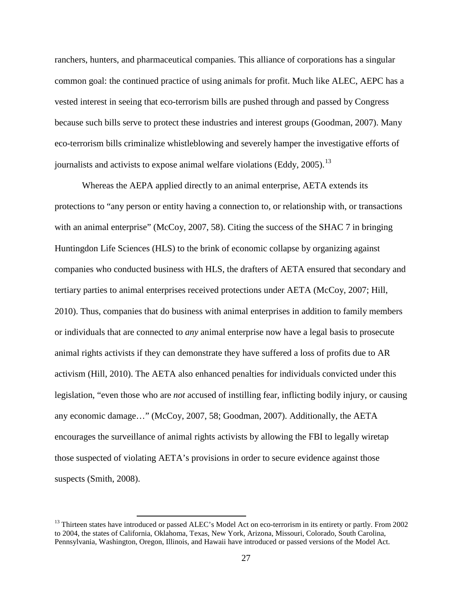ranchers, hunters, and pharmaceutical companies. This alliance of corporations has a singular common goal: the continued practice of using animals for profit. Much like ALEC, AEPC has a vested interest in seeing that eco-terrorism bills are pushed through and passed by Congress because such bills serve to protect these industries and interest groups (Goodman, 2007). Many eco-terrorism bills criminalize whistleblowing and severely hamper the investigative efforts of journalists and activists to expose animal welfare violations (Eddy, 2005).<sup>[13](#page-34-0)</sup>

Whereas the AEPA applied directly to an animal enterprise, AETA extends its protections to "any person or entity having a connection to, or relationship with, or transactions with an animal enterprise" (McCoy, 2007, 58). Citing the success of the SHAC 7 in bringing Huntingdon Life Sciences (HLS) to the brink of economic collapse by organizing against companies who conducted business with HLS, the drafters of AETA ensured that secondary and tertiary parties to animal enterprises received protections under AETA (McCoy, 2007; Hill, 2010). Thus, companies that do business with animal enterprises in addition to family members or individuals that are connected to *any* animal enterprise now have a legal basis to prosecute animal rights activists if they can demonstrate they have suffered a loss of profits due to AR activism (Hill, 2010). The AETA also enhanced penalties for individuals convicted under this legislation, "even those who are *not* accused of instilling fear, inflicting bodily injury, or causing any economic damage…" (McCoy, 2007, 58; Goodman, 2007). Additionally, the AETA encourages the surveillance of animal rights activists by allowing the FBI to legally wiretap those suspected of violating AETA's provisions in order to secure evidence against those suspects (Smith, 2008).

<span id="page-34-0"></span> $13$  Thirteen states have introduced or passed ALEC's Model Act on eco-terrorism in its entirety or partly. From 2002 to 2004, the states of California, Oklahoma, Texas, New York, Arizona, Missouri, Colorado, South Carolina, Pennsylvania, Washington, Oregon, Illinois, and Hawaii have introduced or passed versions of the Model Act.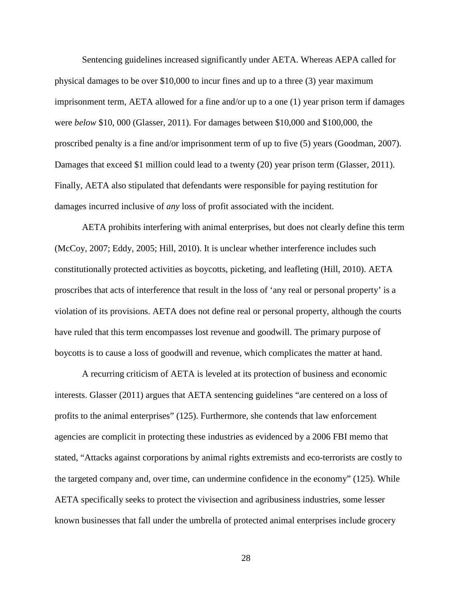Sentencing guidelines increased significantly under AETA. Whereas AEPA called for physical damages to be over \$10,000 to incur fines and up to a three (3) year maximum imprisonment term, AETA allowed for a fine and/or up to a one (1) year prison term if damages were *below* \$10, 000 (Glasser, 2011). For damages between \$10,000 and \$100,000, the proscribed penalty is a fine and/or imprisonment term of up to five (5) years (Goodman, 2007). Damages that exceed \$1 million could lead to a twenty (20) year prison term (Glasser, 2011). Finally, AETA also stipulated that defendants were responsible for paying restitution for damages incurred inclusive of *any* loss of profit associated with the incident.

AETA prohibits interfering with animal enterprises, but does not clearly define this term (McCoy, 2007; Eddy, 2005; Hill, 2010). It is unclear whether interference includes such constitutionally protected activities as boycotts, picketing, and leafleting (Hill, 2010). AETA proscribes that acts of interference that result in the loss of 'any real or personal property' is a violation of its provisions. AETA does not define real or personal property, although the courts have ruled that this term encompasses lost revenue and goodwill. The primary purpose of boycotts is to cause a loss of goodwill and revenue, which complicates the matter at hand.

A recurring criticism of AETA is leveled at its protection of business and economic interests. Glasser (2011) argues that AETA sentencing guidelines "are centered on a loss of profits to the animal enterprises" (125). Furthermore, she contends that law enforcement agencies are complicit in protecting these industries as evidenced by a 2006 FBI memo that stated, "Attacks against corporations by animal rights extremists and eco-terrorists are costly to the targeted company and, over time, can undermine confidence in the economy" (125). While AETA specifically seeks to protect the vivisection and agribusiness industries, some lesser known businesses that fall under the umbrella of protected animal enterprises include grocery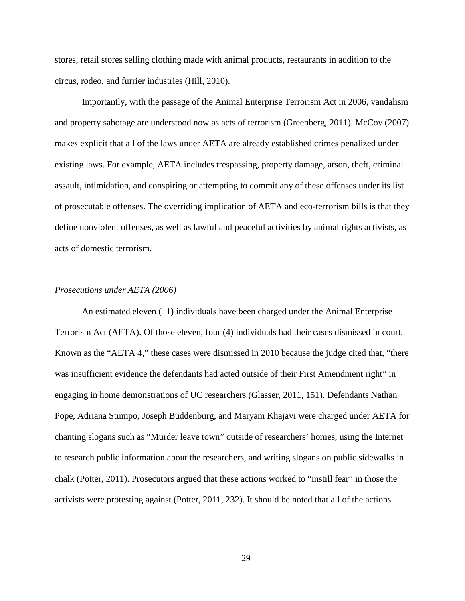stores, retail stores selling clothing made with animal products, restaurants in addition to the circus, rodeo, and furrier industries (Hill, 2010).

Importantly, with the passage of the Animal Enterprise Terrorism Act in 2006, vandalism and property sabotage are understood now as acts of terrorism (Greenberg, 2011). McCoy (2007) makes explicit that all of the laws under AETA are already established crimes penalized under existing laws. For example, AETA includes trespassing, property damage, arson, theft, criminal assault, intimidation, and conspiring or attempting to commit any of these offenses under its list of prosecutable offenses. The overriding implication of AETA and eco-terrorism bills is that they define nonviolent offenses, as well as lawful and peaceful activities by animal rights activists, as acts of domestic terrorism.

#### *Prosecutions under AETA (2006)*

An estimated eleven (11) individuals have been charged under the Animal Enterprise Terrorism Act (AETA). Of those eleven, four (4) individuals had their cases dismissed in court. Known as the "AETA 4," these cases were dismissed in 2010 because the judge cited that, "there was insufficient evidence the defendants had acted outside of their First Amendment right" in engaging in home demonstrations of UC researchers (Glasser, 2011, 151). Defendants Nathan Pope, Adriana Stumpo, Joseph Buddenburg, and Maryam Khajavi were charged under AETA for chanting slogans such as "Murder leave town" outside of researchers' homes, using the Internet to research public information about the researchers, and writing slogans on public sidewalks in chalk (Potter, 2011). Prosecutors argued that these actions worked to "instill fear" in those the activists were protesting against (Potter, 2011, 232). It should be noted that all of the actions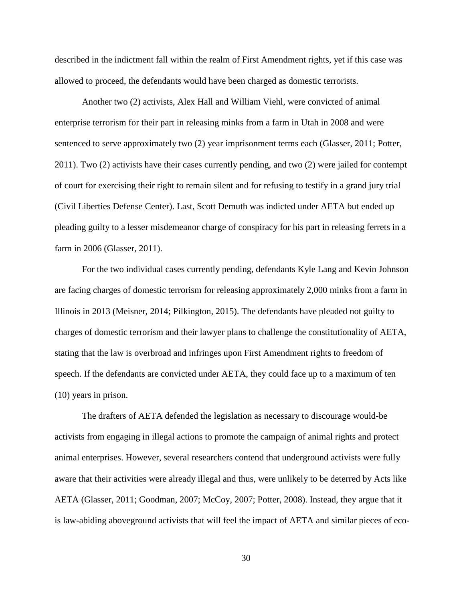described in the indictment fall within the realm of First Amendment rights, yet if this case was allowed to proceed, the defendants would have been charged as domestic terrorists.

Another two (2) activists, Alex Hall and William Viehl, were convicted of animal enterprise terrorism for their part in releasing minks from a farm in Utah in 2008 and were sentenced to serve approximately two (2) year imprisonment terms each (Glasser, 2011; Potter, 2011). Two (2) activists have their cases currently pending, and two (2) were jailed for contempt of court for exercising their right to remain silent and for refusing to testify in a grand jury trial (Civil Liberties Defense Center). Last, Scott Demuth was indicted under AETA but ended up pleading guilty to a lesser misdemeanor charge of conspiracy for his part in releasing ferrets in a farm in 2006 (Glasser, 2011).

For the two individual cases currently pending, defendants Kyle Lang and Kevin Johnson are facing charges of domestic terrorism for releasing approximately 2,000 minks from a farm in Illinois in 2013 (Meisner, 2014; Pilkington, 2015). The defendants have pleaded not guilty to charges of domestic terrorism and their lawyer plans to challenge the constitutionality of AETA, stating that the law is overbroad and infringes upon First Amendment rights to freedom of speech. If the defendants are convicted under AETA, they could face up to a maximum of ten (10) years in prison.

The drafters of AETA defended the legislation as necessary to discourage would-be activists from engaging in illegal actions to promote the campaign of animal rights and protect animal enterprises. However, several researchers contend that underground activists were fully aware that their activities were already illegal and thus, were unlikely to be deterred by Acts like AETA (Glasser, 2011; Goodman, 2007; McCoy, 2007; Potter, 2008). Instead, they argue that it is law-abiding aboveground activists that will feel the impact of AETA and similar pieces of eco-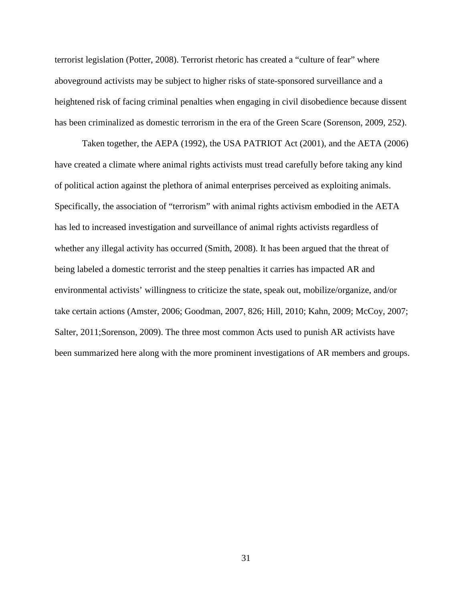terrorist legislation (Potter, 2008). Terrorist rhetoric has created a "culture of fear" where aboveground activists may be subject to higher risks of state-sponsored surveillance and a heightened risk of facing criminal penalties when engaging in civil disobedience because dissent has been criminalized as domestic terrorism in the era of the Green Scare (Sorenson, 2009, 252).

Taken together, the AEPA (1992), the USA PATRIOT Act (2001), and the AETA (2006) have created a climate where animal rights activists must tread carefully before taking any kind of political action against the plethora of animal enterprises perceived as exploiting animals. Specifically, the association of "terrorism" with animal rights activism embodied in the AETA has led to increased investigation and surveillance of animal rights activists regardless of whether any illegal activity has occurred (Smith, 2008). It has been argued that the threat of being labeled a domestic terrorist and the steep penalties it carries has impacted AR and environmental activists' willingness to criticize the state, speak out, mobilize/organize, and/or take certain actions (Amster, 2006; Goodman, 2007, 826; Hill, 2010; Kahn, 2009; McCoy, 2007; Salter, 2011;Sorenson, 2009). The three most common Acts used to punish AR activists have been summarized here along with the more prominent investigations of AR members and groups.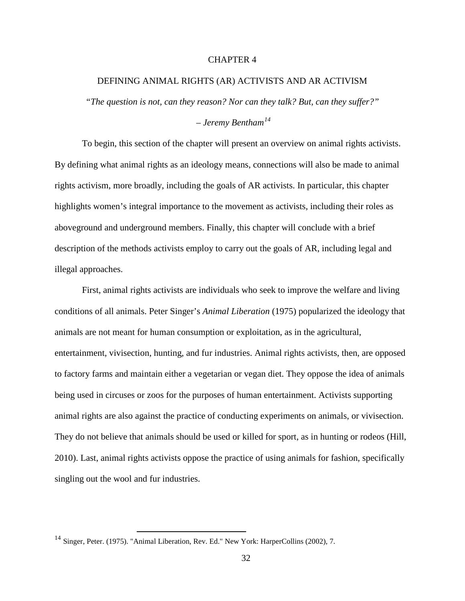# CHAPTER 4

## DEFINING ANIMAL RIGHTS (AR) ACTIVISTS AND AR ACTIVISM

*"The question is not, can they reason? Nor can they talk? But, can they suffer?" – Jeremy Bentham[14](#page-39-0)*

To begin, this section of the chapter will present an overview on animal rights activists. By defining what animal rights as an ideology means, connections will also be made to animal rights activism, more broadly, including the goals of AR activists. In particular, this chapter highlights women's integral importance to the movement as activists, including their roles as aboveground and underground members. Finally, this chapter will conclude with a brief description of the methods activists employ to carry out the goals of AR, including legal and illegal approaches.

First, animal rights activists are individuals who seek to improve the welfare and living conditions of all animals. Peter Singer's *Animal Liberation* (1975) popularized the ideology that animals are not meant for human consumption or exploitation, as in the agricultural, entertainment, vivisection, hunting, and fur industries. Animal rights activists, then, are opposed to factory farms and maintain either a vegetarian or vegan diet. They oppose the idea of animals being used in circuses or zoos for the purposes of human entertainment. Activists supporting animal rights are also against the practice of conducting experiments on animals, or vivisection. They do not believe that animals should be used or killed for sport, as in hunting or rodeos (Hill, 2010). Last, animal rights activists oppose the practice of using animals for fashion, specifically singling out the wool and fur industries.

<span id="page-39-0"></span><sup>&</sup>lt;sup>14</sup> Singer, Peter. (1975). "Animal Liberation, Rev. Ed." New York: HarperCollins (2002), 7.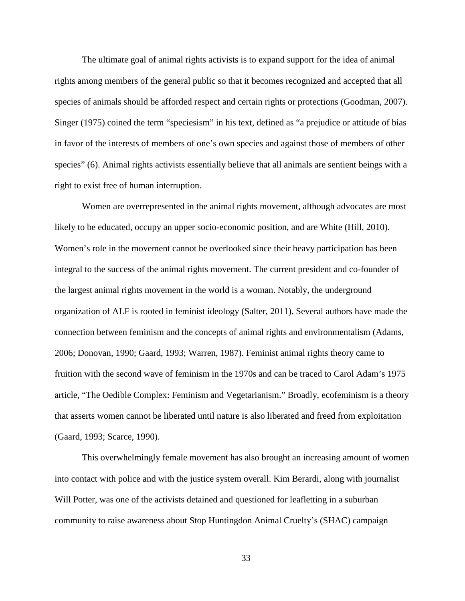The ultimate goal of animal rights activists is to expand support for the idea of animal rights among members of the general public so that it becomes recognized and accepted that all species of animals should be afforded respect and certain rights or protections (Goodman, 2007). Singer (1975) coined the term "speciesism" in his text, defined as "a prejudice or attitude of bias in favor of the interests of members of one's own species and against those of members of other species" (6). Animal rights activists essentially believe that all animals are sentient beings with a right to exist free of human interruption.

Women are overrepresented in the animal rights movement, although advocates are most likely to be educated, occupy an upper socio-economic position, and are White (Hill, 2010). Women's role in the movement cannot be overlooked since their heavy participation has been integral to the success of the animal rights movement. The current president and co-founder of the largest animal rights movement in the world is a woman. Notably, the underground organization of ALF is rooted in feminist ideology (Salter, 2011). Several authors have made the connection between feminism and the concepts of animal rights and environmentalism (Adams, 2006; Donovan, 1990; Gaard, 1993; Warren, 1987). Feminist animal rights theory came to fruition with the second wave of feminism in the 1970s and can be traced to Carol Adam's 1975 article, "The Oedible Complex: Feminism and Vegetarianism." Broadly, ecofeminism is a theory that asserts women cannot be liberated until nature is also liberated and freed from exploitation (Gaard, 1993; Scarce, 1990).

This overwhelmingly female movement has also brought an increasing amount of women into contact with police and with the justice system overall. Kim Berardi, along with journalist Will Potter, was one of the activists detained and questioned for leafletting in a suburban community to raise awareness about Stop Huntingdon Animal Cruelty's (SHAC) campaign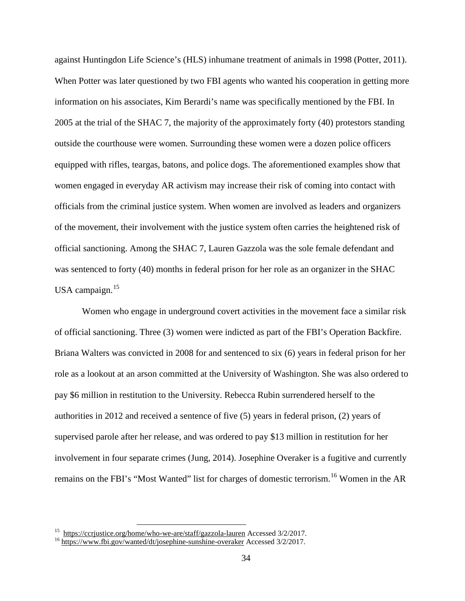against Huntingdon Life Science's (HLS) inhumane treatment of animals in 1998 (Potter, 2011). When Potter was later questioned by two FBI agents who wanted his cooperation in getting more information on his associates, Kim Berardi's name was specifically mentioned by the FBI. In 2005 at the trial of the SHAC 7, the majority of the approximately forty (40) protestors standing outside the courthouse were women. Surrounding these women were a dozen police officers equipped with rifles, teargas, batons, and police dogs. The aforementioned examples show that women engaged in everyday AR activism may increase their risk of coming into contact with officials from the criminal justice system. When women are involved as leaders and organizers of the movement, their involvement with the justice system often carries the heightened risk of official sanctioning. Among the SHAC 7, Lauren Gazzola was the sole female defendant and was sentenced to forty (40) months in federal prison for her role as an organizer in the SHAC USA campaign.<sup>[15](#page-41-0)</sup>

Women who engage in underground covert activities in the movement face a similar risk of official sanctioning. Three (3) women were indicted as part of the FBI's Operation Backfire. Briana Walters was convicted in 2008 for and sentenced to six (6) years in federal prison for her role as a lookout at an arson committed at the University of Washington. She was also ordered to pay \$6 million in restitution to the University. Rebecca Rubin surrendered herself to the authorities in 2012 and received a sentence of five (5) years in federal prison, (2) years of supervised parole after her release, and was ordered to pay \$13 million in restitution for her involvement in four separate crimes (Jung, 2014). Josephine Overaker is a fugitive and currently remains on the FBI's "Most Wanted" list for charges of domestic terrorism.<sup>[16](#page-41-1)</sup> Women in the AR

<span id="page-41-0"></span><sup>&</sup>lt;sup>15</sup> <https://ccrjustice.org/home/who-we-are/staff/gazzola-lauren> Accessed 3/2/2017.<br><sup>16</sup> <https://www.fbi.gov/wanted/dt/josephine-sunshine-overaker> Accessed 3/2/2017.

<span id="page-41-1"></span>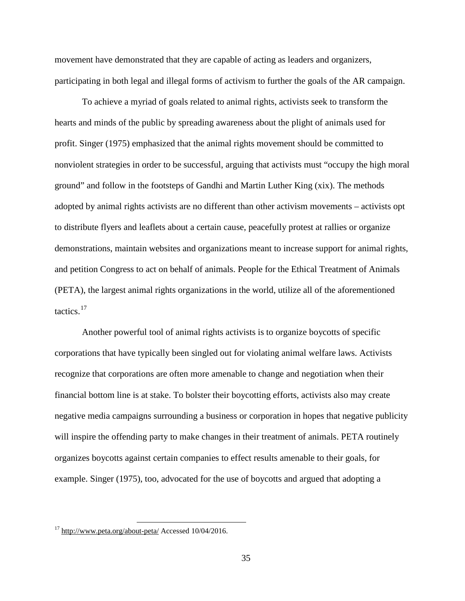movement have demonstrated that they are capable of acting as leaders and organizers, participating in both legal and illegal forms of activism to further the goals of the AR campaign.

To achieve a myriad of goals related to animal rights, activists seek to transform the hearts and minds of the public by spreading awareness about the plight of animals used for profit. Singer (1975) emphasized that the animal rights movement should be committed to nonviolent strategies in order to be successful, arguing that activists must "occupy the high moral ground" and follow in the footsteps of Gandhi and Martin Luther King (xix). The methods adopted by animal rights activists are no different than other activism movements – activists opt to distribute flyers and leaflets about a certain cause, peacefully protest at rallies or organize demonstrations, maintain websites and organizations meant to increase support for animal rights, and petition Congress to act on behalf of animals. People for the Ethical Treatment of Animals (PETA), the largest animal rights organizations in the world, utilize all of the aforementioned tactics. [17](#page-42-0)

Another powerful tool of animal rights activists is to organize boycotts of specific corporations that have typically been singled out for violating animal welfare laws. Activists recognize that corporations are often more amenable to change and negotiation when their financial bottom line is at stake. To bolster their boycotting efforts, activists also may create negative media campaigns surrounding a business or corporation in hopes that negative publicity will inspire the offending party to make changes in their treatment of animals. PETA routinely organizes boycotts against certain companies to effect results amenable to their goals, for example. Singer (1975), too, advocated for the use of boycotts and argued that adopting a

<span id="page-42-0"></span> $17$  <http://www.peta.org/about-peta/> Accessed 10/04/2016.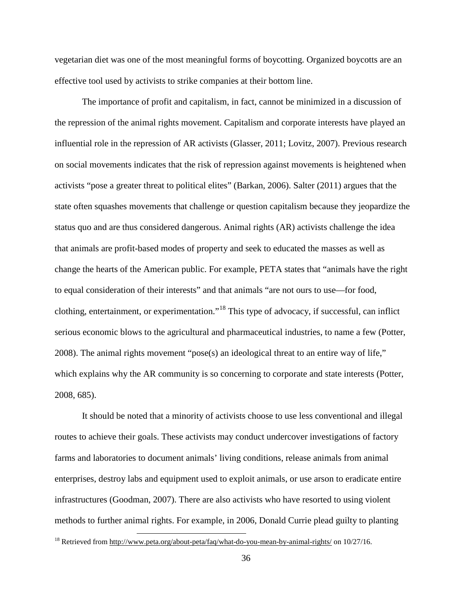vegetarian diet was one of the most meaningful forms of boycotting. Organized boycotts are an effective tool used by activists to strike companies at their bottom line.

The importance of profit and capitalism, in fact, cannot be minimized in a discussion of the repression of the animal rights movement. Capitalism and corporate interests have played an influential role in the repression of AR activists (Glasser, 2011; Lovitz, 2007). Previous research on social movements indicates that the risk of repression against movements is heightened when activists "pose a greater threat to political elites" (Barkan, 2006). Salter (2011) argues that the state often squashes movements that challenge or question capitalism because they jeopardize the status quo and are thus considered dangerous. Animal rights (AR) activists challenge the idea that animals are profit-based modes of property and seek to educated the masses as well as change the hearts of the American public. For example, PETA states that "animals have the right to equal consideration of their interests" and that animals "are not ours to use—for food, clothing, entertainment, or experimentation."[18](#page-43-0) This type of advocacy, if successful, can inflict serious economic blows to the agricultural and pharmaceutical industries, to name a few (Potter, 2008). The animal rights movement "pose(s) an ideological threat to an entire way of life," which explains why the AR community is so concerning to corporate and state interests (Potter, 2008, 685).

It should be noted that a minority of activists choose to use less conventional and illegal routes to achieve their goals. These activists may conduct undercover investigations of factory farms and laboratories to document animals' living conditions, release animals from animal enterprises, destroy labs and equipment used to exploit animals, or use arson to eradicate entire infrastructures (Goodman, 2007). There are also activists who have resorted to using violent methods to further animal rights. For example, in 2006, Donald Currie plead guilty to planting

<span id="page-43-0"></span><sup>&</sup>lt;sup>18</sup> Retrieved from<http://www.peta.org/about-peta/faq/what-do-you-mean-by-animal-rights/> on 10/27/16.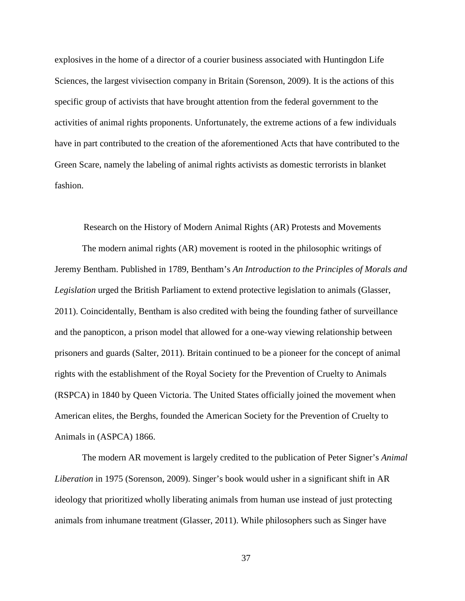explosives in the home of a director of a courier business associated with Huntingdon Life Sciences, the largest vivisection company in Britain (Sorenson, 2009). It is the actions of this specific group of activists that have brought attention from the federal government to the activities of animal rights proponents. Unfortunately, the extreme actions of a few individuals have in part contributed to the creation of the aforementioned Acts that have contributed to the Green Scare, namely the labeling of animal rights activists as domestic terrorists in blanket fashion.

Research on the History of Modern Animal Rights (AR) Protests and Movements

The modern animal rights (AR) movement is rooted in the philosophic writings of Jeremy Bentham. Published in 1789, Bentham's *An Introduction to the Principles of Morals and Legislation* urged the British Parliament to extend protective legislation to animals (Glasser, 2011). Coincidentally, Bentham is also credited with being the founding father of surveillance and the panopticon, a prison model that allowed for a one-way viewing relationship between prisoners and guards (Salter, 2011). Britain continued to be a pioneer for the concept of animal rights with the establishment of the Royal Society for the Prevention of Cruelty to Animals (RSPCA) in 1840 by Queen Victoria. The United States officially joined the movement when American elites, the Berghs, founded the American Society for the Prevention of Cruelty to Animals in (ASPCA) 1866.

The modern AR movement is largely credited to the publication of Peter Signer's *Animal Liberation* in 1975 (Sorenson, 2009). Singer's book would usher in a significant shift in AR ideology that prioritized wholly liberating animals from human use instead of just protecting animals from inhumane treatment (Glasser, 2011). While philosophers such as Singer have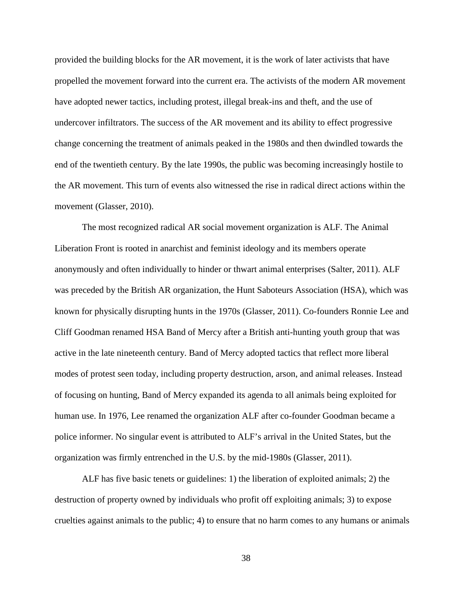provided the building blocks for the AR movement, it is the work of later activists that have propelled the movement forward into the current era. The activists of the modern AR movement have adopted newer tactics, including protest, illegal break-ins and theft, and the use of undercover infiltrators. The success of the AR movement and its ability to effect progressive change concerning the treatment of animals peaked in the 1980s and then dwindled towards the end of the twentieth century. By the late 1990s, the public was becoming increasingly hostile to the AR movement. This turn of events also witnessed the rise in radical direct actions within the movement (Glasser, 2010).

The most recognized radical AR social movement organization is ALF. The Animal Liberation Front is rooted in anarchist and feminist ideology and its members operate anonymously and often individually to hinder or thwart animal enterprises (Salter, 2011). ALF was preceded by the British AR organization, the Hunt Saboteurs Association (HSA), which was known for physically disrupting hunts in the 1970s (Glasser, 2011). Co-founders Ronnie Lee and Cliff Goodman renamed HSA Band of Mercy after a British anti-hunting youth group that was active in the late nineteenth century. Band of Mercy adopted tactics that reflect more liberal modes of protest seen today, including property destruction, arson, and animal releases. Instead of focusing on hunting, Band of Mercy expanded its agenda to all animals being exploited for human use. In 1976, Lee renamed the organization ALF after co-founder Goodman became a police informer. No singular event is attributed to ALF's arrival in the United States, but the organization was firmly entrenched in the U.S. by the mid-1980s (Glasser, 2011).

ALF has five basic tenets or guidelines: 1) the liberation of exploited animals; 2) the destruction of property owned by individuals who profit off exploiting animals; 3) to expose cruelties against animals to the public; 4) to ensure that no harm comes to any humans or animals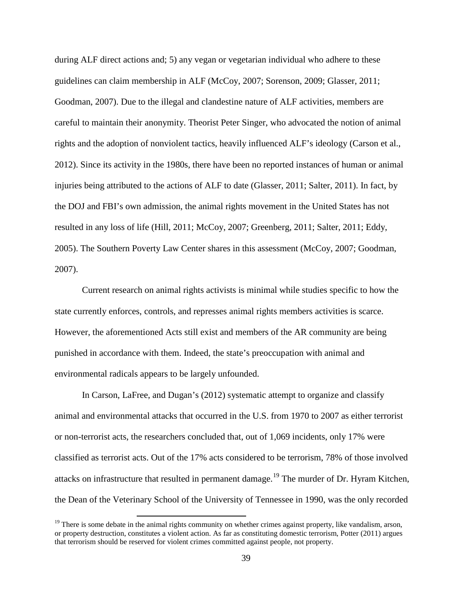during ALF direct actions and; 5) any vegan or vegetarian individual who adhere to these guidelines can claim membership in ALF (McCoy, 2007; Sorenson, 2009; Glasser, 2011; Goodman, 2007). Due to the illegal and clandestine nature of ALF activities, members are careful to maintain their anonymity. Theorist Peter Singer, who advocated the notion of animal rights and the adoption of nonviolent tactics, heavily influenced ALF's ideology (Carson et al., 2012). Since its activity in the 1980s, there have been no reported instances of human or animal injuries being attributed to the actions of ALF to date (Glasser, 2011; Salter, 2011). In fact, by the DOJ and FBI's own admission, the animal rights movement in the United States has not resulted in any loss of life (Hill, 2011; McCoy, 2007; Greenberg, 2011; Salter, 2011; Eddy, 2005). The Southern Poverty Law Center shares in this assessment (McCoy, 2007; Goodman, 2007).

Current research on animal rights activists is minimal while studies specific to how the state currently enforces, controls, and represses animal rights members activities is scarce. However, the aforementioned Acts still exist and members of the AR community are being punished in accordance with them. Indeed, the state's preoccupation with animal and environmental radicals appears to be largely unfounded.

In Carson, LaFree, and Dugan's (2012) systematic attempt to organize and classify animal and environmental attacks that occurred in the U.S. from 1970 to 2007 as either terrorist or non-terrorist acts, the researchers concluded that, out of 1,069 incidents, only 17% were classified as terrorist acts. Out of the 17% acts considered to be terrorism, 78% of those involved attacks on infrastructure that resulted in permanent damage.<sup>[19](#page-46-0)</sup> The murder of Dr. Hyram Kitchen, the Dean of the Veterinary School of the University of Tennessee in 1990, was the only recorded

<span id="page-46-0"></span> $19$  There is some debate in the animal rights community on whether crimes against property, like vandalism, arson, or property destruction, constitutes a violent action. As far as constituting domestic terrorism, Potter (2011) argues that terrorism should be reserved for violent crimes committed against people, not property.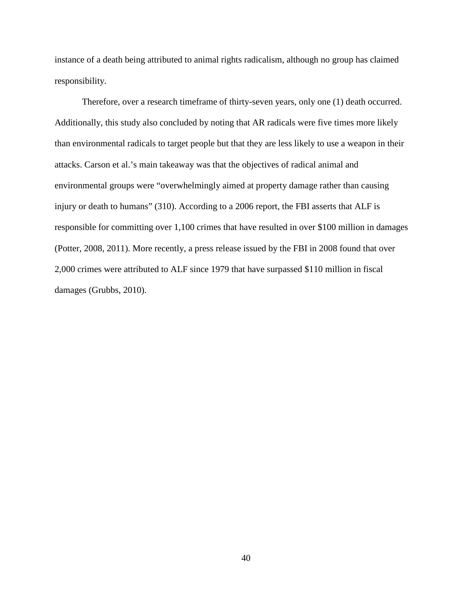instance of a death being attributed to animal rights radicalism, although no group has claimed responsibility.

Therefore, over a research timeframe of thirty-seven years, only one (1) death occurred. Additionally, this study also concluded by noting that AR radicals were five times more likely than environmental radicals to target people but that they are less likely to use a weapon in their attacks. Carson et al.'s main takeaway was that the objectives of radical animal and environmental groups were "overwhelmingly aimed at property damage rather than causing injury or death to humans" (310). According to a 2006 report, the FBI asserts that ALF is responsible for committing over 1,100 crimes that have resulted in over \$100 million in damages (Potter, 2008, 2011). More recently, a press release issued by the FBI in 2008 found that over 2,000 crimes were attributed to ALF since 1979 that have surpassed \$110 million in fiscal damages (Grubbs, 2010).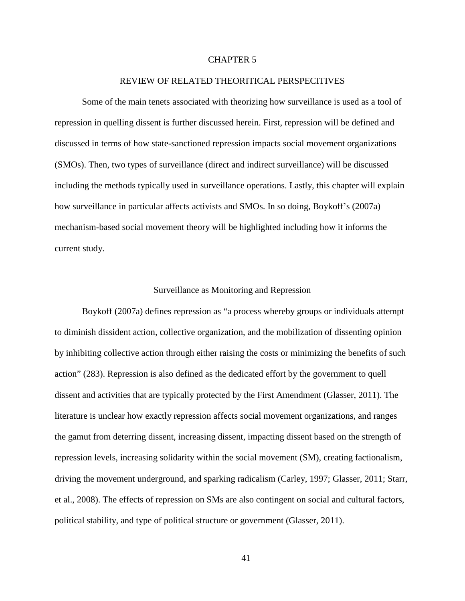## CHAPTER 5

### REVIEW OF RELATED THEORITICAL PERSPECITIVES

Some of the main tenets associated with theorizing how surveillance is used as a tool of repression in quelling dissent is further discussed herein. First, repression will be defined and discussed in terms of how state-sanctioned repression impacts social movement organizations (SMOs). Then, two types of surveillance (direct and indirect surveillance) will be discussed including the methods typically used in surveillance operations. Lastly, this chapter will explain how surveillance in particular affects activists and SMOs. In so doing, Boykoff's (2007a) mechanism-based social movement theory will be highlighted including how it informs the current study.

#### Surveillance as Monitoring and Repression

Boykoff (2007a) defines repression as "a process whereby groups or individuals attempt to diminish dissident action, collective organization, and the mobilization of dissenting opinion by inhibiting collective action through either raising the costs or minimizing the benefits of such action" (283). Repression is also defined as the dedicated effort by the government to quell dissent and activities that are typically protected by the First Amendment (Glasser, 2011). The literature is unclear how exactly repression affects social movement organizations, and ranges the gamut from deterring dissent, increasing dissent, impacting dissent based on the strength of repression levels, increasing solidarity within the social movement (SM), creating factionalism, driving the movement underground, and sparking radicalism (Carley, 1997; Glasser, 2011; Starr, et al., 2008). The effects of repression on SMs are also contingent on social and cultural factors, political stability, and type of political structure or government (Glasser, 2011).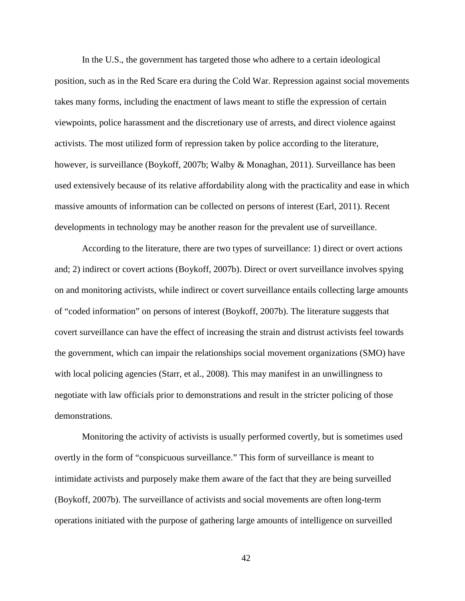In the U.S., the government has targeted those who adhere to a certain ideological position, such as in the Red Scare era during the Cold War. Repression against social movements takes many forms, including the enactment of laws meant to stifle the expression of certain viewpoints, police harassment and the discretionary use of arrests, and direct violence against activists. The most utilized form of repression taken by police according to the literature, however, is surveillance (Boykoff, 2007b; Walby & Monaghan, 2011). Surveillance has been used extensively because of its relative affordability along with the practicality and ease in which massive amounts of information can be collected on persons of interest (Earl, 2011). Recent developments in technology may be another reason for the prevalent use of surveillance.

According to the literature, there are two types of surveillance: 1) direct or overt actions and; 2) indirect or covert actions (Boykoff, 2007b). Direct or overt surveillance involves spying on and monitoring activists, while indirect or covert surveillance entails collecting large amounts of "coded information" on persons of interest (Boykoff, 2007b). The literature suggests that covert surveillance can have the effect of increasing the strain and distrust activists feel towards the government, which can impair the relationships social movement organizations (SMO) have with local policing agencies (Starr, et al., 2008). This may manifest in an unwillingness to negotiate with law officials prior to demonstrations and result in the stricter policing of those demonstrations.

Monitoring the activity of activists is usually performed covertly, but is sometimes used overtly in the form of "conspicuous surveillance." This form of surveillance is meant to intimidate activists and purposely make them aware of the fact that they are being surveilled (Boykoff, 2007b). The surveillance of activists and social movements are often long-term operations initiated with the purpose of gathering large amounts of intelligence on surveilled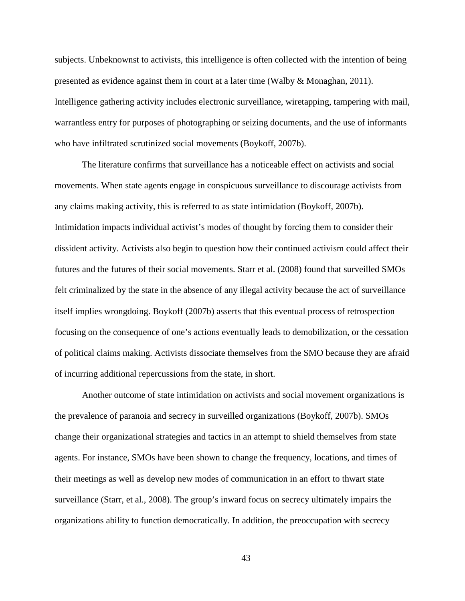subjects. Unbeknownst to activists, this intelligence is often collected with the intention of being presented as evidence against them in court at a later time (Walby & Monaghan, 2011). Intelligence gathering activity includes electronic surveillance, wiretapping, tampering with mail, warrantless entry for purposes of photographing or seizing documents, and the use of informants who have infiltrated scrutinized social movements (Boykoff, 2007b).

The literature confirms that surveillance has a noticeable effect on activists and social movements. When state agents engage in conspicuous surveillance to discourage activists from any claims making activity, this is referred to as state intimidation (Boykoff, 2007b). Intimidation impacts individual activist's modes of thought by forcing them to consider their dissident activity. Activists also begin to question how their continued activism could affect their futures and the futures of their social movements. Starr et al. (2008) found that surveilled SMOs felt criminalized by the state in the absence of any illegal activity because the act of surveillance itself implies wrongdoing. Boykoff (2007b) asserts that this eventual process of retrospection focusing on the consequence of one's actions eventually leads to demobilization, or the cessation of political claims making. Activists dissociate themselves from the SMO because they are afraid of incurring additional repercussions from the state, in short.

Another outcome of state intimidation on activists and social movement organizations is the prevalence of paranoia and secrecy in surveilled organizations (Boykoff, 2007b). SMOs change their organizational strategies and tactics in an attempt to shield themselves from state agents. For instance, SMOs have been shown to change the frequency, locations, and times of their meetings as well as develop new modes of communication in an effort to thwart state surveillance (Starr, et al., 2008). The group's inward focus on secrecy ultimately impairs the organizations ability to function democratically. In addition, the preoccupation with secrecy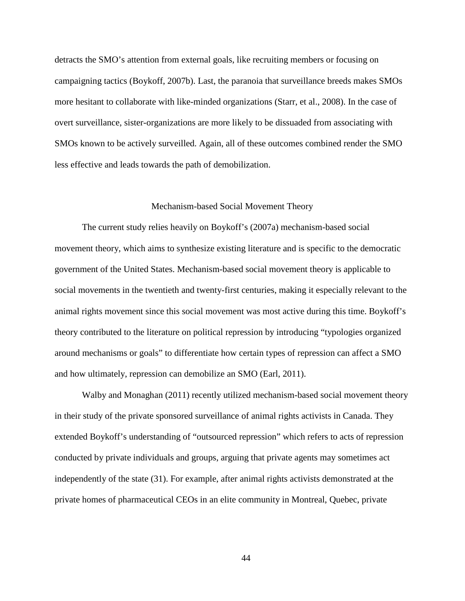detracts the SMO's attention from external goals, like recruiting members or focusing on campaigning tactics (Boykoff, 2007b). Last, the paranoia that surveillance breeds makes SMOs more hesitant to collaborate with like-minded organizations (Starr, et al., 2008). In the case of overt surveillance, sister-organizations are more likely to be dissuaded from associating with SMOs known to be actively surveilled. Again, all of these outcomes combined render the SMO less effective and leads towards the path of demobilization.

#### Mechanism-based Social Movement Theory

The current study relies heavily on Boykoff's (2007a) mechanism-based social movement theory, which aims to synthesize existing literature and is specific to the democratic government of the United States. Mechanism-based social movement theory is applicable to social movements in the twentieth and twenty-first centuries, making it especially relevant to the animal rights movement since this social movement was most active during this time. Boykoff's theory contributed to the literature on political repression by introducing "typologies organized around mechanisms or goals" to differentiate how certain types of repression can affect a SMO and how ultimately, repression can demobilize an SMO (Earl, 2011).

Walby and Monaghan (2011) recently utilized mechanism-based social movement theory in their study of the private sponsored surveillance of animal rights activists in Canada. They extended Boykoff's understanding of "outsourced repression" which refers to acts of repression conducted by private individuals and groups, arguing that private agents may sometimes act independently of the state (31). For example, after animal rights activists demonstrated at the private homes of pharmaceutical CEOs in an elite community in Montreal, Quebec, private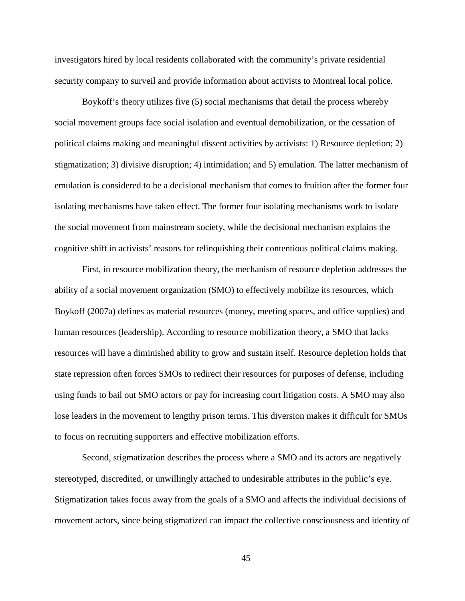investigators hired by local residents collaborated with the community's private residential security company to surveil and provide information about activists to Montreal local police.

Boykoff's theory utilizes five (5) social mechanisms that detail the process whereby social movement groups face social isolation and eventual demobilization, or the cessation of political claims making and meaningful dissent activities by activists: 1) Resource depletion; 2) stigmatization; 3) divisive disruption; 4) intimidation; and 5) emulation. The latter mechanism of emulation is considered to be a decisional mechanism that comes to fruition after the former four isolating mechanisms have taken effect. The former four isolating mechanisms work to isolate the social movement from mainstream society, while the decisional mechanism explains the cognitive shift in activists' reasons for relinquishing their contentious political claims making.

First, in resource mobilization theory, the mechanism of resource depletion addresses the ability of a social movement organization (SMO) to effectively mobilize its resources, which Boykoff (2007a) defines as material resources (money, meeting spaces, and office supplies) and human resources (leadership). According to resource mobilization theory, a SMO that lacks resources will have a diminished ability to grow and sustain itself. Resource depletion holds that state repression often forces SMOs to redirect their resources for purposes of defense, including using funds to bail out SMO actors or pay for increasing court litigation costs. A SMO may also lose leaders in the movement to lengthy prison terms. This diversion makes it difficult for SMOs to focus on recruiting supporters and effective mobilization efforts.

Second, stigmatization describes the process where a SMO and its actors are negatively stereotyped, discredited, or unwillingly attached to undesirable attributes in the public's eye. Stigmatization takes focus away from the goals of a SMO and affects the individual decisions of movement actors, since being stigmatized can impact the collective consciousness and identity of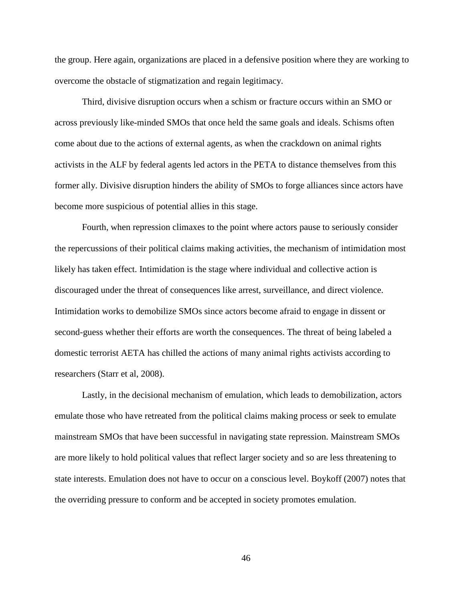the group. Here again, organizations are placed in a defensive position where they are working to overcome the obstacle of stigmatization and regain legitimacy.

Third, divisive disruption occurs when a schism or fracture occurs within an SMO or across previously like-minded SMOs that once held the same goals and ideals. Schisms often come about due to the actions of external agents, as when the crackdown on animal rights activists in the ALF by federal agents led actors in the PETA to distance themselves from this former ally. Divisive disruption hinders the ability of SMOs to forge alliances since actors have become more suspicious of potential allies in this stage.

Fourth, when repression climaxes to the point where actors pause to seriously consider the repercussions of their political claims making activities, the mechanism of intimidation most likely has taken effect. Intimidation is the stage where individual and collective action is discouraged under the threat of consequences like arrest, surveillance, and direct violence. Intimidation works to demobilize SMOs since actors become afraid to engage in dissent or second-guess whether their efforts are worth the consequences. The threat of being labeled a domestic terrorist AETA has chilled the actions of many animal rights activists according to researchers (Starr et al, 2008).

Lastly, in the decisional mechanism of emulation, which leads to demobilization, actors emulate those who have retreated from the political claims making process or seek to emulate mainstream SMOs that have been successful in navigating state repression. Mainstream SMOs are more likely to hold political values that reflect larger society and so are less threatening to state interests. Emulation does not have to occur on a conscious level. Boykoff (2007) notes that the overriding pressure to conform and be accepted in society promotes emulation.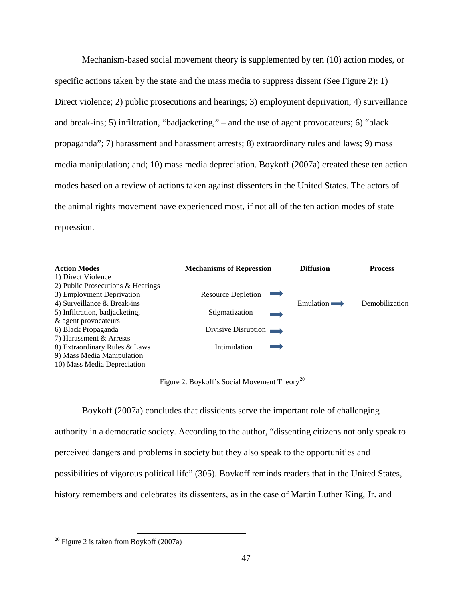Mechanism-based social movement theory is supplemented by ten (10) action modes, or specific actions taken by the state and the mass media to suppress dissent (See Figure 2): 1) Direct violence; 2) public prosecutions and hearings; 3) employment deprivation; 4) surveillance and break-ins; 5) infiltration, "badjacketing," – and the use of agent provocateurs; 6) "black propaganda"; 7) harassment and harassment arrests; 8) extraordinary rules and laws; 9) mass media manipulation; and; 10) mass media depreciation. Boykoff (2007a) created these ten action modes based on a review of actions taken against dissenters in the United States. The actors of the animal rights movement have experienced most, if not all of the ten action modes of state repression.

| <b>Action Modes</b>               | <b>Mechanisms of Repression</b>       | <b>Diffusion</b> | <b>Process</b> |
|-----------------------------------|---------------------------------------|------------------|----------------|
| 1) Direct Violence                |                                       |                  |                |
| 2) Public Prosecutions & Hearings |                                       |                  |                |
| 3) Employment Deprivation         | Resource Depletion<br><b>Contract</b> |                  |                |
| 4) Surveillance & Break-ins       |                                       | Emulation        | Demobilization |
| 5) Infiltration, badjacketing,    | Stigmatization                        |                  |                |
| & agent provocateurs              |                                       |                  |                |
| 6) Black Propaganda               | Divisive Disruption $\longrightarrow$ |                  |                |
| 7) Harassment & Arrests           |                                       |                  |                |
| 8) Extraordinary Rules & Laws     | Intimidation                          |                  |                |
| 9) Mass Media Manipulation        |                                       |                  |                |
| 10) Mass Media Depreciation       |                                       |                  |                |

Figure 2. Boykoff's Social Movement Theory<sup>[20](#page-54-0)</sup>

Boykoff (2007a) concludes that dissidents serve the important role of challenging authority in a democratic society. According to the author, "dissenting citizens not only speak to perceived dangers and problems in society but they also speak to the opportunities and possibilities of vigorous political life" (305). Boykoff reminds readers that in the United States, history remembers and celebrates its dissenters, as in the case of Martin Luther King, Jr. and

<span id="page-54-0"></span> $20$  Figure 2 is taken from Boykoff (2007a)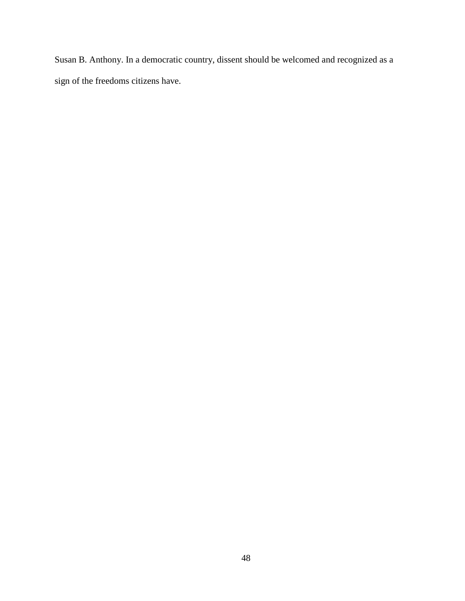Susan B. Anthony. In a democratic country, dissent should be welcomed and recognized as a sign of the freedoms citizens have.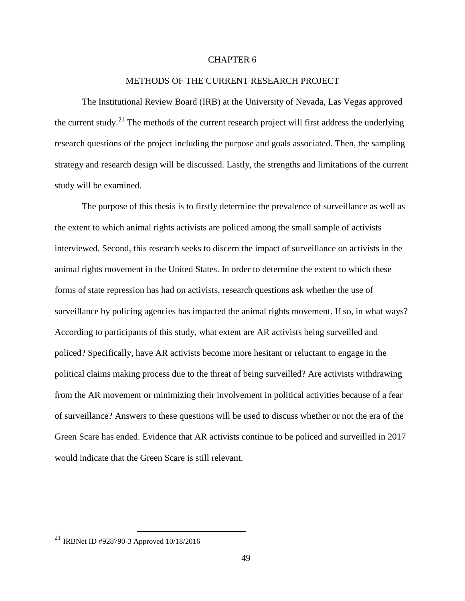# CHAPTER 6

### METHODS OF THE CURRENT RESEARCH PROJECT

The Institutional Review Board (IRB) at the University of Nevada, Las Vegas approved the current study.<sup>[21](#page-56-0)</sup> The methods of the current research project will first address the underlying research questions of the project including the purpose and goals associated. Then, the sampling strategy and research design will be discussed. Lastly, the strengths and limitations of the current study will be examined.

The purpose of this thesis is to firstly determine the prevalence of surveillance as well as the extent to which animal rights activists are policed among the small sample of activists interviewed. Second, this research seeks to discern the impact of surveillance on activists in the animal rights movement in the United States. In order to determine the extent to which these forms of state repression has had on activists, research questions ask whether the use of surveillance by policing agencies has impacted the animal rights movement. If so, in what ways? According to participants of this study, what extent are AR activists being surveilled and policed? Specifically, have AR activists become more hesitant or reluctant to engage in the political claims making process due to the threat of being surveilled? Are activists withdrawing from the AR movement or minimizing their involvement in political activities because of a fear of surveillance? Answers to these questions will be used to discuss whether or not the era of the Green Scare has ended. Evidence that AR activists continue to be policed and surveilled in 2017 would indicate that the Green Scare is still relevant.

<span id="page-56-0"></span><sup>21</sup> IRBNet ID #928790-3 Approved 10/18/2016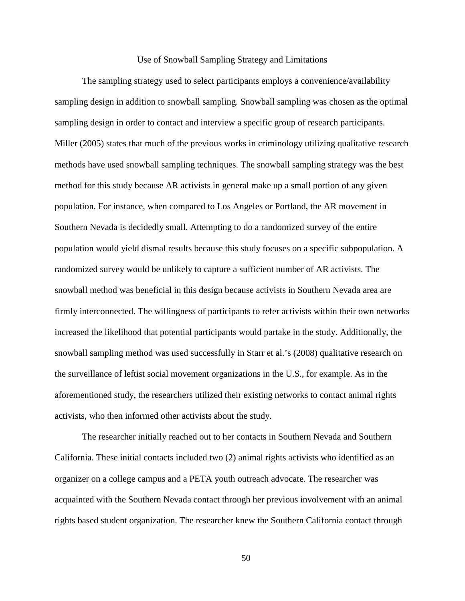#### Use of Snowball Sampling Strategy and Limitations

The sampling strategy used to select participants employs a convenience/availability sampling design in addition to snowball sampling. Snowball sampling was chosen as the optimal sampling design in order to contact and interview a specific group of research participants. Miller (2005) states that much of the previous works in criminology utilizing qualitative research methods have used snowball sampling techniques. The snowball sampling strategy was the best method for this study because AR activists in general make up a small portion of any given population. For instance, when compared to Los Angeles or Portland, the AR movement in Southern Nevada is decidedly small. Attempting to do a randomized survey of the entire population would yield dismal results because this study focuses on a specific subpopulation. A randomized survey would be unlikely to capture a sufficient number of AR activists. The snowball method was beneficial in this design because activists in Southern Nevada area are firmly interconnected. The willingness of participants to refer activists within their own networks increased the likelihood that potential participants would partake in the study. Additionally, the snowball sampling method was used successfully in Starr et al.'s (2008) qualitative research on the surveillance of leftist social movement organizations in the U.S., for example. As in the aforementioned study, the researchers utilized their existing networks to contact animal rights activists, who then informed other activists about the study.

The researcher initially reached out to her contacts in Southern Nevada and Southern California. These initial contacts included two (2) animal rights activists who identified as an organizer on a college campus and a PETA youth outreach advocate. The researcher was acquainted with the Southern Nevada contact through her previous involvement with an animal rights based student organization. The researcher knew the Southern California contact through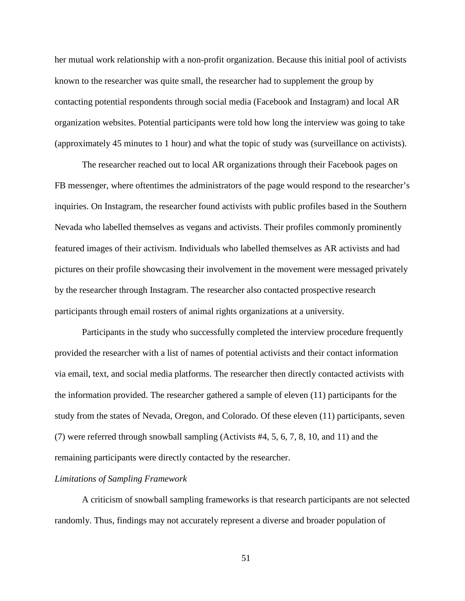her mutual work relationship with a non-profit organization. Because this initial pool of activists known to the researcher was quite small, the researcher had to supplement the group by contacting potential respondents through social media (Facebook and Instagram) and local AR organization websites. Potential participants were told how long the interview was going to take (approximately 45 minutes to 1 hour) and what the topic of study was (surveillance on activists).

The researcher reached out to local AR organizations through their Facebook pages on FB messenger, where oftentimes the administrators of the page would respond to the researcher's inquiries. On Instagram, the researcher found activists with public profiles based in the Southern Nevada who labelled themselves as vegans and activists. Their profiles commonly prominently featured images of their activism. Individuals who labelled themselves as AR activists and had pictures on their profile showcasing their involvement in the movement were messaged privately by the researcher through Instagram. The researcher also contacted prospective research participants through email rosters of animal rights organizations at a university.

Participants in the study who successfully completed the interview procedure frequently provided the researcher with a list of names of potential activists and their contact information via email, text, and social media platforms. The researcher then directly contacted activists with the information provided. The researcher gathered a sample of eleven (11) participants for the study from the states of Nevada, Oregon, and Colorado. Of these eleven (11) participants, seven (7) were referred through snowball sampling (Activists #4, 5, 6, 7, 8, 10, and 11) and the remaining participants were directly contacted by the researcher.

#### *Limitations of Sampling Framework*

A criticism of snowball sampling frameworks is that research participants are not selected randomly. Thus, findings may not accurately represent a diverse and broader population of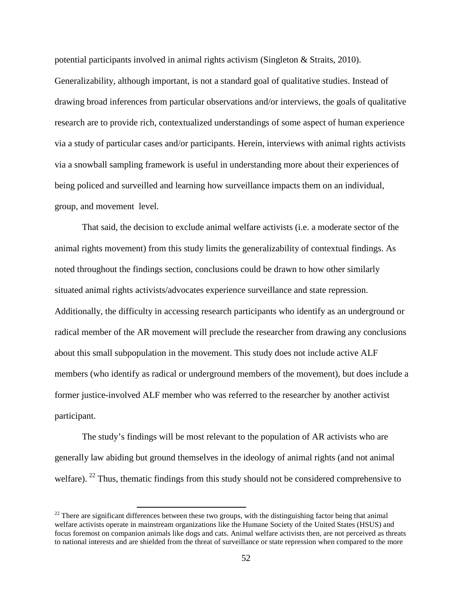potential participants involved in animal rights activism (Singleton & Straits, 2010).

Generalizability, although important, is not a standard goal of qualitative studies. Instead of drawing broad inferences from particular observations and/or interviews, the goals of qualitative research are to provide rich, contextualized understandings of some aspect of human experience via a study of particular cases and/or participants. Herein, interviews with animal rights activists via a snowball sampling framework is useful in understanding more about their experiences of being policed and surveilled and learning how surveillance impacts them on an individual, group, and movement level.

That said, the decision to exclude animal welfare activists (i.e. a moderate sector of the animal rights movement) from this study limits the generalizability of contextual findings. As noted throughout the findings section, conclusions could be drawn to how other similarly situated animal rights activists/advocates experience surveillance and state repression. Additionally, the difficulty in accessing research participants who identify as an underground or radical member of the AR movement will preclude the researcher from drawing any conclusions about this small subpopulation in the movement. This study does not include active ALF members (who identify as radical or underground members of the movement), but does include a former justice-involved ALF member who was referred to the researcher by another activist participant.

The study's findings will be most relevant to the population of AR activists who are generally law abiding but ground themselves in the ideology of animal rights (and not animal welfare). <sup>[22](#page-59-0)</sup> Thus, thematic findings from this study should not be considered comprehensive to

<span id="page-59-0"></span> $22$  There are significant differences between these two groups, with the distinguishing factor being that animal welfare activists operate in mainstream organizations like the Humane Society of the United States (HSUS) and focus foremost on companion animals like dogs and cats. Animal welfare activists then, are not perceived as threats to national interests and are shielded from the threat of surveillance or state repression when compared to the more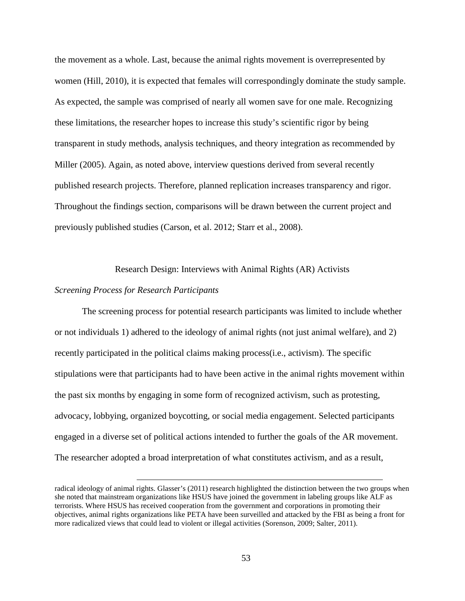the movement as a whole. Last, because the animal rights movement is overrepresented by women (Hill, 2010), it is expected that females will correspondingly dominate the study sample. As expected, the sample was comprised of nearly all women save for one male. Recognizing these limitations, the researcher hopes to increase this study's scientific rigor by being transparent in study methods, analysis techniques, and theory integration as recommended by Miller (2005). Again, as noted above, interview questions derived from several recently published research projects. Therefore, planned replication increases transparency and rigor. Throughout the findings section, comparisons will be drawn between the current project and previously published studies (Carson, et al. 2012; Starr et al., 2008).

Research Design: Interviews with Animal Rights (AR) Activists

### *Screening Process for Research Participants*

 $\overline{\phantom{a}}$ 

The screening process for potential research participants was limited to include whether or not individuals 1) adhered to the ideology of animal rights (not just animal welfare), and 2) recently participated in the political claims making process(i.e., activism). The specific stipulations were that participants had to have been active in the animal rights movement within the past six months by engaging in some form of recognized activism, such as protesting, advocacy, lobbying, organized boycotting, or social media engagement. Selected participants engaged in a diverse set of political actions intended to further the goals of the AR movement. The researcher adopted a broad interpretation of what constitutes activism, and as a result,

radical ideology of animal rights. Glasser's (2011) research highlighted the distinction between the two groups when she noted that mainstream organizations like HSUS have joined the government in labeling groups like ALF as terrorists. Where HSUS has received cooperation from the government and corporations in promoting their objectives, animal rights organizations like PETA have been surveilled and attacked by the FBI as being a front for more radicalized views that could lead to violent or illegal activities (Sorenson, 2009; Salter, 2011).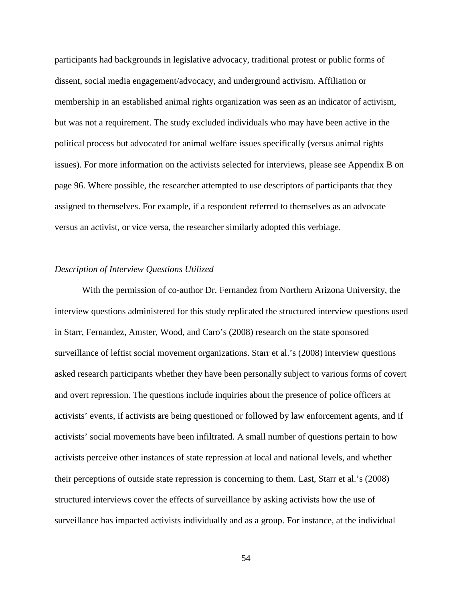participants had backgrounds in legislative advocacy, traditional protest or public forms of dissent, social media engagement/advocacy, and underground activism. Affiliation or membership in an established animal rights organization was seen as an indicator of activism, but was not a requirement. The study excluded individuals who may have been active in the political process but advocated for animal welfare issues specifically (versus animal rights issues). For more information on the activists selected for interviews, please see Appendix B on page 96. Where possible, the researcher attempted to use descriptors of participants that they assigned to themselves. For example, if a respondent referred to themselves as an advocate versus an activist, or vice versa, the researcher similarly adopted this verbiage.

#### *Description of Interview Questions Utilized*

With the permission of co-author Dr. Fernandez from Northern Arizona University, the interview questions administered for this study replicated the structured interview questions used in Starr, Fernandez, Amster, Wood, and Caro's (2008) research on the state sponsored surveillance of leftist social movement organizations. Starr et al.'s (2008) interview questions asked research participants whether they have been personally subject to various forms of covert and overt repression. The questions include inquiries about the presence of police officers at activists' events, if activists are being questioned or followed by law enforcement agents, and if activists' social movements have been infiltrated. A small number of questions pertain to how activists perceive other instances of state repression at local and national levels, and whether their perceptions of outside state repression is concerning to them. Last, Starr et al.'s (2008) structured interviews cover the effects of surveillance by asking activists how the use of surveillance has impacted activists individually and as a group. For instance, at the individual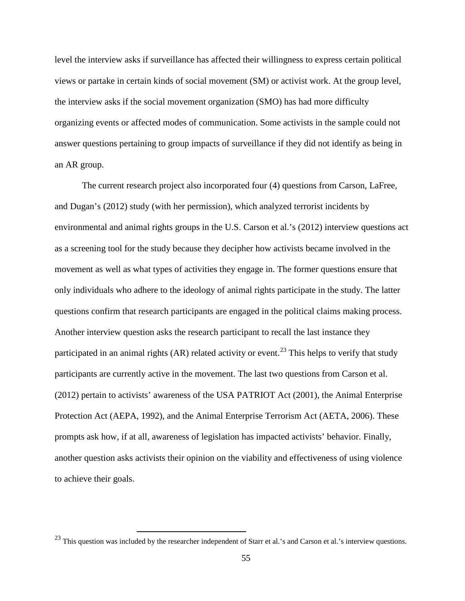level the interview asks if surveillance has affected their willingness to express certain political views or partake in certain kinds of social movement (SM) or activist work. At the group level, the interview asks if the social movement organization (SMO) has had more difficulty organizing events or affected modes of communication. Some activists in the sample could not answer questions pertaining to group impacts of surveillance if they did not identify as being in an AR group.

The current research project also incorporated four (4) questions from Carson, LaFree, and Dugan's (2012) study (with her permission), which analyzed terrorist incidents by environmental and animal rights groups in the U.S. Carson et al.'s (2012) interview questions act as a screening tool for the study because they decipher how activists became involved in the movement as well as what types of activities they engage in. The former questions ensure that only individuals who adhere to the ideology of animal rights participate in the study. The latter questions confirm that research participants are engaged in the political claims making process. Another interview question asks the research participant to recall the last instance they participated in an animal rights (AR) related activity or event.<sup>[23](#page-62-0)</sup> This helps to verify that study participants are currently active in the movement. The last two questions from Carson et al. (2012) pertain to activists' awareness of the USA PATRIOT Act (2001), the Animal Enterprise Protection Act (AEPA, 1992), and the Animal Enterprise Terrorism Act (AETA, 2006). These prompts ask how, if at all, awareness of legislation has impacted activists' behavior. Finally, another question asks activists their opinion on the viability and effectiveness of using violence to achieve their goals.

<span id="page-62-0"></span> $^{23}$  This question was included by the researcher independent of Starr et al.'s and Carson et al.'s interview questions.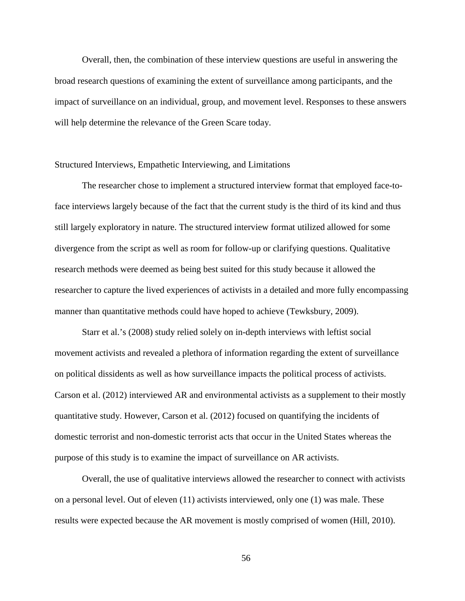Overall, then, the combination of these interview questions are useful in answering the broad research questions of examining the extent of surveillance among participants, and the impact of surveillance on an individual, group, and movement level. Responses to these answers will help determine the relevance of the Green Scare today.

# Structured Interviews, Empathetic Interviewing, and Limitations

The researcher chose to implement a structured interview format that employed face-toface interviews largely because of the fact that the current study is the third of its kind and thus still largely exploratory in nature. The structured interview format utilized allowed for some divergence from the script as well as room for follow-up or clarifying questions. Qualitative research methods were deemed as being best suited for this study because it allowed the researcher to capture the lived experiences of activists in a detailed and more fully encompassing manner than quantitative methods could have hoped to achieve (Tewksbury, 2009).

Starr et al.'s (2008) study relied solely on in-depth interviews with leftist social movement activists and revealed a plethora of information regarding the extent of surveillance on political dissidents as well as how surveillance impacts the political process of activists. Carson et al. (2012) interviewed AR and environmental activists as a supplement to their mostly quantitative study. However, Carson et al. (2012) focused on quantifying the incidents of domestic terrorist and non-domestic terrorist acts that occur in the United States whereas the purpose of this study is to examine the impact of surveillance on AR activists.

Overall, the use of qualitative interviews allowed the researcher to connect with activists on a personal level. Out of eleven (11) activists interviewed, only one (1) was male. These results were expected because the AR movement is mostly comprised of women (Hill, 2010).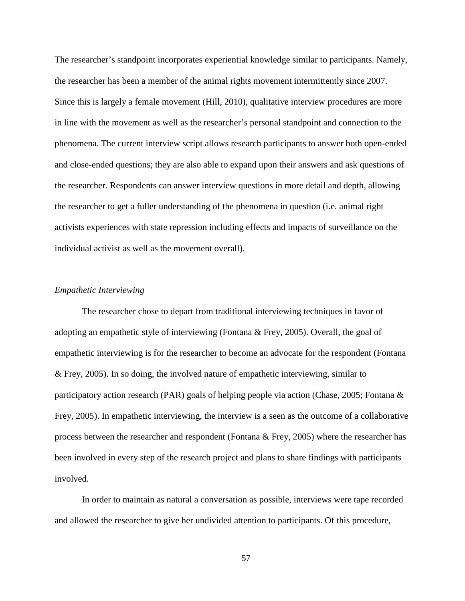The researcher's standpoint incorporates experiential knowledge similar to participants. Namely, the researcher has been a member of the animal rights movement intermittently since 2007. Since this is largely a female movement (Hill, 2010), qualitative interview procedures are more in line with the movement as well as the researcher's personal standpoint and connection to the phenomena. The current interview script allows research participants to answer both open-ended and close-ended questions; they are also able to expand upon their answers and ask questions of the researcher. Respondents can answer interview questions in more detail and depth, allowing the researcher to get a fuller understanding of the phenomena in question (i.e. animal right activists experiences with state repression including effects and impacts of surveillance on the individual activist as well as the movement overall).

### *Empathetic Interviewing*

The researcher chose to depart from traditional interviewing techniques in favor of adopting an empathetic style of interviewing (Fontana & Frey, 2005). Overall, the goal of empathetic interviewing is for the researcher to become an advocate for the respondent (Fontana & Frey, 2005). In so doing, the involved nature of empathetic interviewing, similar to participatory action research (PAR) goals of helping people via action (Chase, 2005; Fontana & Frey, 2005). In empathetic interviewing, the interview is a seen as the outcome of a collaborative process between the researcher and respondent (Fontana & Frey, 2005) where the researcher has been involved in every step of the research project and plans to share findings with participants involved.

In order to maintain as natural a conversation as possible, interviews were tape recorded and allowed the researcher to give her undivided attention to participants. Of this procedure,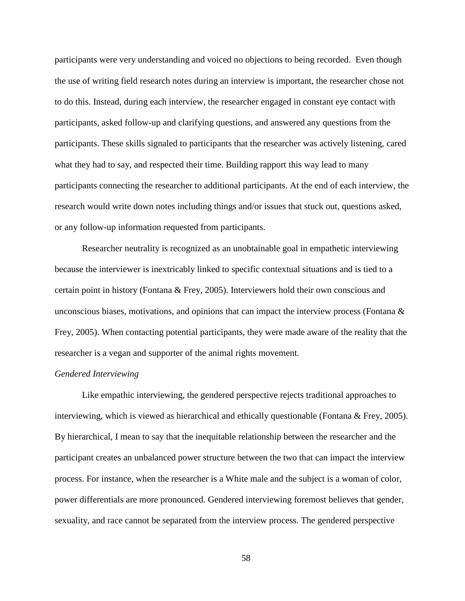participants were very understanding and voiced no objections to being recorded. Even though the use of writing field research notes during an interview is important, the researcher chose not to do this. Instead, during each interview, the researcher engaged in constant eye contact with participants, asked follow-up and clarifying questions, and answered any questions from the participants. These skills signaled to participants that the researcher was actively listening, cared what they had to say, and respected their time. Building rapport this way lead to many participants connecting the researcher to additional participants. At the end of each interview, the research would write down notes including things and/or issues that stuck out, questions asked, or any follow-up information requested from participants.

Researcher neutrality is recognized as an unobtainable goal in empathetic interviewing because the interviewer is inextricably linked to specific contextual situations and is tied to a certain point in history (Fontana & Frey, 2005). Interviewers hold their own conscious and unconscious biases, motivations, and opinions that can impact the interview process (Fontana & Frey, 2005). When contacting potential participants, they were made aware of the reality that the researcher is a vegan and supporter of the animal rights movement.

# *Gendered Interviewing*

Like empathic interviewing, the gendered perspective rejects traditional approaches to interviewing, which is viewed as hierarchical and ethically questionable (Fontana & Frey, 2005). By hierarchical, I mean to say that the inequitable relationship between the researcher and the participant creates an unbalanced power structure between the two that can impact the interview process. For instance, when the researcher is a White male and the subject is a woman of color, power differentials are more pronounced. Gendered interviewing foremost believes that gender, sexuality, and race cannot be separated from the interview process. The gendered perspective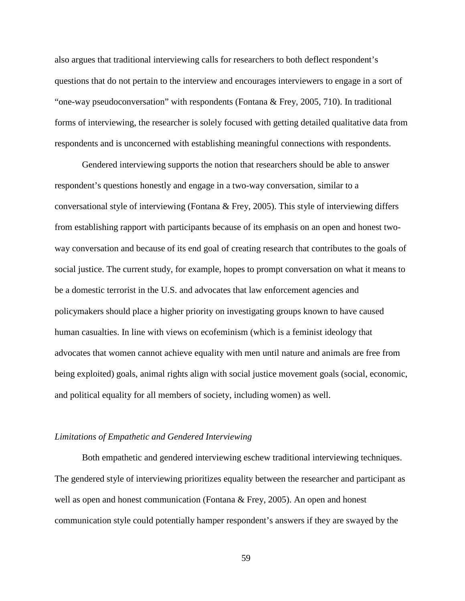also argues that traditional interviewing calls for researchers to both deflect respondent's questions that do not pertain to the interview and encourages interviewers to engage in a sort of "one-way pseudoconversation" with respondents (Fontana & Frey, 2005, 710). In traditional forms of interviewing, the researcher is solely focused with getting detailed qualitative data from respondents and is unconcerned with establishing meaningful connections with respondents.

Gendered interviewing supports the notion that researchers should be able to answer respondent's questions honestly and engage in a two-way conversation, similar to a conversational style of interviewing (Fontana & Frey, 2005). This style of interviewing differs from establishing rapport with participants because of its emphasis on an open and honest twoway conversation and because of its end goal of creating research that contributes to the goals of social justice. The current study, for example, hopes to prompt conversation on what it means to be a domestic terrorist in the U.S. and advocates that law enforcement agencies and policymakers should place a higher priority on investigating groups known to have caused human casualties. In line with views on ecofeminism (which is a feminist ideology that advocates that women cannot achieve equality with men until nature and animals are free from being exploited) goals, animal rights align with social justice movement goals (social, economic, and political equality for all members of society, including women) as well.

#### *Limitations of Empathetic and Gendered Interviewing*

Both empathetic and gendered interviewing eschew traditional interviewing techniques. The gendered style of interviewing prioritizes equality between the researcher and participant as well as open and honest communication (Fontana  $\&$  Frey, 2005). An open and honest communication style could potentially hamper respondent's answers if they are swayed by the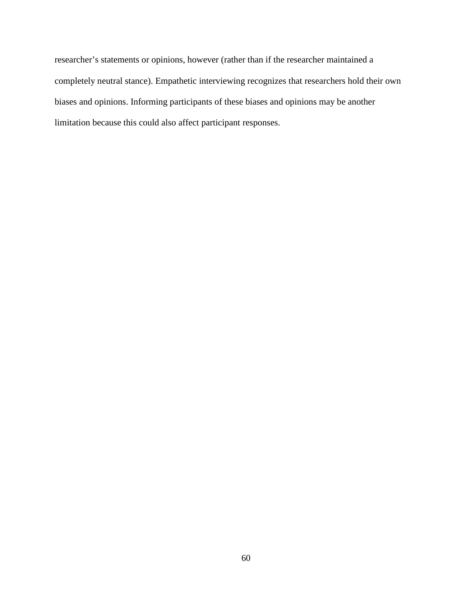researcher's statements or opinions, however (rather than if the researcher maintained a completely neutral stance). Empathetic interviewing recognizes that researchers hold their own biases and opinions. Informing participants of these biases and opinions may be another limitation because this could also affect participant responses.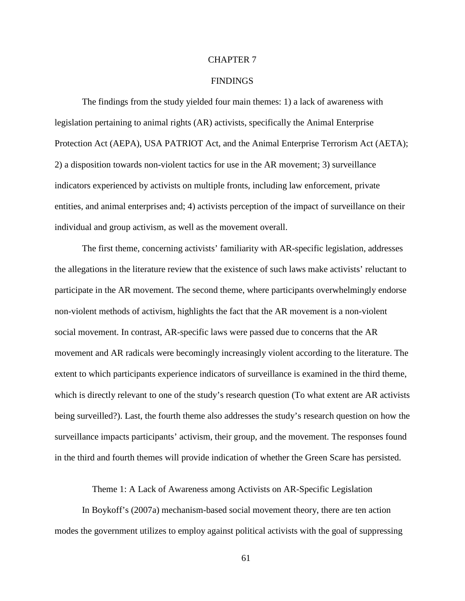## CHAPTER 7

## FINDINGS

The findings from the study yielded four main themes: 1) a lack of awareness with legislation pertaining to animal rights (AR) activists, specifically the Animal Enterprise Protection Act (AEPA), USA PATRIOT Act, and the Animal Enterprise Terrorism Act (AETA); 2) a disposition towards non-violent tactics for use in the AR movement; 3) surveillance indicators experienced by activists on multiple fronts, including law enforcement, private entities, and animal enterprises and; 4) activists perception of the impact of surveillance on their individual and group activism, as well as the movement overall.

The first theme, concerning activists' familiarity with AR-specific legislation, addresses the allegations in the literature review that the existence of such laws make activists' reluctant to participate in the AR movement. The second theme, where participants overwhelmingly endorse non-violent methods of activism, highlights the fact that the AR movement is a non-violent social movement. In contrast, AR-specific laws were passed due to concerns that the AR movement and AR radicals were becomingly increasingly violent according to the literature. The extent to which participants experience indicators of surveillance is examined in the third theme, which is directly relevant to one of the study's research question (To what extent are AR activists being surveilled?). Last, the fourth theme also addresses the study's research question on how the surveillance impacts participants' activism, their group, and the movement. The responses found in the third and fourth themes will provide indication of whether the Green Scare has persisted.

Theme 1: A Lack of Awareness among Activists on AR-Specific Legislation

In Boykoff's (2007a) mechanism-based social movement theory, there are ten action modes the government utilizes to employ against political activists with the goal of suppressing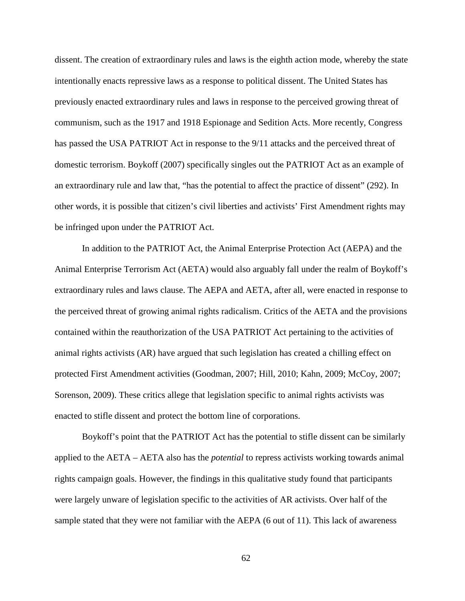dissent. The creation of extraordinary rules and laws is the eighth action mode, whereby the state intentionally enacts repressive laws as a response to political dissent. The United States has previously enacted extraordinary rules and laws in response to the perceived growing threat of communism, such as the 1917 and 1918 Espionage and Sedition Acts. More recently, Congress has passed the USA PATRIOT Act in response to the 9/11 attacks and the perceived threat of domestic terrorism. Boykoff (2007) specifically singles out the PATRIOT Act as an example of an extraordinary rule and law that, "has the potential to affect the practice of dissent" (292). In other words, it is possible that citizen's civil liberties and activists' First Amendment rights may be infringed upon under the PATRIOT Act.

In addition to the PATRIOT Act, the Animal Enterprise Protection Act (AEPA) and the Animal Enterprise Terrorism Act (AETA) would also arguably fall under the realm of Boykoff's extraordinary rules and laws clause. The AEPA and AETA, after all, were enacted in response to the perceived threat of growing animal rights radicalism. Critics of the AETA and the provisions contained within the reauthorization of the USA PATRIOT Act pertaining to the activities of animal rights activists (AR) have argued that such legislation has created a chilling effect on protected First Amendment activities (Goodman, 2007; Hill, 2010; Kahn, 2009; McCoy, 2007; Sorenson, 2009). These critics allege that legislation specific to animal rights activists was enacted to stifle dissent and protect the bottom line of corporations.

Boykoff's point that the PATRIOT Act has the potential to stifle dissent can be similarly applied to the AETA – AETA also has the *potential* to repress activists working towards animal rights campaign goals. However, the findings in this qualitative study found that participants were largely unware of legislation specific to the activities of AR activists. Over half of the sample stated that they were not familiar with the AEPA (6 out of 11). This lack of awareness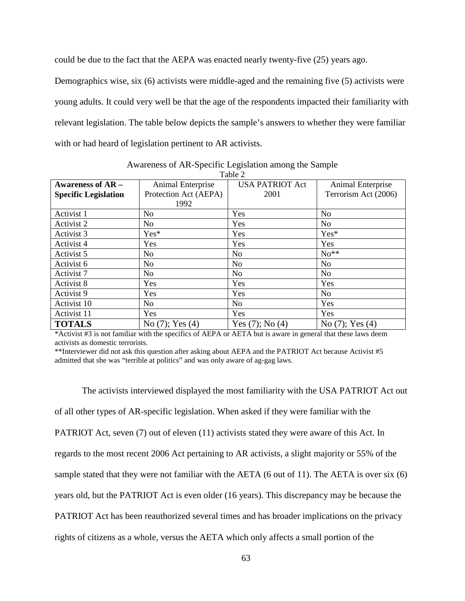could be due to the fact that the AEPA was enacted nearly twenty-five (25) years ago.

Demographics wise, six (6) activists were middle-aged and the remaining five (5) activists were young adults. It could very well be that the age of the respondents impacted their familiarity with relevant legislation. The table below depicts the sample's answers to whether they were familiar with or had heard of legislation pertinent to AR activists.

| Table 2                     |                       |                        |                      |  |  |
|-----------------------------|-----------------------|------------------------|----------------------|--|--|
| <b>Awareness of AR –</b>    | Animal Enterprise     | <b>USA PATRIOT Act</b> | Animal Enterprise    |  |  |
| <b>Specific Legislation</b> | Protection Act (AEPA) | 2001                   | Terrorism Act (2006) |  |  |
|                             | 1992                  |                        |                      |  |  |
| Activist 1                  | N <sub>o</sub>        | Yes                    | N <sub>o</sub>       |  |  |
| Activist 2                  | N <sub>0</sub>        | Yes                    | N <sub>0</sub>       |  |  |
| Activist 3                  | Yes*                  | Yes                    | Yes*                 |  |  |
| Activist 4                  | Yes                   | Yes                    | Yes                  |  |  |
| Activist 5                  | No                    | <b>No</b>              | $No**$               |  |  |
| Activist 6                  | N <sub>0</sub>        | N <sub>0</sub>         | N <sub>0</sub>       |  |  |
| Activist 7                  | N <sub>o</sub>        | N <sub>o</sub>         | N <sub>o</sub>       |  |  |
| Activist 8                  | Yes                   | Yes                    | Yes                  |  |  |
| Activist 9                  | Yes                   | Yes                    | N <sub>o</sub>       |  |  |
| Activist 10                 | N <sub>o</sub>        | N <sub>o</sub>         | Yes                  |  |  |
| Activist 11                 | Yes                   | Yes                    | Yes                  |  |  |
| <b>TOTALS</b>               | No $(7)$ ; Yes $(4)$  | Yes $(7)$ ; No $(4)$   | No $(7)$ ; Yes $(4)$ |  |  |

Awareness of AR-Specific Legislation among the Sample

\*Activist #3 is not familiar with the specifics of AEPA or AETA but is aware in general that these laws deem activists as domestic terrorists.

\*\*Interviewer did not ask this question after asking about AEPA and the PATRIOT Act because Activist #5 admitted that she was "terrible at politics" and was only aware of ag-gag laws.

The activists interviewed displayed the most familiarity with the USA PATRIOT Act out of all other types of AR-specific legislation. When asked if they were familiar with the PATRIOT Act, seven (7) out of eleven (11) activists stated they were aware of this Act. In regards to the most recent 2006 Act pertaining to AR activists, a slight majority or 55% of the sample stated that they were not familiar with the AETA (6 out of 11). The AETA is over six (6) years old, but the PATRIOT Act is even older (16 years). This discrepancy may be because the PATRIOT Act has been reauthorized several times and has broader implications on the privacy rights of citizens as a whole, versus the AETA which only affects a small portion of the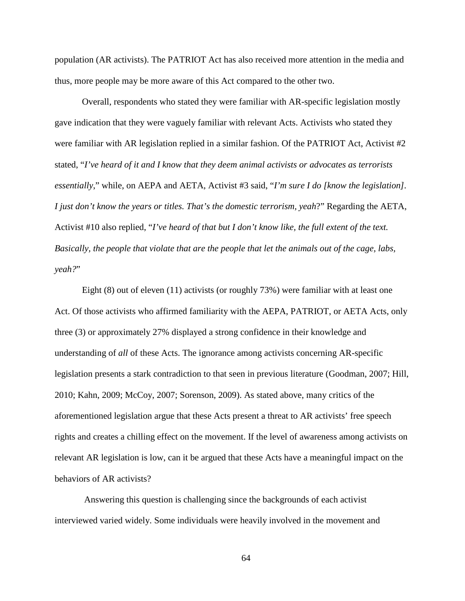population (AR activists). The PATRIOT Act has also received more attention in the media and thus, more people may be more aware of this Act compared to the other two.

Overall, respondents who stated they were familiar with AR-specific legislation mostly gave indication that they were vaguely familiar with relevant Acts. Activists who stated they were familiar with AR legislation replied in a similar fashion. Of the PATRIOT Act, Activist #2 stated, "*I've heard of it and I know that they deem animal activists or advocates as terrorists essentially*," while, on AEPA and AETA, Activist #3 said, "*I'm sure I do [know the legislation]. I just don't know the years or titles. That's the domestic terrorism, yeah*?" Regarding the AETA, Activist #10 also replied, "*I've heard of that but I don't know like, the full extent of the text. Basically, the people that violate that are the people that let the animals out of the cage, labs, yeah?*"

Eight (8) out of eleven (11) activists (or roughly 73%) were familiar with at least one Act. Of those activists who affirmed familiarity with the AEPA, PATRIOT, or AETA Acts, only three (3) or approximately 27% displayed a strong confidence in their knowledge and understanding of *all* of these Acts. The ignorance among activists concerning AR-specific legislation presents a stark contradiction to that seen in previous literature (Goodman, 2007; Hill, 2010; Kahn, 2009; McCoy, 2007; Sorenson, 2009). As stated above, many critics of the aforementioned legislation argue that these Acts present a threat to AR activists' free speech rights and creates a chilling effect on the movement. If the level of awareness among activists on relevant AR legislation is low, can it be argued that these Acts have a meaningful impact on the behaviors of AR activists?

Answering this question is challenging since the backgrounds of each activist interviewed varied widely. Some individuals were heavily involved in the movement and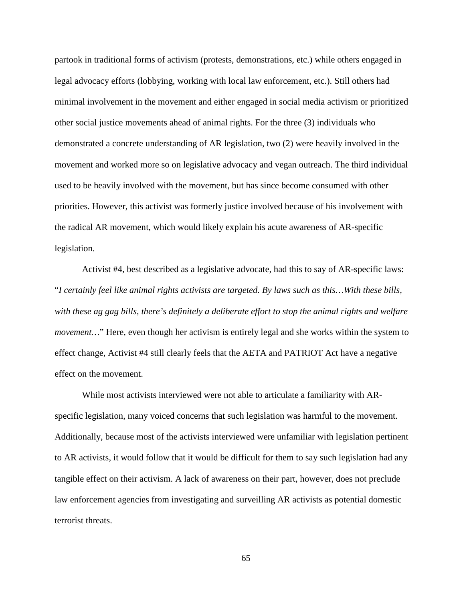partook in traditional forms of activism (protests, demonstrations, etc.) while others engaged in legal advocacy efforts (lobbying, working with local law enforcement, etc.). Still others had minimal involvement in the movement and either engaged in social media activism or prioritized other social justice movements ahead of animal rights. For the three (3) individuals who demonstrated a concrete understanding of AR legislation, two (2) were heavily involved in the movement and worked more so on legislative advocacy and vegan outreach. The third individual used to be heavily involved with the movement, but has since become consumed with other priorities. However, this activist was formerly justice involved because of his involvement with the radical AR movement, which would likely explain his acute awareness of AR-specific legislation.

Activist #4, best described as a legislative advocate, had this to say of AR-specific laws: "*I certainly feel like animal rights activists are targeted. By laws such as this…With these bills, with these ag gag bills, there's definitely a deliberate effort to stop the animal rights and welfare movement...*" Here, even though her activism is entirely legal and she works within the system to effect change, Activist #4 still clearly feels that the AETA and PATRIOT Act have a negative effect on the movement.

While most activists interviewed were not able to articulate a familiarity with ARspecific legislation, many voiced concerns that such legislation was harmful to the movement. Additionally, because most of the activists interviewed were unfamiliar with legislation pertinent to AR activists, it would follow that it would be difficult for them to say such legislation had any tangible effect on their activism. A lack of awareness on their part, however, does not preclude law enforcement agencies from investigating and surveilling AR activists as potential domestic terrorist threats.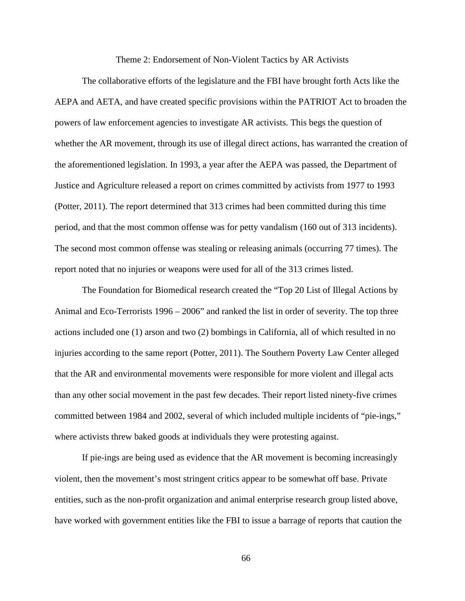#### Theme 2: Endorsement of Non-Violent Tactics by AR Activists

The collaborative efforts of the legislature and the FBI have brought forth Acts like the AEPA and AETA, and have created specific provisions within the PATRIOT Act to broaden the powers of law enforcement agencies to investigate AR activists. This begs the question of whether the AR movement, through its use of illegal direct actions, has warranted the creation of the aforementioned legislation. In 1993, a year after the AEPA was passed, the Department of Justice and Agriculture released a report on crimes committed by activists from 1977 to 1993 (Potter, 2011). The report determined that 313 crimes had been committed during this time period, and that the most common offense was for petty vandalism (160 out of 313 incidents). The second most common offense was stealing or releasing animals (occurring 77 times). The report noted that no injuries or weapons were used for all of the 313 crimes listed.

The Foundation for Biomedical research created the "Top 20 List of Illegal Actions by Animal and Eco-Terrorists 1996 – 2006" and ranked the list in order of severity. The top three actions included one (1) arson and two (2) bombings in California, all of which resulted in no injuries according to the same report (Potter, 2011). The Southern Poverty Law Center alleged that the AR and environmental movements were responsible for more violent and illegal acts than any other social movement in the past few decades. Their report listed ninety-five crimes committed between 1984 and 2002, several of which included multiple incidents of "pie-ings," where activists threw baked goods at individuals they were protesting against.

If pie-ings are being used as evidence that the AR movement is becoming increasingly violent, then the movement's most stringent critics appear to be somewhat off base. Private entities, such as the non-profit organization and animal enterprise research group listed above, have worked with government entities like the FBI to issue a barrage of reports that caution the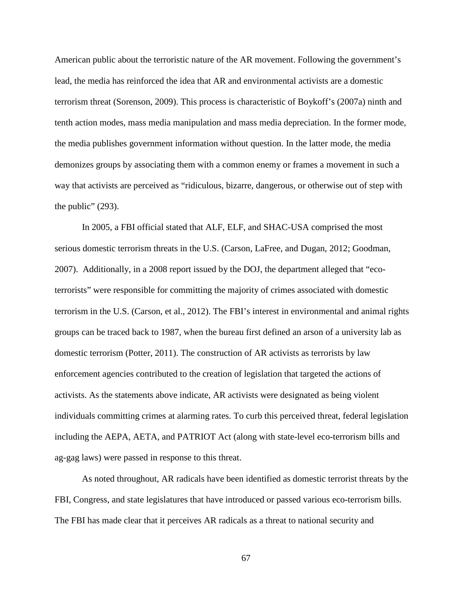American public about the terroristic nature of the AR movement. Following the government's lead, the media has reinforced the idea that AR and environmental activists are a domestic terrorism threat (Sorenson, 2009). This process is characteristic of Boykoff's (2007a) ninth and tenth action modes, mass media manipulation and mass media depreciation. In the former mode, the media publishes government information without question. In the latter mode, the media demonizes groups by associating them with a common enemy or frames a movement in such a way that activists are perceived as "ridiculous, bizarre, dangerous, or otherwise out of step with the public"  $(293)$ .

In 2005, a FBI official stated that ALF, ELF, and SHAC-USA comprised the most serious domestic terrorism threats in the U.S. (Carson, LaFree, and Dugan, 2012; Goodman, 2007). Additionally, in a 2008 report issued by the DOJ, the department alleged that "ecoterrorists" were responsible for committing the majority of crimes associated with domestic terrorism in the U.S. (Carson, et al., 2012). The FBI's interest in environmental and animal rights groups can be traced back to 1987, when the bureau first defined an arson of a university lab as domestic terrorism (Potter, 2011). The construction of AR activists as terrorists by law enforcement agencies contributed to the creation of legislation that targeted the actions of activists. As the statements above indicate, AR activists were designated as being violent individuals committing crimes at alarming rates. To curb this perceived threat, federal legislation including the AEPA, AETA, and PATRIOT Act (along with state-level eco-terrorism bills and ag-gag laws) were passed in response to this threat.

As noted throughout, AR radicals have been identified as domestic terrorist threats by the FBI, Congress, and state legislatures that have introduced or passed various eco-terrorism bills. The FBI has made clear that it perceives AR radicals as a threat to national security and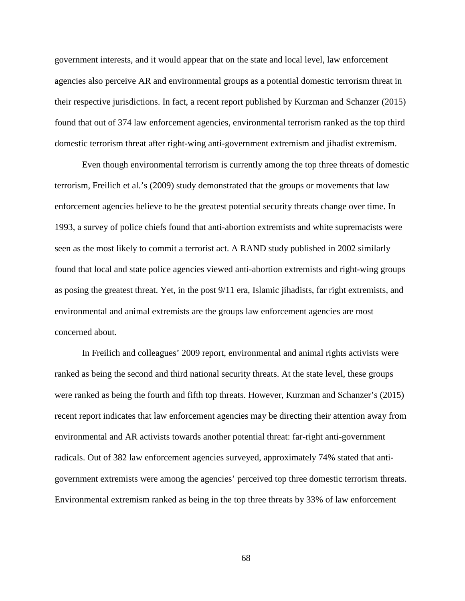government interests, and it would appear that on the state and local level, law enforcement agencies also perceive AR and environmental groups as a potential domestic terrorism threat in their respective jurisdictions. In fact, a recent report published by Kurzman and Schanzer (2015) found that out of 374 law enforcement agencies, environmental terrorism ranked as the top third domestic terrorism threat after right-wing anti-government extremism and jihadist extremism.

Even though environmental terrorism is currently among the top three threats of domestic terrorism, Freilich et al.'s (2009) study demonstrated that the groups or movements that law enforcement agencies believe to be the greatest potential security threats change over time. In 1993, a survey of police chiefs found that anti-abortion extremists and white supremacists were seen as the most likely to commit a terrorist act. A RAND study published in 2002 similarly found that local and state police agencies viewed anti-abortion extremists and right-wing groups as posing the greatest threat. Yet, in the post 9/11 era, Islamic jihadists, far right extremists, and environmental and animal extremists are the groups law enforcement agencies are most concerned about.

In Freilich and colleagues' 2009 report, environmental and animal rights activists were ranked as being the second and third national security threats. At the state level, these groups were ranked as being the fourth and fifth top threats. However, Kurzman and Schanzer's (2015) recent report indicates that law enforcement agencies may be directing their attention away from environmental and AR activists towards another potential threat: far-right anti-government radicals. Out of 382 law enforcement agencies surveyed, approximately 74% stated that antigovernment extremists were among the agencies' perceived top three domestic terrorism threats. Environmental extremism ranked as being in the top three threats by 33% of law enforcement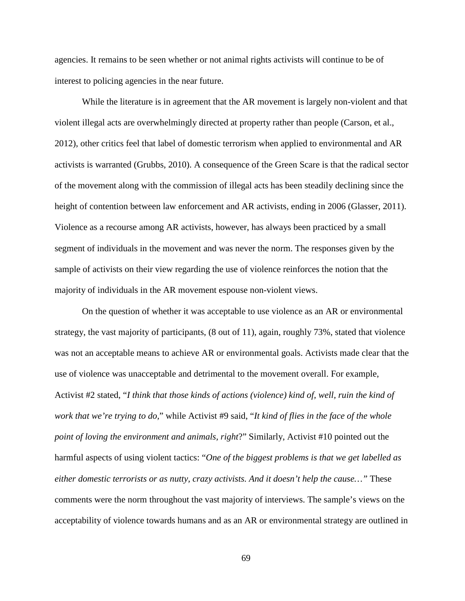agencies. It remains to be seen whether or not animal rights activists will continue to be of interest to policing agencies in the near future.

While the literature is in agreement that the AR movement is largely non-violent and that violent illegal acts are overwhelmingly directed at property rather than people (Carson, et al., 2012), other critics feel that label of domestic terrorism when applied to environmental and AR activists is warranted (Grubbs, 2010). A consequence of the Green Scare is that the radical sector of the movement along with the commission of illegal acts has been steadily declining since the height of contention between law enforcement and AR activists, ending in 2006 (Glasser, 2011). Violence as a recourse among AR activists, however, has always been practiced by a small segment of individuals in the movement and was never the norm. The responses given by the sample of activists on their view regarding the use of violence reinforces the notion that the majority of individuals in the AR movement espouse non-violent views.

 On the question of whether it was acceptable to use violence as an AR or environmental strategy, the vast majority of participants, (8 out of 11), again, roughly 73%, stated that violence was not an acceptable means to achieve AR or environmental goals. Activists made clear that the use of violence was unacceptable and detrimental to the movement overall. For example, Activist #2 stated, "*I think that those kinds of actions (violence) kind of, well, ruin the kind of work that we're trying to do,*" while Activist #9 said, "*It kind of flies in the face of the whole point of loving the environment and animals, right*?" Similarly, Activist #10 pointed out the harmful aspects of using violent tactics: "*One of the biggest problems is that we get labelled as either domestic terrorists or as nutty, crazy activists. And it doesn't help the cause…"* These comments were the norm throughout the vast majority of interviews. The sample's views on the acceptability of violence towards humans and as an AR or environmental strategy are outlined in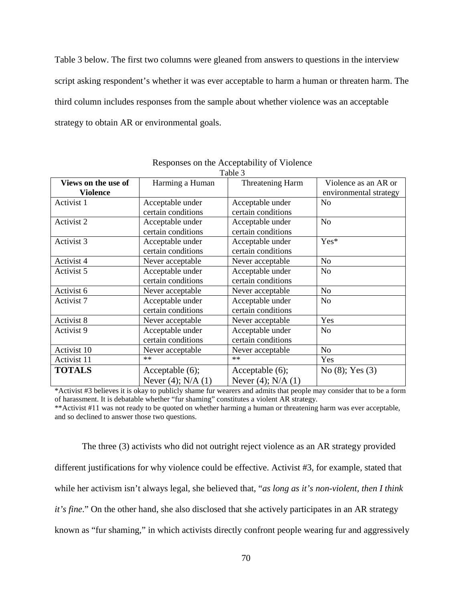Table 3 below. The first two columns were gleaned from answers to questions in the interview script asking respondent's whether it was ever acceptable to harm a human or threaten harm. The third column includes responses from the sample about whether violence was an acceptable strategy to obtain AR or environmental goals.

| L'ame 5             |                         |                         |                        |  |  |
|---------------------|-------------------------|-------------------------|------------------------|--|--|
| Views on the use of | Harming a Human         | <b>Threatening Harm</b> | Violence as an AR or   |  |  |
| Violence            |                         |                         | environmental strategy |  |  |
| Activist 1          | Acceptable under        | Acceptable under        | N <sub>o</sub>         |  |  |
|                     | certain conditions      | certain conditions      |                        |  |  |
| Activist 2          | Acceptable under        | Acceptable under        | N <sub>o</sub>         |  |  |
|                     | certain conditions      | certain conditions      |                        |  |  |
| Activist 3          | Acceptable under        | Acceptable under        | Yes*                   |  |  |
|                     | certain conditions      | certain conditions      |                        |  |  |
| Activist 4          | Never acceptable        | Never acceptable        | No                     |  |  |
| Activist 5          | Acceptable under        | Acceptable under        | N <sub>o</sub>         |  |  |
|                     | certain conditions      | certain conditions      |                        |  |  |
| Activist 6          | Never acceptable        | Never acceptable        | No                     |  |  |
| Activist 7          | Acceptable under        | Acceptable under        | No                     |  |  |
|                     | certain conditions      | certain conditions      |                        |  |  |
| Activist 8          | Never acceptable        | Never acceptable        | Yes                    |  |  |
| Activist 9          | Acceptable under        | Acceptable under        | N <sub>0</sub>         |  |  |
|                     | certain conditions      | certain conditions      |                        |  |  |
| Activist 10         | Never acceptable        | Never acceptable        | N <sub>o</sub>         |  |  |
| Activist 11         | $**$                    | $**$                    | Yes                    |  |  |
| <b>TOTALS</b>       | Acceptable $(6)$ ;      | Acceptable $(6)$ ;      | No $(8)$ ; Yes $(3)$   |  |  |
|                     | Never $(4)$ ; N/A $(1)$ | Never $(4)$ ; N/A $(1)$ |                        |  |  |

| Responses on the Acceptability of Violence |  |
|--------------------------------------------|--|
| $T_0$ $\lambda$ $\lambda$ $\lambda$        |  |

\*Activist #3 believes it is okay to publicly shame fur wearers and admits that people may consider that to be a form of harassment. It is debatable whether "fur shaming" constitutes a violent AR strategy.

\*\*Activist #11 was not ready to be quoted on whether harming a human or threatening harm was ever acceptable, and so declined to answer those two questions.

The three (3) activists who did not outright reject violence as an AR strategy provided different justifications for why violence could be effective. Activist #3, for example, stated that while her activism isn't always legal, she believed that, "*as long as it's non-violent, then I think it's fine*." On the other hand, she also disclosed that she actively participates in an AR strategy known as "fur shaming," in which activists directly confront people wearing fur and aggressively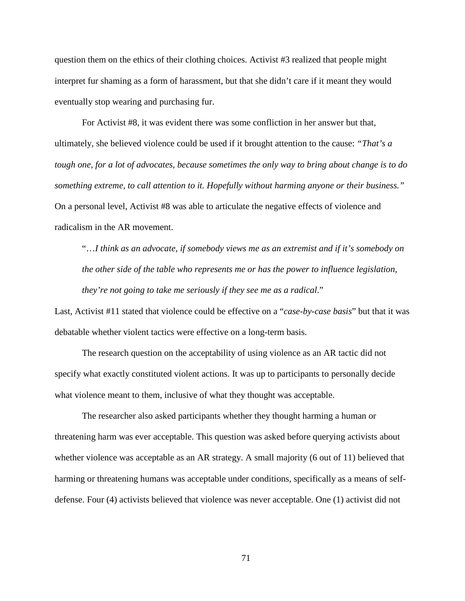question them on the ethics of their clothing choices. Activist #3 realized that people might interpret fur shaming as a form of harassment, but that she didn't care if it meant they would eventually stop wearing and purchasing fur.

For Activist #8, it was evident there was some confliction in her answer but that, ultimately, she believed violence could be used if it brought attention to the cause: *"That's a tough one, for a lot of advocates, because sometimes the only way to bring about change is to do something extreme, to call attention to it. Hopefully without harming anyone or their business."*  On a personal level, Activist #8 was able to articulate the negative effects of violence and radicalism in the AR movement.

"…*I think as an advocate, if somebody views me as an extremist and if it's somebody on the other side of the table who represents me or has the power to influence legislation, they're not going to take me seriously if they see me as a radical*."

Last, Activist #11 stated that violence could be effective on a "*case-by-case basis*" but that it was debatable whether violent tactics were effective on a long-term basis.

The research question on the acceptability of using violence as an AR tactic did not specify what exactly constituted violent actions. It was up to participants to personally decide what violence meant to them, inclusive of what they thought was acceptable.

The researcher also asked participants whether they thought harming a human or threatening harm was ever acceptable. This question was asked before querying activists about whether violence was acceptable as an AR strategy. A small majority (6 out of 11) believed that harming or threatening humans was acceptable under conditions, specifically as a means of selfdefense. Four (4) activists believed that violence was never acceptable. One (1) activist did not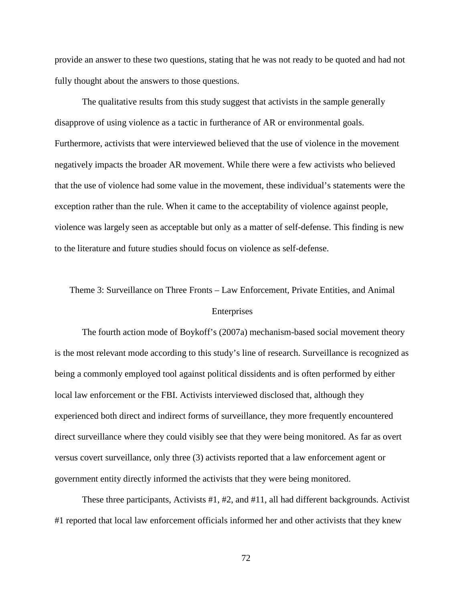provide an answer to these two questions, stating that he was not ready to be quoted and had not fully thought about the answers to those questions.

The qualitative results from this study suggest that activists in the sample generally disapprove of using violence as a tactic in furtherance of AR or environmental goals. Furthermore, activists that were interviewed believed that the use of violence in the movement negatively impacts the broader AR movement. While there were a few activists who believed that the use of violence had some value in the movement, these individual's statements were the exception rather than the rule. When it came to the acceptability of violence against people, violence was largely seen as acceptable but only as a matter of self-defense. This finding is new to the literature and future studies should focus on violence as self-defense.

# Theme 3: Surveillance on Three Fronts – Law Enforcement, Private Entities, and Animal Enterprises

The fourth action mode of Boykoff's (2007a) mechanism-based social movement theory is the most relevant mode according to this study's line of research. Surveillance is recognized as being a commonly employed tool against political dissidents and is often performed by either local law enforcement or the FBI. Activists interviewed disclosed that, although they experienced both direct and indirect forms of surveillance, they more frequently encountered direct surveillance where they could visibly see that they were being monitored. As far as overt versus covert surveillance, only three (3) activists reported that a law enforcement agent or government entity directly informed the activists that they were being monitored.

These three participants, Activists #1, #2, and #11, all had different backgrounds. Activist #1 reported that local law enforcement officials informed her and other activists that they knew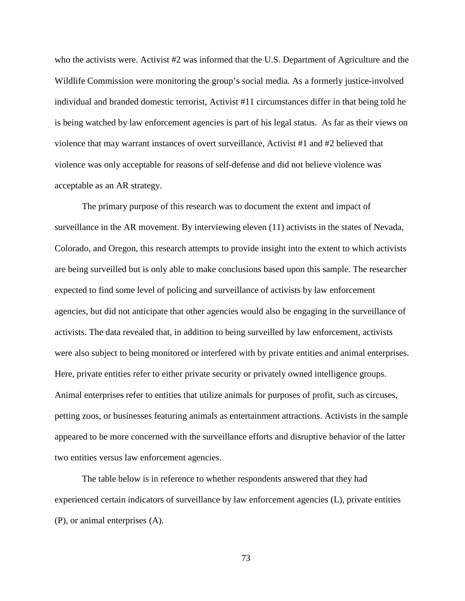who the activists were. Activist #2 was informed that the U.S. Department of Agriculture and the Wildlife Commission were monitoring the group's social media. As a formerly justice-involved individual and branded domestic terrorist, Activist #11 circumstances differ in that being told he is being watched by law enforcement agencies is part of his legal status. As far as their views on violence that may warrant instances of overt surveillance, Activist #1 and #2 believed that violence was only acceptable for reasons of self-defense and did not believe violence was acceptable as an AR strategy.

The primary purpose of this research was to document the extent and impact of surveillance in the AR movement. By interviewing eleven (11) activists in the states of Nevada, Colorado, and Oregon, this research attempts to provide insight into the extent to which activists are being surveilled but is only able to make conclusions based upon this sample. The researcher expected to find some level of policing and surveillance of activists by law enforcement agencies, but did not anticipate that other agencies would also be engaging in the surveillance of activists. The data revealed that, in addition to being surveilled by law enforcement, activists were also subject to being monitored or interfered with by private entities and animal enterprises. Here, private entities refer to either private security or privately owned intelligence groups. Animal enterprises refer to entities that utilize animals for purposes of profit, such as circuses, petting zoos, or businesses featuring animals as entertainment attractions. Activists in the sample appeared to be more concerned with the surveillance efforts and disruptive behavior of the latter two entities versus law enforcement agencies.

The table below is in reference to whether respondents answered that they had experienced certain indicators of surveillance by law enforcement agencies (L), private entities (P), or animal enterprises (A).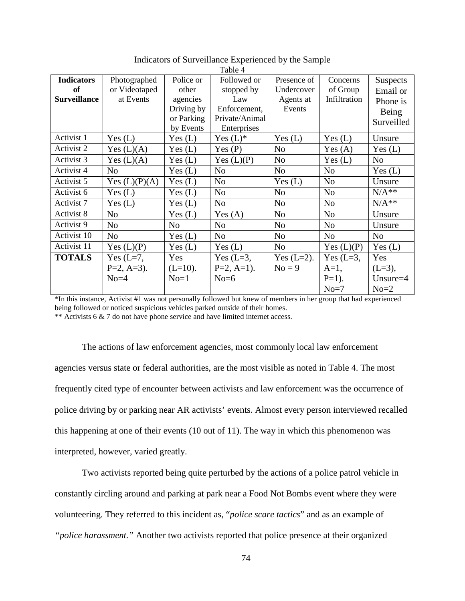|                     |                 |                | ι αυιν π               |                |                |                 |
|---------------------|-----------------|----------------|------------------------|----------------|----------------|-----------------|
| <b>Indicators</b>   | Photographed    | Police or      | Followed or            | Presence of    | Concerns       | <b>Suspects</b> |
| <b>of</b>           | or Videotaped   | other          | stopped by             | Undercover     | of Group       | Email or        |
| <b>Surveillance</b> | at Events       | agencies       | Law                    | Agents at      | Infiltration   | Phone is        |
|                     |                 | Driving by     | Enforcement,           | Events         |                | Being           |
|                     |                 | or Parking     | Private/Animal         |                |                | Surveilled      |
|                     |                 | by Events      | Enterprises            |                |                |                 |
| Activist 1          | Yes (L)         | Yes(L)         | Yes $(L)$ <sup>*</sup> | Yes(L)         | Yes (L)        | Unsure          |
| Activist 2          | Yes $(L)(A)$    | Yes(L)         | Yes $(P)$              | N <sub>o</sub> | Yes $(A)$      | Yes $(L)$       |
| Activist 3          | Yes $(L)(A)$    | Yes $(L)$      | Yes $(L)(P)$           | N <sub>o</sub> | Yes $(L)$      | N <sub>o</sub>  |
| Activist 4          | N <sub>o</sub>  | Yes(L)         | N <sub>o</sub>         | N <sub>o</sub> | N <sub>0</sub> | Yes $(L)$       |
| Activist 5          | Yes $(L)(P)(A)$ | Yes $(L)$      | N <sub>o</sub>         | Yes $(L)$      | N <sub>o</sub> | Unsure          |
| Activist 6          | Yes(L)          | Yes(L)         | N <sub>o</sub>         | N <sub>o</sub> | N <sub>0</sub> | $N/A**$         |
| Activist 7          | Yes(L)          | Yes(L)         | N <sub>o</sub>         | N <sub>o</sub> | N <sub>o</sub> | $N/A**$         |
| Activist 8          | N <sub>o</sub>  | Yes(L)         | Yes $(A)$              | N <sub>o</sub> | N <sub>o</sub> | Unsure          |
| Activist 9          | N <sub>o</sub>  | N <sub>o</sub> | N <sub>o</sub>         | N <sub>o</sub> | N <sub>o</sub> | Unsure          |
| Activist 10         | N <sub>o</sub>  | Yes $(L)$      | No                     | N <sub>o</sub> | N <sub>o</sub> | N <sub>o</sub>  |
| Activist 11         | Yes $(L)(P)$    | Yes(L)         | Yes $(L)$              | N <sub>o</sub> | Yes $(L)(P)$   | Yes $(L)$       |
| <b>TOTALS</b>       | Yes $(L=7,$     | Yes            | Yes $(L=3,$            | Yes $(L=2)$ .  | Yes $(L=3,$    | Yes             |
|                     | $P=2, A=3$ ).   | $(L=10)$ .     | $P=2, A=1$ ).          | $No = 9$       | $A=1$ ,        | $(L=3)$ ,       |
|                     | $No=4$          | $No=1$         | $No=6$                 |                | $P=1$ ).       | Unsure $=4$     |
|                     |                 |                |                        |                | $No=7$         | $No=2$          |

Indicators of Surveillance Experienced by the Sample Table  $\overline{A}$ 

\*In this instance, Activist #1 was not personally followed but knew of members in her group that had experienced being followed or noticed suspicious vehicles parked outside of their homes. \*\* Activists 6 & 7 do not have phone service and have limited internet access.

The actions of law enforcement agencies, most commonly local law enforcement agencies versus state or federal authorities, are the most visible as noted in Table 4. The most frequently cited type of encounter between activists and law enforcement was the occurrence of police driving by or parking near AR activists' events. Almost every person interviewed recalled this happening at one of their events (10 out of 11). The way in which this phenomenon was interpreted, however, varied greatly.

Two activists reported being quite perturbed by the actions of a police patrol vehicle in constantly circling around and parking at park near a Food Not Bombs event where they were volunteering. They referred to this incident as, "*police scare tactics*" and as an example of *"police harassment."* Another two activists reported that police presence at their organized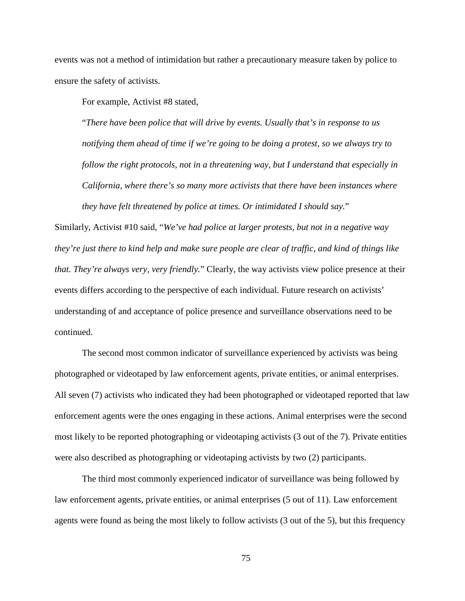events was not a method of intimidation but rather a precautionary measure taken by police to ensure the safety of activists.

For example, Activist #8 stated,

"*There have been police that will drive by events. Usually that's in response to us notifying them ahead of time if we're going to be doing a protest, so we always try to follow the right protocols, not in a threatening way, but I understand that especially in California, where there's so many more activists that there have been instances where they have felt threatened by police at times. Or intimidated I should say.*"

Similarly, Activist #10 said, "*We've had police at larger protests, but not in a negative way they're just there to kind help and make sure people are clear of traffic, and kind of things like that. They're always very, very friendly.*" Clearly, the way activists view police presence at their events differs according to the perspective of each individual. Future research on activists' understanding of and acceptance of police presence and surveillance observations need to be continued.

The second most common indicator of surveillance experienced by activists was being photographed or videotaped by law enforcement agents, private entities, or animal enterprises. All seven (7) activists who indicated they had been photographed or videotaped reported that law enforcement agents were the ones engaging in these actions. Animal enterprises were the second most likely to be reported photographing or videotaping activists (3 out of the 7). Private entities were also described as photographing or videotaping activists by two (2) participants.

The third most commonly experienced indicator of surveillance was being followed by law enforcement agents, private entities, or animal enterprises (5 out of 11). Law enforcement agents were found as being the most likely to follow activists (3 out of the 5), but this frequency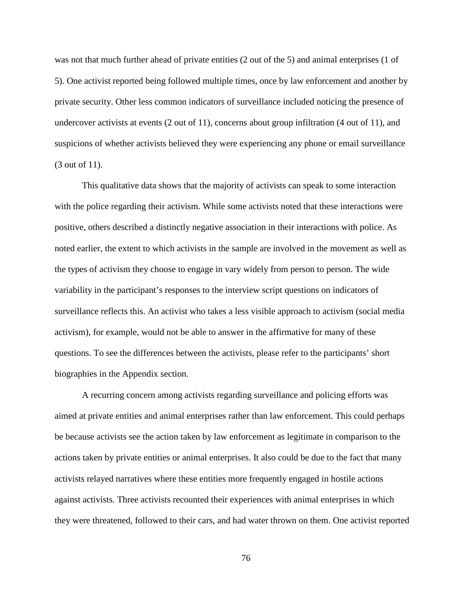was not that much further ahead of private entities (2 out of the 5) and animal enterprises (1 of 5). One activist reported being followed multiple times, once by law enforcement and another by private security. Other less common indicators of surveillance included noticing the presence of undercover activists at events (2 out of 11), concerns about group infiltration (4 out of 11), and suspicions of whether activists believed they were experiencing any phone or email surveillance (3 out of 11).

This qualitative data shows that the majority of activists can speak to some interaction with the police regarding their activism. While some activists noted that these interactions were positive, others described a distinctly negative association in their interactions with police. As noted earlier, the extent to which activists in the sample are involved in the movement as well as the types of activism they choose to engage in vary widely from person to person. The wide variability in the participant's responses to the interview script questions on indicators of surveillance reflects this. An activist who takes a less visible approach to activism (social media activism), for example, would not be able to answer in the affirmative for many of these questions. To see the differences between the activists, please refer to the participants' short biographies in the Appendix section.

A recurring concern among activists regarding surveillance and policing efforts was aimed at private entities and animal enterprises rather than law enforcement. This could perhaps be because activists see the action taken by law enforcement as legitimate in comparison to the actions taken by private entities or animal enterprises. It also could be due to the fact that many activists relayed narratives where these entities more frequently engaged in hostile actions against activists. Three activists recounted their experiences with animal enterprises in which they were threatened, followed to their cars, and had water thrown on them. One activist reported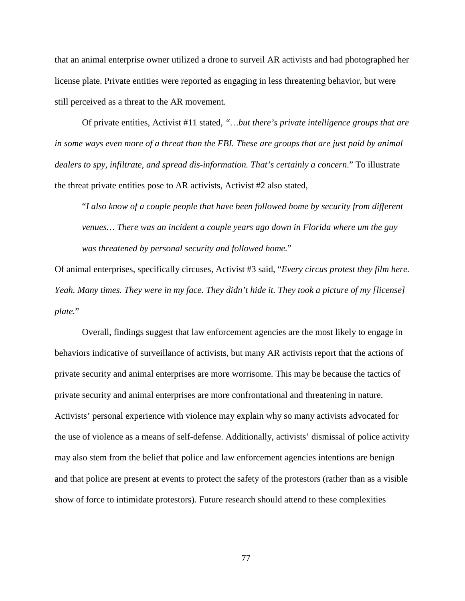that an animal enterprise owner utilized a drone to surveil AR activists and had photographed her license plate. Private entities were reported as engaging in less threatening behavior, but were still perceived as a threat to the AR movement.

Of private entities, Activist #11 stated, *"…but there's private intelligence groups that are in some ways even more of a threat than the FBI. These are groups that are just paid by animal dealers to spy, infiltrate, and spread dis-information. That's certainly a concern*." To illustrate the threat private entities pose to AR activists, Activist #2 also stated,

"*I also know of a couple people that have been followed home by security from different venues… There was an incident a couple years ago down in Florida where um the guy was threatened by personal security and followed home.*"

Of animal enterprises, specifically circuses, Activist #3 said, "*Every circus protest they film here. Yeah. Many times. They were in my face. They didn't hide it. They took a picture of my [license] plate.*"

Overall, findings suggest that law enforcement agencies are the most likely to engage in behaviors indicative of surveillance of activists, but many AR activists report that the actions of private security and animal enterprises are more worrisome. This may be because the tactics of private security and animal enterprises are more confrontational and threatening in nature. Activists' personal experience with violence may explain why so many activists advocated for the use of violence as a means of self-defense. Additionally, activists' dismissal of police activity may also stem from the belief that police and law enforcement agencies intentions are benign and that police are present at events to protect the safety of the protestors (rather than as a visible show of force to intimidate protestors). Future research should attend to these complexities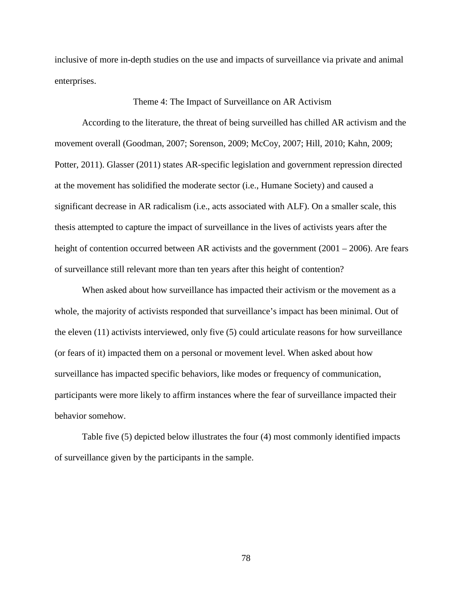inclusive of more in-depth studies on the use and impacts of surveillance via private and animal enterprises.

### Theme 4: The Impact of Surveillance on AR Activism

According to the literature, the threat of being surveilled has chilled AR activism and the movement overall (Goodman, 2007; Sorenson, 2009; McCoy, 2007; Hill, 2010; Kahn, 2009; Potter, 2011). Glasser (2011) states AR-specific legislation and government repression directed at the movement has solidified the moderate sector (i.e., Humane Society) and caused a significant decrease in AR radicalism (i.e., acts associated with ALF). On a smaller scale, this thesis attempted to capture the impact of surveillance in the lives of activists years after the height of contention occurred between AR activists and the government (2001 – 2006). Are fears of surveillance still relevant more than ten years after this height of contention?

When asked about how surveillance has impacted their activism or the movement as a whole, the majority of activists responded that surveillance's impact has been minimal. Out of the eleven (11) activists interviewed, only five (5) could articulate reasons for how surveillance (or fears of it) impacted them on a personal or movement level. When asked about how surveillance has impacted specific behaviors, like modes or frequency of communication, participants were more likely to affirm instances where the fear of surveillance impacted their behavior somehow.

Table five (5) depicted below illustrates the four (4) most commonly identified impacts of surveillance given by the participants in the sample.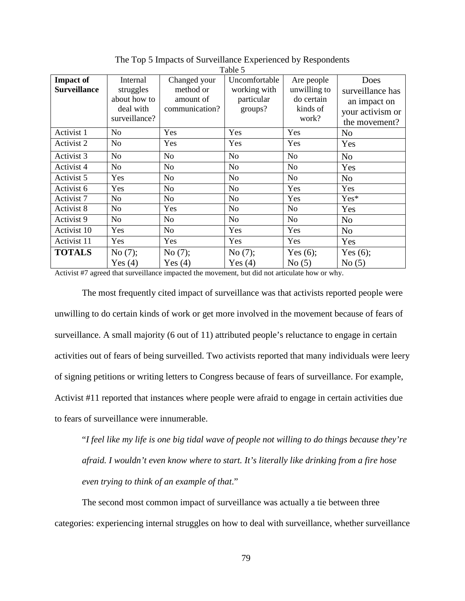|                     |                |                | Tavit J        |                |                  |
|---------------------|----------------|----------------|----------------|----------------|------------------|
| <b>Impact of</b>    | Internal       | Changed your   | Uncomfortable  | Are people     | Does             |
| <b>Surveillance</b> | struggles      | method or      | working with   | unwilling to   | surveillance has |
|                     | about how to   | amount of      | particular     | do certain     | an impact on     |
|                     | deal with      | communication? | groups?        | kinds of       | your activism or |
|                     | surveillance?  |                |                | work?          | the movement?    |
| Activist 1          | N <sub>0</sub> | Yes            | Yes            | Yes            | N <sub>o</sub>   |
| Activist 2          | N <sub>0</sub> | Yes            | Yes            | Yes            | Yes              |
| Activist 3          | N <sub>0</sub> | No             | N <sub>o</sub> | N <sub>o</sub> | N <sub>o</sub>   |
| Activist 4          | N <sub>o</sub> | No             | <b>No</b>      | N <sub>o</sub> | Yes              |
| Activist 5          | Yes            | No             | N <sub>o</sub> | No             | N <sub>o</sub>   |
| Activist 6          | Yes            | N <sub>o</sub> | N <sub>o</sub> | Yes            | Yes              |
| Activist 7          | N <sub>0</sub> | No             | N <sub>o</sub> | Yes            | $Yes*$           |
| Activist 8          | N <sub>0</sub> | Yes            | No             | N <sub>o</sub> | Yes              |
| Activist 9          | N <sub>0</sub> | No             | N <sub>o</sub> | N <sub>o</sub> | N <sub>o</sub>   |
| Activist 10         | Yes            | No             | Yes            | Yes            | N <sub>o</sub>   |
| Activist 11         | Yes            | Yes            | Yes            | Yes            | Yes              |
| <b>TOTALS</b>       | No(7);         | No $(7)$ ;     | No $(7)$ ;     | Yes $(6)$ ;    | Yes $(6)$ ;      |
|                     | Yes $(4)$      | Yes $(4)$      | Yes $(4)$      | No(5)          | No(5)            |

The Top 5 Impacts of Surveillance Experienced by Respondents  $Table 5$ 

Activist #7 agreed that surveillance impacted the movement, but did not articulate how or why.

The most frequently cited impact of surveillance was that activists reported people were unwilling to do certain kinds of work or get more involved in the movement because of fears of surveillance. A small majority (6 out of 11) attributed people's reluctance to engage in certain activities out of fears of being surveilled. Two activists reported that many individuals were leery of signing petitions or writing letters to Congress because of fears of surveillance. For example, Activist #11 reported that instances where people were afraid to engage in certain activities due to fears of surveillance were innumerable.

"*I feel like my life is one big tidal wave of people not willing to do things because they're afraid. I wouldn't even know where to start. It's literally like drinking from a fire hose even trying to think of an example of that*."

The second most common impact of surveillance was actually a tie between three categories: experiencing internal struggles on how to deal with surveillance, whether surveillance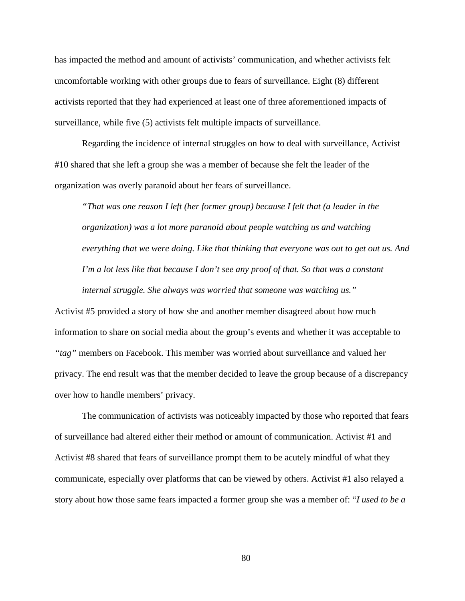has impacted the method and amount of activists' communication, and whether activists felt uncomfortable working with other groups due to fears of surveillance. Eight (8) different activists reported that they had experienced at least one of three aforementioned impacts of surveillance, while five (5) activists felt multiple impacts of surveillance.

Regarding the incidence of internal struggles on how to deal with surveillance, Activist #10 shared that she left a group she was a member of because she felt the leader of the organization was overly paranoid about her fears of surveillance.

*"That was one reason I left (her former group) because I felt that (a leader in the organization) was a lot more paranoid about people watching us and watching everything that we were doing. Like that thinking that everyone was out to get out us. And I'm a lot less like that because I don't see any proof of that. So that was a constant internal struggle. She always was worried that someone was watching us."*

Activist #5 provided a story of how she and another member disagreed about how much information to share on social media about the group's events and whether it was acceptable to *"tag"* members on Facebook. This member was worried about surveillance and valued her privacy. The end result was that the member decided to leave the group because of a discrepancy over how to handle members' privacy.

The communication of activists was noticeably impacted by those who reported that fears of surveillance had altered either their method or amount of communication. Activist #1 and Activist #8 shared that fears of surveillance prompt them to be acutely mindful of what they communicate, especially over platforms that can be viewed by others. Activist #1 also relayed a story about how those same fears impacted a former group she was a member of: "*I used to be a*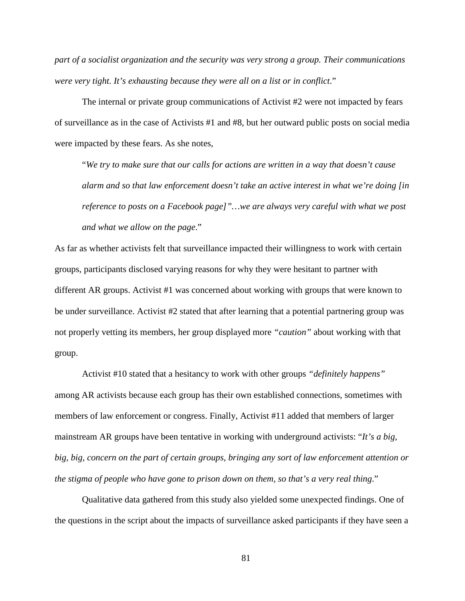*part of a socialist organization and the security was very strong a group. Their communications were very tight. It's exhausting because they were all on a list or in conflict*."

The internal or private group communications of Activist #2 were not impacted by fears of surveillance as in the case of Activists #1 and #8, but her outward public posts on social media were impacted by these fears. As she notes,

"*We try to make sure that our calls for actions are written in a way that doesn't cause alarm and so that law enforcement doesn't take an active interest in what we're doing [in reference to posts on a Facebook page]"…we are always very careful with what we post and what we allow on the page*."

As far as whether activists felt that surveillance impacted their willingness to work with certain groups, participants disclosed varying reasons for why they were hesitant to partner with different AR groups. Activist #1 was concerned about working with groups that were known to be under surveillance. Activist #2 stated that after learning that a potential partnering group was not properly vetting its members, her group displayed more *"caution"* about working with that group.

Activist #10 stated that a hesitancy to work with other groups *"definitely happens"* among AR activists because each group has their own established connections, sometimes with members of law enforcement or congress. Finally, Activist #11 added that members of larger mainstream AR groups have been tentative in working with underground activists: "*It's a big, big, big, concern on the part of certain groups, bringing any sort of law enforcement attention or the stigma of people who have gone to prison down on them, so that's a very real thing*."

Qualitative data gathered from this study also yielded some unexpected findings. One of the questions in the script about the impacts of surveillance asked participants if they have seen a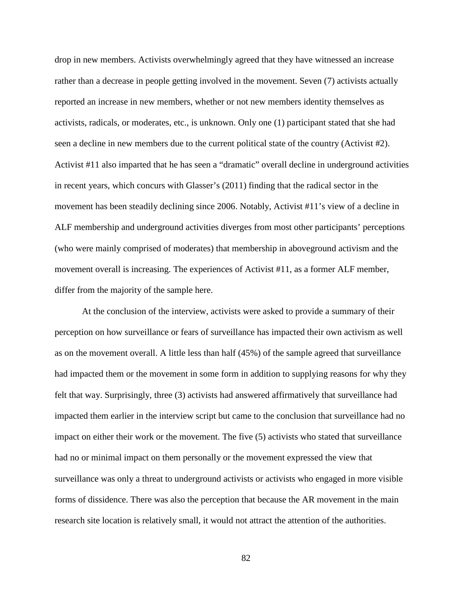drop in new members. Activists overwhelmingly agreed that they have witnessed an increase rather than a decrease in people getting involved in the movement. Seven (7) activists actually reported an increase in new members, whether or not new members identity themselves as activists, radicals, or moderates, etc., is unknown. Only one (1) participant stated that she had seen a decline in new members due to the current political state of the country (Activist #2). Activist #11 also imparted that he has seen a "dramatic" overall decline in underground activities in recent years, which concurs with Glasser's (2011) finding that the radical sector in the movement has been steadily declining since 2006. Notably, Activist #11's view of a decline in ALF membership and underground activities diverges from most other participants' perceptions (who were mainly comprised of moderates) that membership in aboveground activism and the movement overall is increasing. The experiences of Activist #11, as a former ALF member, differ from the majority of the sample here.

At the conclusion of the interview, activists were asked to provide a summary of their perception on how surveillance or fears of surveillance has impacted their own activism as well as on the movement overall. A little less than half (45%) of the sample agreed that surveillance had impacted them or the movement in some form in addition to supplying reasons for why they felt that way. Surprisingly, three (3) activists had answered affirmatively that surveillance had impacted them earlier in the interview script but came to the conclusion that surveillance had no impact on either their work or the movement. The five (5) activists who stated that surveillance had no or minimal impact on them personally or the movement expressed the view that surveillance was only a threat to underground activists or activists who engaged in more visible forms of dissidence. There was also the perception that because the AR movement in the main research site location is relatively small, it would not attract the attention of the authorities.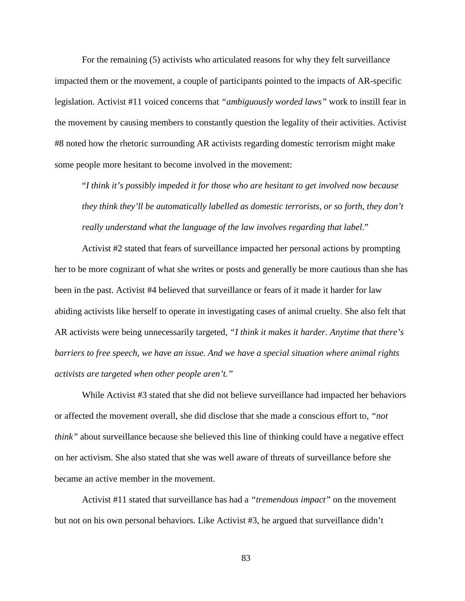For the remaining (5) activists who articulated reasons for why they felt surveillance impacted them or the movement, a couple of participants pointed to the impacts of AR-specific legislation. Activist #11 voiced concerns that *"ambiguously worded laws"* work to instill fear in the movement by causing members to constantly question the legality of their activities. Activist #8 noted how the rhetoric surrounding AR activists regarding domestic terrorism might make some people more hesitant to become involved in the movement:

"*I think it's possibly impeded it for those who are hesitant to get involved now because they think they'll be automatically labelled as domestic terrorists, or so forth, they don't really understand what the language of the law involves regarding that label*."

Activist #2 stated that fears of surveillance impacted her personal actions by prompting her to be more cognizant of what she writes or posts and generally be more cautious than she has been in the past. Activist #4 believed that surveillance or fears of it made it harder for law abiding activists like herself to operate in investigating cases of animal cruelty. She also felt that AR activists were being unnecessarily targeted, *"I think it makes it harder. Anytime that there's barriers to free speech, we have an issue. And we have a special situation where animal rights activists are targeted when other people aren't."*

While Activist #3 stated that she did not believe surveillance had impacted her behaviors or affected the movement overall, she did disclose that she made a conscious effort to, *"not think*" about surveillance because she believed this line of thinking could have a negative effect on her activism. She also stated that she was well aware of threats of surveillance before she became an active member in the movement.

Activist #11 stated that surveillance has had a *"tremendous impact"* on the movement but not on his own personal behaviors. Like Activist #3, he argued that surveillance didn't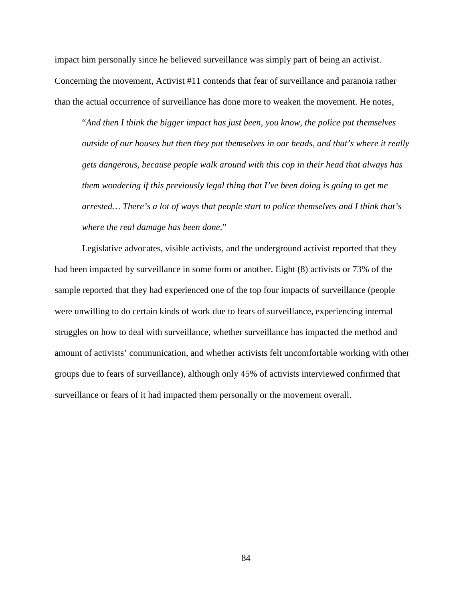impact him personally since he believed surveillance was simply part of being an activist. Concerning the movement, Activist #11 contends that fear of surveillance and paranoia rather than the actual occurrence of surveillance has done more to weaken the movement. He notes,

"*And then I think the bigger impact has just been, you know, the police put themselves outside of our houses but then they put themselves in our heads, and that's where it really gets dangerous, because people walk around with this cop in their head that always has them wondering if this previously legal thing that I've been doing is going to get me arrested… There's a lot of ways that people start to police themselves and I think that's where the real damage has been done*."

Legislative advocates, visible activists, and the underground activist reported that they had been impacted by surveillance in some form or another. Eight (8) activists or 73% of the sample reported that they had experienced one of the top four impacts of surveillance (people were unwilling to do certain kinds of work due to fears of surveillance, experiencing internal struggles on how to deal with surveillance, whether surveillance has impacted the method and amount of activists' communication, and whether activists felt uncomfortable working with other groups due to fears of surveillance), although only 45% of activists interviewed confirmed that surveillance or fears of it had impacted them personally or the movement overall.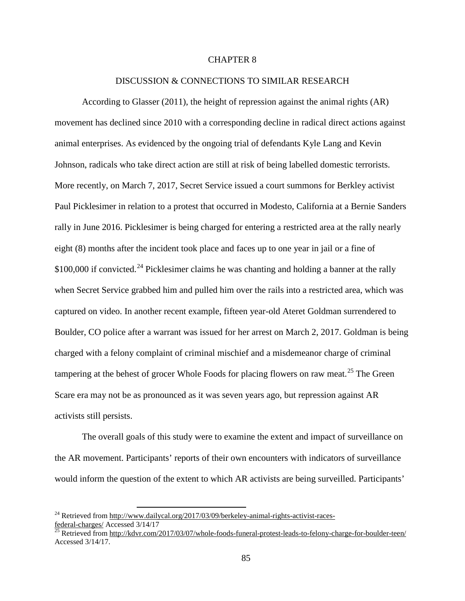### CHAPTER 8

#### DISCUSSION & CONNECTIONS TO SIMILAR RESEARCH

According to Glasser (2011), the height of repression against the animal rights (AR) movement has declined since 2010 with a corresponding decline in radical direct actions against animal enterprises. As evidenced by the ongoing trial of defendants Kyle Lang and Kevin Johnson, radicals who take direct action are still at risk of being labelled domestic terrorists. More recently, on March 7, 2017, Secret Service issued a court summons for Berkley activist Paul Picklesimer in relation to a protest that occurred in Modesto, California at a Bernie Sanders rally in June 2016. Picklesimer is being charged for entering a restricted area at the rally nearly eight (8) months after the incident took place and faces up to one year in jail or a fine of  $$100,000$  if convicted.<sup>[24](#page-92-0)</sup> Picklesimer claims he was chanting and holding a banner at the rally when Secret Service grabbed him and pulled him over the rails into a restricted area, which was captured on video. In another recent example, fifteen year-old Ateret Goldman surrendered to Boulder, CO police after a warrant was issued for her arrest on March 2, 2017. Goldman is being charged with a felony complaint of criminal mischief and a misdemeanor charge of criminal tampering at the behest of grocer Whole Foods for placing flowers on raw meat.<sup>[25](#page-92-1)</sup> The Green Scare era may not be as pronounced as it was seven years ago, but repression against AR activists still persists.

The overall goals of this study were to examine the extent and impact of surveillance on the AR movement. Participants' reports of their own encounters with indicators of surveillance would inform the question of the extent to which AR activists are being surveilled. Participants'

<span id="page-92-0"></span> $^{24}$  Retrieved from [http://www.dailycal.org/2017/03/09/berkeley-animal-rights-activist-races-](http://www.dailycal.org/2017/03/09/berkeley-animal-rights-activist-races-federal-charges/)

<span id="page-92-1"></span>Federal-charges/ Accessed 3/14/17<br>
<sup>25</sup> Retrieved from<http://kdvr.com/2017/03/07/whole-foods-funeral-protest-leads-to-felony-charge-for-boulder-teen/> Accessed 3/14/17.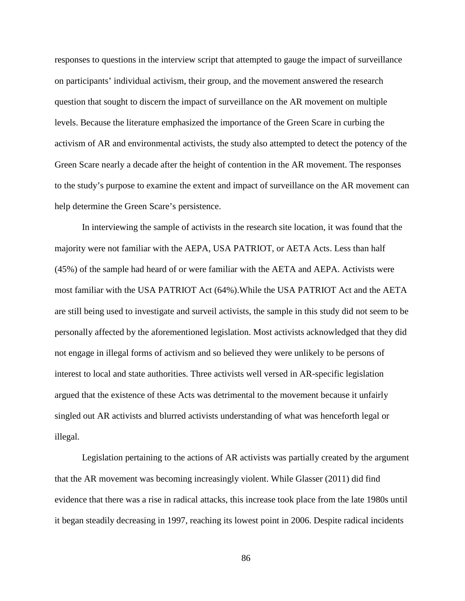responses to questions in the interview script that attempted to gauge the impact of surveillance on participants' individual activism, their group, and the movement answered the research question that sought to discern the impact of surveillance on the AR movement on multiple levels. Because the literature emphasized the importance of the Green Scare in curbing the activism of AR and environmental activists, the study also attempted to detect the potency of the Green Scare nearly a decade after the height of contention in the AR movement. The responses to the study's purpose to examine the extent and impact of surveillance on the AR movement can help determine the Green Scare's persistence.

In interviewing the sample of activists in the research site location, it was found that the majority were not familiar with the AEPA, USA PATRIOT, or AETA Acts. Less than half (45%) of the sample had heard of or were familiar with the AETA and AEPA. Activists were most familiar with the USA PATRIOT Act (64%).While the USA PATRIOT Act and the AETA are still being used to investigate and surveil activists, the sample in this study did not seem to be personally affected by the aforementioned legislation. Most activists acknowledged that they did not engage in illegal forms of activism and so believed they were unlikely to be persons of interest to local and state authorities. Three activists well versed in AR-specific legislation argued that the existence of these Acts was detrimental to the movement because it unfairly singled out AR activists and blurred activists understanding of what was henceforth legal or illegal.

Legislation pertaining to the actions of AR activists was partially created by the argument that the AR movement was becoming increasingly violent. While Glasser (2011) did find evidence that there was a rise in radical attacks, this increase took place from the late 1980s until it began steadily decreasing in 1997, reaching its lowest point in 2006. Despite radical incidents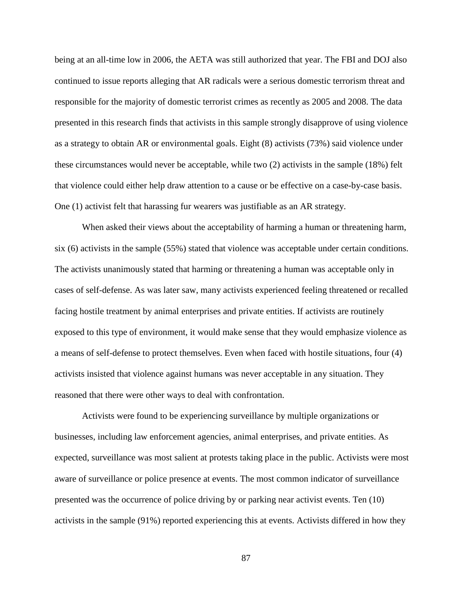being at an all-time low in 2006, the AETA was still authorized that year. The FBI and DOJ also continued to issue reports alleging that AR radicals were a serious domestic terrorism threat and responsible for the majority of domestic terrorist crimes as recently as 2005 and 2008. The data presented in this research finds that activists in this sample strongly disapprove of using violence as a strategy to obtain AR or environmental goals. Eight (8) activists (73%) said violence under these circumstances would never be acceptable, while two (2) activists in the sample (18%) felt that violence could either help draw attention to a cause or be effective on a case-by-case basis. One (1) activist felt that harassing fur wearers was justifiable as an AR strategy.

When asked their views about the acceptability of harming a human or threatening harm, six (6) activists in the sample (55%) stated that violence was acceptable under certain conditions. The activists unanimously stated that harming or threatening a human was acceptable only in cases of self-defense. As was later saw, many activists experienced feeling threatened or recalled facing hostile treatment by animal enterprises and private entities. If activists are routinely exposed to this type of environment, it would make sense that they would emphasize violence as a means of self-defense to protect themselves. Even when faced with hostile situations, four (4) activists insisted that violence against humans was never acceptable in any situation. They reasoned that there were other ways to deal with confrontation.

Activists were found to be experiencing surveillance by multiple organizations or businesses, including law enforcement agencies, animal enterprises, and private entities. As expected, surveillance was most salient at protests taking place in the public. Activists were most aware of surveillance or police presence at events. The most common indicator of surveillance presented was the occurrence of police driving by or parking near activist events. Ten (10) activists in the sample (91%) reported experiencing this at events. Activists differed in how they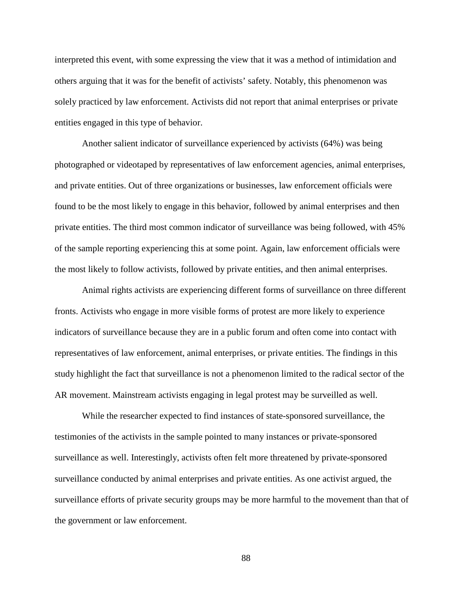interpreted this event, with some expressing the view that it was a method of intimidation and others arguing that it was for the benefit of activists' safety. Notably, this phenomenon was solely practiced by law enforcement. Activists did not report that animal enterprises or private entities engaged in this type of behavior.

Another salient indicator of surveillance experienced by activists (64%) was being photographed or videotaped by representatives of law enforcement agencies, animal enterprises, and private entities. Out of three organizations or businesses, law enforcement officials were found to be the most likely to engage in this behavior, followed by animal enterprises and then private entities. The third most common indicator of surveillance was being followed, with 45% of the sample reporting experiencing this at some point. Again, law enforcement officials were the most likely to follow activists, followed by private entities, and then animal enterprises.

Animal rights activists are experiencing different forms of surveillance on three different fronts. Activists who engage in more visible forms of protest are more likely to experience indicators of surveillance because they are in a public forum and often come into contact with representatives of law enforcement, animal enterprises, or private entities. The findings in this study highlight the fact that surveillance is not a phenomenon limited to the radical sector of the AR movement. Mainstream activists engaging in legal protest may be surveilled as well.

While the researcher expected to find instances of state-sponsored surveillance, the testimonies of the activists in the sample pointed to many instances or private-sponsored surveillance as well. Interestingly, activists often felt more threatened by private-sponsored surveillance conducted by animal enterprises and private entities. As one activist argued, the surveillance efforts of private security groups may be more harmful to the movement than that of the government or law enforcement.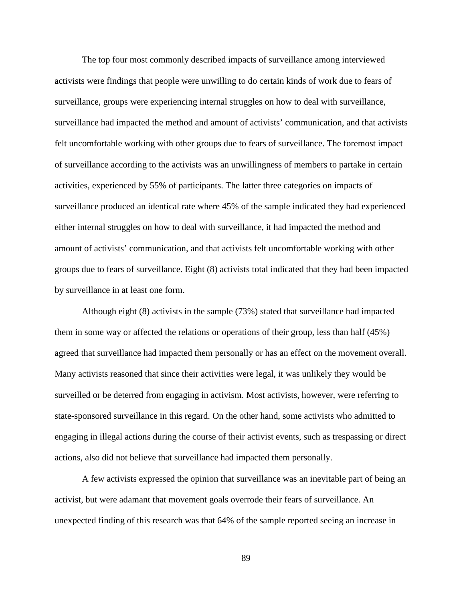The top four most commonly described impacts of surveillance among interviewed activists were findings that people were unwilling to do certain kinds of work due to fears of surveillance, groups were experiencing internal struggles on how to deal with surveillance, surveillance had impacted the method and amount of activists' communication, and that activists felt uncomfortable working with other groups due to fears of surveillance. The foremost impact of surveillance according to the activists was an unwillingness of members to partake in certain activities, experienced by 55% of participants. The latter three categories on impacts of surveillance produced an identical rate where 45% of the sample indicated they had experienced either internal struggles on how to deal with surveillance, it had impacted the method and amount of activists' communication, and that activists felt uncomfortable working with other groups due to fears of surveillance. Eight (8) activists total indicated that they had been impacted by surveillance in at least one form.

Although eight (8) activists in the sample (73%) stated that surveillance had impacted them in some way or affected the relations or operations of their group, less than half (45%) agreed that surveillance had impacted them personally or has an effect on the movement overall. Many activists reasoned that since their activities were legal, it was unlikely they would be surveilled or be deterred from engaging in activism. Most activists, however, were referring to state-sponsored surveillance in this regard. On the other hand, some activists who admitted to engaging in illegal actions during the course of their activist events, such as trespassing or direct actions, also did not believe that surveillance had impacted them personally.

A few activists expressed the opinion that surveillance was an inevitable part of being an activist, but were adamant that movement goals overrode their fears of surveillance. An unexpected finding of this research was that 64% of the sample reported seeing an increase in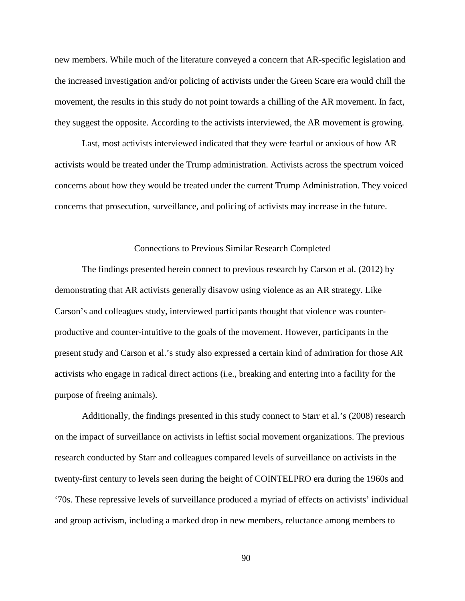new members. While much of the literature conveyed a concern that AR-specific legislation and the increased investigation and/or policing of activists under the Green Scare era would chill the movement, the results in this study do not point towards a chilling of the AR movement. In fact, they suggest the opposite. According to the activists interviewed, the AR movement is growing.

Last, most activists interviewed indicated that they were fearful or anxious of how AR activists would be treated under the Trump administration. Activists across the spectrum voiced concerns about how they would be treated under the current Trump Administration. They voiced concerns that prosecution, surveillance, and policing of activists may increase in the future.

### Connections to Previous Similar Research Completed

The findings presented herein connect to previous research by Carson et al. (2012) by demonstrating that AR activists generally disavow using violence as an AR strategy. Like Carson's and colleagues study, interviewed participants thought that violence was counterproductive and counter-intuitive to the goals of the movement. However, participants in the present study and Carson et al.'s study also expressed a certain kind of admiration for those AR activists who engage in radical direct actions (i.e., breaking and entering into a facility for the purpose of freeing animals).

Additionally, the findings presented in this study connect to Starr et al.'s (2008) research on the impact of surveillance on activists in leftist social movement organizations. The previous research conducted by Starr and colleagues compared levels of surveillance on activists in the twenty-first century to levels seen during the height of COINTELPRO era during the 1960s and '70s. These repressive levels of surveillance produced a myriad of effects on activists' individual and group activism, including a marked drop in new members, reluctance among members to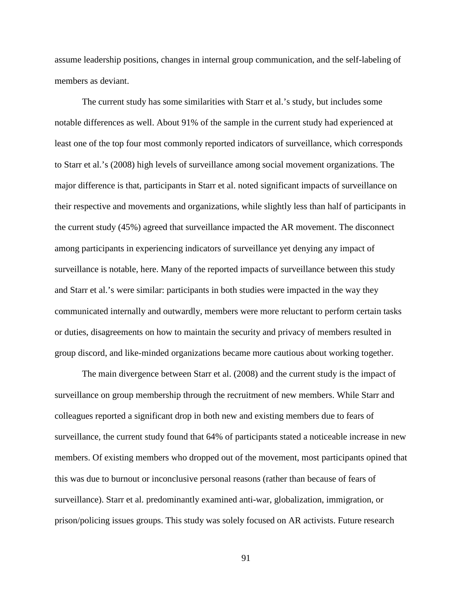assume leadership positions, changes in internal group communication, and the self-labeling of members as deviant.

The current study has some similarities with Starr et al.'s study, but includes some notable differences as well. About 91% of the sample in the current study had experienced at least one of the top four most commonly reported indicators of surveillance, which corresponds to Starr et al.'s (2008) high levels of surveillance among social movement organizations. The major difference is that, participants in Starr et al. noted significant impacts of surveillance on their respective and movements and organizations, while slightly less than half of participants in the current study (45%) agreed that surveillance impacted the AR movement. The disconnect among participants in experiencing indicators of surveillance yet denying any impact of surveillance is notable, here. Many of the reported impacts of surveillance between this study and Starr et al.'s were similar: participants in both studies were impacted in the way they communicated internally and outwardly, members were more reluctant to perform certain tasks or duties, disagreements on how to maintain the security and privacy of members resulted in group discord, and like-minded organizations became more cautious about working together.

The main divergence between Starr et al. (2008) and the current study is the impact of surveillance on group membership through the recruitment of new members. While Starr and colleagues reported a significant drop in both new and existing members due to fears of surveillance, the current study found that 64% of participants stated a noticeable increase in new members. Of existing members who dropped out of the movement, most participants opined that this was due to burnout or inconclusive personal reasons (rather than because of fears of surveillance). Starr et al. predominantly examined anti-war, globalization, immigration, or prison/policing issues groups. This study was solely focused on AR activists. Future research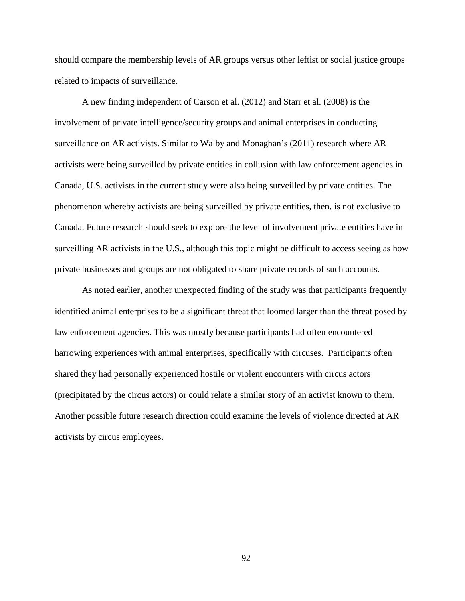should compare the membership levels of AR groups versus other leftist or social justice groups related to impacts of surveillance.

A new finding independent of Carson et al. (2012) and Starr et al. (2008) is the involvement of private intelligence/security groups and animal enterprises in conducting surveillance on AR activists. Similar to Walby and Monaghan's (2011) research where AR activists were being surveilled by private entities in collusion with law enforcement agencies in Canada, U.S. activists in the current study were also being surveilled by private entities. The phenomenon whereby activists are being surveilled by private entities, then, is not exclusive to Canada. Future research should seek to explore the level of involvement private entities have in surveilling AR activists in the U.S., although this topic might be difficult to access seeing as how private businesses and groups are not obligated to share private records of such accounts.

As noted earlier, another unexpected finding of the study was that participants frequently identified animal enterprises to be a significant threat that loomed larger than the threat posed by law enforcement agencies. This was mostly because participants had often encountered harrowing experiences with animal enterprises, specifically with circuses. Participants often shared they had personally experienced hostile or violent encounters with circus actors (precipitated by the circus actors) or could relate a similar story of an activist known to them. Another possible future research direction could examine the levels of violence directed at AR activists by circus employees.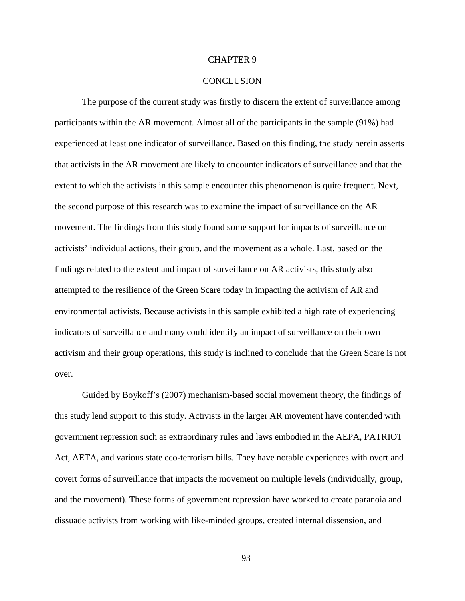### CHAPTER 9

#### **CONCLUSION**

The purpose of the current study was firstly to discern the extent of surveillance among participants within the AR movement. Almost all of the participants in the sample (91%) had experienced at least one indicator of surveillance. Based on this finding, the study herein asserts that activists in the AR movement are likely to encounter indicators of surveillance and that the extent to which the activists in this sample encounter this phenomenon is quite frequent. Next, the second purpose of this research was to examine the impact of surveillance on the AR movement. The findings from this study found some support for impacts of surveillance on activists' individual actions, their group, and the movement as a whole. Last, based on the findings related to the extent and impact of surveillance on AR activists, this study also attempted to the resilience of the Green Scare today in impacting the activism of AR and environmental activists. Because activists in this sample exhibited a high rate of experiencing indicators of surveillance and many could identify an impact of surveillance on their own activism and their group operations, this study is inclined to conclude that the Green Scare is not over.

Guided by Boykoff's (2007) mechanism-based social movement theory, the findings of this study lend support to this study. Activists in the larger AR movement have contended with government repression such as extraordinary rules and laws embodied in the AEPA, PATRIOT Act, AETA, and various state eco-terrorism bills. They have notable experiences with overt and covert forms of surveillance that impacts the movement on multiple levels (individually, group, and the movement). These forms of government repression have worked to create paranoia and dissuade activists from working with like-minded groups, created internal dissension, and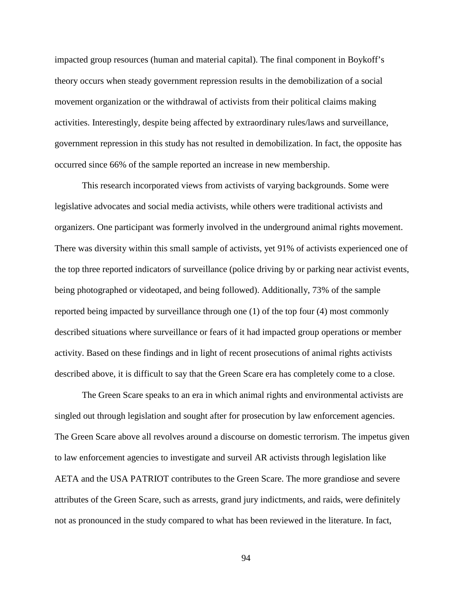impacted group resources (human and material capital). The final component in Boykoff's theory occurs when steady government repression results in the demobilization of a social movement organization or the withdrawal of activists from their political claims making activities. Interestingly, despite being affected by extraordinary rules/laws and surveillance, government repression in this study has not resulted in demobilization. In fact, the opposite has occurred since 66% of the sample reported an increase in new membership.

This research incorporated views from activists of varying backgrounds. Some were legislative advocates and social media activists, while others were traditional activists and organizers. One participant was formerly involved in the underground animal rights movement. There was diversity within this small sample of activists, yet 91% of activists experienced one of the top three reported indicators of surveillance (police driving by or parking near activist events, being photographed or videotaped, and being followed). Additionally, 73% of the sample reported being impacted by surveillance through one (1) of the top four (4) most commonly described situations where surveillance or fears of it had impacted group operations or member activity. Based on these findings and in light of recent prosecutions of animal rights activists described above, it is difficult to say that the Green Scare era has completely come to a close.

The Green Scare speaks to an era in which animal rights and environmental activists are singled out through legislation and sought after for prosecution by law enforcement agencies. The Green Scare above all revolves around a discourse on domestic terrorism. The impetus given to law enforcement agencies to investigate and surveil AR activists through legislation like AETA and the USA PATRIOT contributes to the Green Scare. The more grandiose and severe attributes of the Green Scare, such as arrests, grand jury indictments, and raids, were definitely not as pronounced in the study compared to what has been reviewed in the literature. In fact,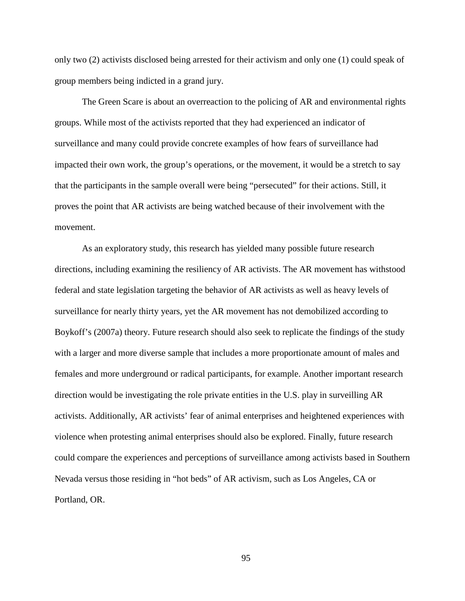only two (2) activists disclosed being arrested for their activism and only one (1) could speak of group members being indicted in a grand jury.

The Green Scare is about an overreaction to the policing of AR and environmental rights groups. While most of the activists reported that they had experienced an indicator of surveillance and many could provide concrete examples of how fears of surveillance had impacted their own work, the group's operations, or the movement, it would be a stretch to say that the participants in the sample overall were being "persecuted" for their actions. Still, it proves the point that AR activists are being watched because of their involvement with the movement.

As an exploratory study, this research has yielded many possible future research directions, including examining the resiliency of AR activists. The AR movement has withstood federal and state legislation targeting the behavior of AR activists as well as heavy levels of surveillance for nearly thirty years, yet the AR movement has not demobilized according to Boykoff's (2007a) theory. Future research should also seek to replicate the findings of the study with a larger and more diverse sample that includes a more proportionate amount of males and females and more underground or radical participants, for example. Another important research direction would be investigating the role private entities in the U.S. play in surveilling AR activists. Additionally, AR activists' fear of animal enterprises and heightened experiences with violence when protesting animal enterprises should also be explored. Finally, future research could compare the experiences and perceptions of surveillance among activists based in Southern Nevada versus those residing in "hot beds" of AR activism, such as Los Angeles, CA or Portland, OR.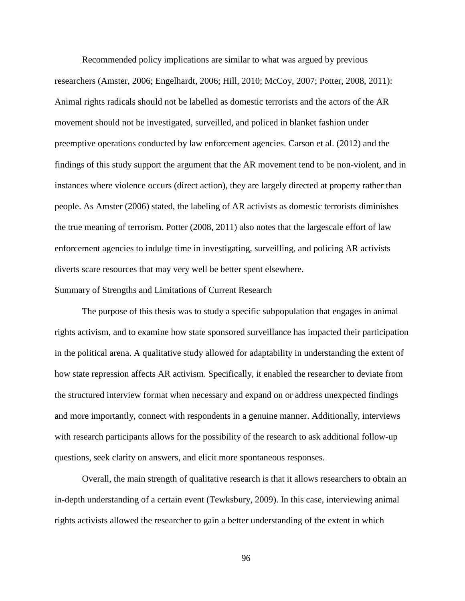Recommended policy implications are similar to what was argued by previous researchers (Amster, 2006; Engelhardt, 2006; Hill, 2010; McCoy, 2007; Potter, 2008, 2011): Animal rights radicals should not be labelled as domestic terrorists and the actors of the AR movement should not be investigated, surveilled, and policed in blanket fashion under preemptive operations conducted by law enforcement agencies. Carson et al. (2012) and the findings of this study support the argument that the AR movement tend to be non-violent, and in instances where violence occurs (direct action), they are largely directed at property rather than people. As Amster (2006) stated, the labeling of AR activists as domestic terrorists diminishes the true meaning of terrorism. Potter (2008, 2011) also notes that the largescale effort of law enforcement agencies to indulge time in investigating, surveilling, and policing AR activists diverts scare resources that may very well be better spent elsewhere.

### Summary of Strengths and Limitations of Current Research

The purpose of this thesis was to study a specific subpopulation that engages in animal rights activism, and to examine how state sponsored surveillance has impacted their participation in the political arena. A qualitative study allowed for adaptability in understanding the extent of how state repression affects AR activism. Specifically, it enabled the researcher to deviate from the structured interview format when necessary and expand on or address unexpected findings and more importantly, connect with respondents in a genuine manner. Additionally, interviews with research participants allows for the possibility of the research to ask additional follow-up questions, seek clarity on answers, and elicit more spontaneous responses.

Overall, the main strength of qualitative research is that it allows researchers to obtain an in-depth understanding of a certain event (Tewksbury, 2009). In this case, interviewing animal rights activists allowed the researcher to gain a better understanding of the extent in which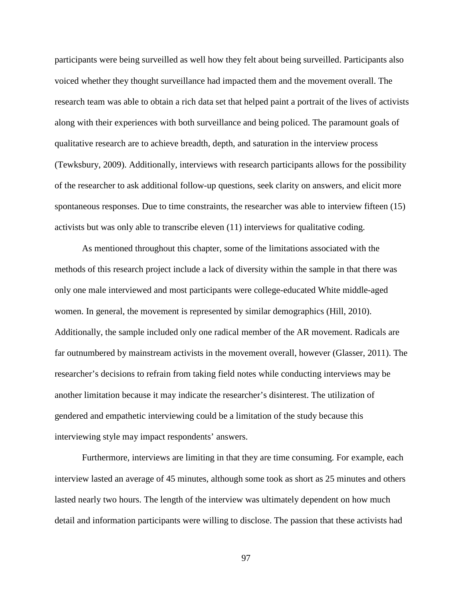participants were being surveilled as well how they felt about being surveilled. Participants also voiced whether they thought surveillance had impacted them and the movement overall. The research team was able to obtain a rich data set that helped paint a portrait of the lives of activists along with their experiences with both surveillance and being policed. The paramount goals of qualitative research are to achieve breadth, depth, and saturation in the interview process (Tewksbury, 2009). Additionally, interviews with research participants allows for the possibility of the researcher to ask additional follow-up questions, seek clarity on answers, and elicit more spontaneous responses. Due to time constraints, the researcher was able to interview fifteen (15) activists but was only able to transcribe eleven (11) interviews for qualitative coding.

As mentioned throughout this chapter, some of the limitations associated with the methods of this research project include a lack of diversity within the sample in that there was only one male interviewed and most participants were college-educated White middle-aged women. In general, the movement is represented by similar demographics (Hill, 2010). Additionally, the sample included only one radical member of the AR movement. Radicals are far outnumbered by mainstream activists in the movement overall, however (Glasser, 2011). The researcher's decisions to refrain from taking field notes while conducting interviews may be another limitation because it may indicate the researcher's disinterest. The utilization of gendered and empathetic interviewing could be a limitation of the study because this interviewing style may impact respondents' answers.

Furthermore, interviews are limiting in that they are time consuming. For example, each interview lasted an average of 45 minutes, although some took as short as 25 minutes and others lasted nearly two hours. The length of the interview was ultimately dependent on how much detail and information participants were willing to disclose. The passion that these activists had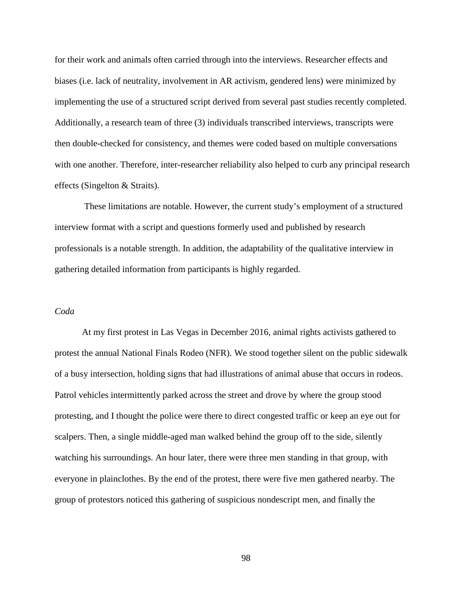for their work and animals often carried through into the interviews. Researcher effects and biases (i.e. lack of neutrality, involvement in AR activism, gendered lens) were minimized by implementing the use of a structured script derived from several past studies recently completed. Additionally, a research team of three (3) individuals transcribed interviews, transcripts were then double-checked for consistency, and themes were coded based on multiple conversations with one another. Therefore, inter-researcher reliability also helped to curb any principal research effects (Singelton & Straits).

These limitations are notable. However, the current study's employment of a structured interview format with a script and questions formerly used and published by research professionals is a notable strength. In addition, the adaptability of the qualitative interview in gathering detailed information from participants is highly regarded.

#### *Coda*

At my first protest in Las Vegas in December 2016, animal rights activists gathered to protest the annual National Finals Rodeo (NFR). We stood together silent on the public sidewalk of a busy intersection, holding signs that had illustrations of animal abuse that occurs in rodeos. Patrol vehicles intermittently parked across the street and drove by where the group stood protesting, and I thought the police were there to direct congested traffic or keep an eye out for scalpers. Then, a single middle-aged man walked behind the group off to the side, silently watching his surroundings. An hour later, there were three men standing in that group, with everyone in plainclothes. By the end of the protest, there were five men gathered nearby. The group of protestors noticed this gathering of suspicious nondescript men, and finally the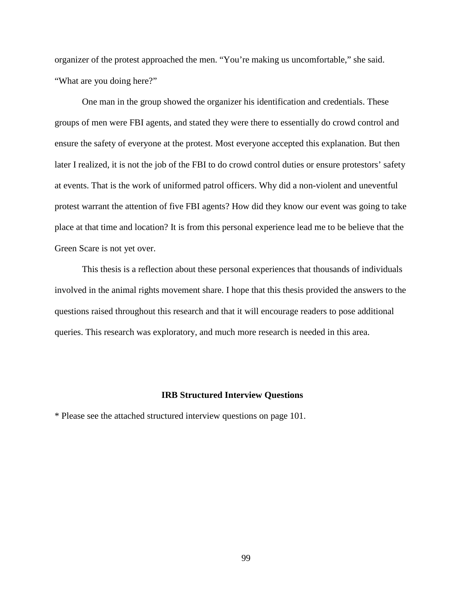organizer of the protest approached the men. "You're making us uncomfortable," she said. "What are you doing here?"

One man in the group showed the organizer his identification and credentials. These groups of men were FBI agents, and stated they were there to essentially do crowd control and ensure the safety of everyone at the protest. Most everyone accepted this explanation. But then later I realized, it is not the job of the FBI to do crowd control duties or ensure protestors' safety at events. That is the work of uniformed patrol officers. Why did a non-violent and uneventful protest warrant the attention of five FBI agents? How did they know our event was going to take place at that time and location? It is from this personal experience lead me to be believe that the Green Scare is not yet over.

This thesis is a reflection about these personal experiences that thousands of individuals involved in the animal rights movement share. I hope that this thesis provided the answers to the questions raised throughout this research and that it will encourage readers to pose additional queries. This research was exploratory, and much more research is needed in this area.

#### **IRB Structured Interview Questions**

\* Please see the attached structured interview questions on page 101.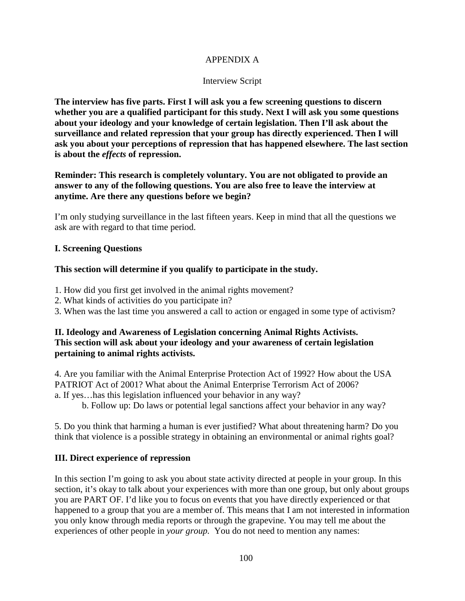## APPENDIX A

## Interview Script

**The interview has five parts. First I will ask you a few screening questions to discern whether you are a qualified participant for this study. Next I will ask you some questions about your ideology and your knowledge of certain legislation. Then I'll ask about the surveillance and related repression that your group has directly experienced. Then I will ask you about your perceptions of repression that has happened elsewhere. The last section is about the** *effects* **of repression.** 

**Reminder: This research is completely voluntary. You are not obligated to provide an answer to any of the following questions. You are also free to leave the interview at anytime. Are there any questions before we begin?** 

I'm only studying surveillance in the last fifteen years. Keep in mind that all the questions we ask are with regard to that time period.

## **I. Screening Questions**

## **This section will determine if you qualify to participate in the study.**

- 1. How did you first get involved in the animal rights movement?
- 2. What kinds of activities do you participate in?
- 3. When was the last time you answered a call to action or engaged in some type of activism?

## **II. Ideology and Awareness of Legislation concerning Animal Rights Activists. This section will ask about your ideology and your awareness of certain legislation pertaining to animal rights activists.**

4. Are you familiar with the Animal Enterprise Protection Act of 1992? How about the USA PATRIOT Act of 2001? What about the Animal Enterprise Terrorism Act of 2006? a. If yes…has this legislation influenced your behavior in any way?

b. Follow up: Do laws or potential legal sanctions affect your behavior in any way?

5. Do you think that harming a human is ever justified? What about threatening harm? Do you think that violence is a possible strategy in obtaining an environmental or animal rights goal?

## **III. Direct experience of repression**

In this section I'm going to ask you about state activity directed at people in your group. In this section, it's okay to talk about your experiences with more than one group, but only about groups you are PART OF. I'd like you to focus on events that you have directly experienced or that happened to a group that you are a member of. This means that I am not interested in information you only know through media reports or through the grapevine. You may tell me about the experiences of other people in *your group.* You do not need to mention any names: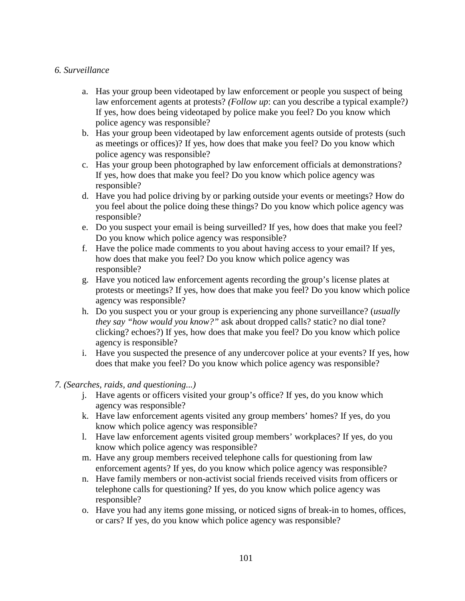#### *6. Surveillance*

- a. Has your group been videotaped by law enforcement or people you suspect of being law enforcement agents at protests? *(Follow up*: can you describe a typical example?*)* If yes, how does being videotaped by police make you feel? Do you know which police agency was responsible?
- b. Has your group been videotaped by law enforcement agents outside of protests (such as meetings or offices)? If yes, how does that make you feel? Do you know which police agency was responsible?
- c. Has your group been photographed by law enforcement officials at demonstrations? If yes, how does that make you feel? Do you know which police agency was responsible?
- d. Have you had police driving by or parking outside your events or meetings? How do you feel about the police doing these things? Do you know which police agency was responsible?
- e. Do you suspect your email is being surveilled? If yes, how does that make you feel? Do you know which police agency was responsible?
- f. Have the police made comments to you about having access to your email? If yes, how does that make you feel? Do you know which police agency was responsible?
- g. Have you noticed law enforcement agents recording the group's license plates at protests or meetings? If yes, how does that make you feel? Do you know which police agency was responsible?
- h. Do you suspect you or your group is experiencing any phone surveillance? (*usually they say "how would you know?"* ask about dropped calls? static? no dial tone? clicking? echoes?) If yes, how does that make you feel? Do you know which police agency is responsible?
- i. Have you suspected the presence of any undercover police at your events? If yes, how does that make you feel? Do you know which police agency was responsible?

#### *7. (Searches, raids, and questioning...)*

- j. Have agents or officers visited your group's office? If yes, do you know which agency was responsible?
- k. Have law enforcement agents visited any group members' homes? If yes, do you know which police agency was responsible?
- l. Have law enforcement agents visited group members' workplaces? If yes, do you know which police agency was responsible?
- m. Have any group members received telephone calls for questioning from law enforcement agents? If yes, do you know which police agency was responsible?
- n. Have family members or non-activist social friends received visits from officers or telephone calls for questioning? If yes, do you know which police agency was responsible?
- o. Have you had any items gone missing, or noticed signs of break-in to homes, offices, or cars? If yes, do you know which police agency was responsible?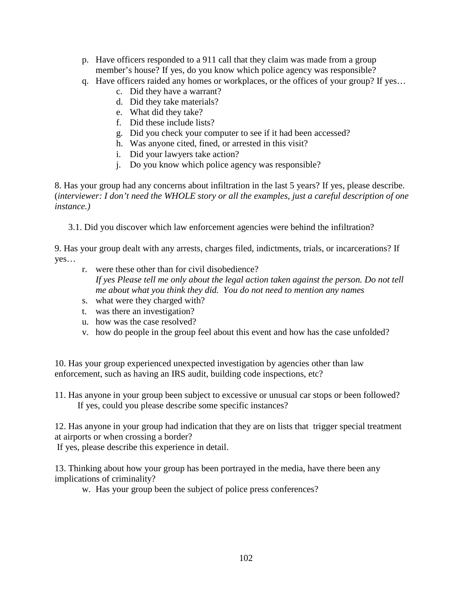- p. Have officers responded to a 911 call that they claim was made from a group member's house? If yes, do you know which police agency was responsible?
- q. Have officers raided any homes or workplaces, or the offices of your group? If yes…
	- c. Did they have a warrant?
	- d. Did they take materials?
	- e. What did they take?
	- f. Did these include lists?
	- g. Did you check your computer to see if it had been accessed?
	- h. Was anyone cited, fined, or arrested in this visit?
	- i. Did your lawyers take action?
	- j. Do you know which police agency was responsible?

8. Has your group had any concerns about infiltration in the last 5 years? If yes, please describe. (*interviewer: I don't need the WHOLE story or all the examples, just a careful description of one instance.)*

3.1. Did you discover which law enforcement agencies were behind the infiltration?

9. Has your group dealt with any arrests, charges filed, indictments, trials, or incarcerations? If yes…

- r. were these other than for civil disobedience? *If yes Please tell me only about the legal action taken against the person. Do not tell me about what you think they did. You do not need to mention any names*
- s. what were they charged with?
- t. was there an investigation?
- u. how was the case resolved?
- v. how do people in the group feel about this event and how has the case unfolded?

10. Has your group experienced unexpected investigation by agencies other than law enforcement, such as having an IRS audit, building code inspections, etc?

11. Has anyone in your group been subject to excessive or unusual car stops or been followed? If yes, could you please describe some specific instances?

12. Has anyone in your group had indication that they are on lists that trigger special treatment at airports or when crossing a border?

If yes, please describe this experience in detail.

13. Thinking about how your group has been portrayed in the media, have there been any implications of criminality?

w. Has your group been the subject of police press conferences?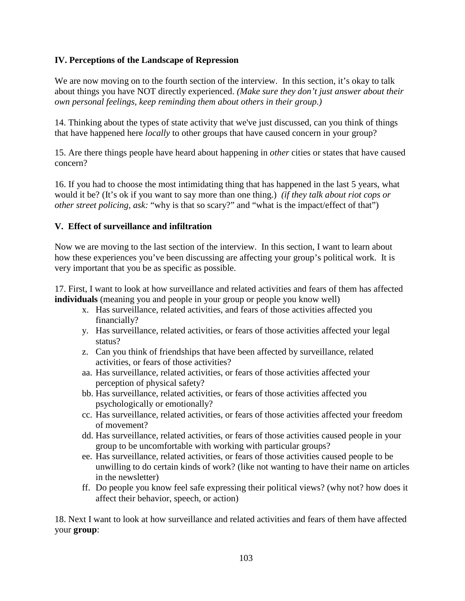### **IV. Perceptions of the Landscape of Repression**

We are now moving on to the fourth section of the interview. In this section, it's okay to talk about things you have NOT directly experienced. *(Make sure they don't just answer about their own personal feelings, keep reminding them about others in their group.)*

14. Thinking about the types of state activity that we've just discussed, can you think of things that have happened here *locally* to other groups that have caused concern in your group?

15. Are there things people have heard about happening in *other* cities or states that have caused concern?

16. If you had to choose the most intimidating thing that has happened in the last 5 years, what would it be? (It's ok if you want to say more than one thing.) *(if they talk about riot cops or other street policing, ask:* "why is that so scary?" and "what is the impact/effect of that")

#### **V. Effect of surveillance and infiltration**

Now we are moving to the last section of the interview. In this section, I want to learn about how these experiences you've been discussing are affecting your group's political work. It is very important that you be as specific as possible.

17. First, I want to look at how surveillance and related activities and fears of them has affected **individuals** (meaning you and people in your group or people you know well)

- x. Has surveillance, related activities, and fears of those activities affected you financially?
- y. Has surveillance, related activities, or fears of those activities affected your legal status?
- z. Can you think of friendships that have been affected by surveillance, related activities, or fears of those activities?
- aa. Has surveillance, related activities, or fears of those activities affected your perception of physical safety?
- bb. Has surveillance, related activities, or fears of those activities affected you psychologically or emotionally?
- cc. Has surveillance, related activities, or fears of those activities affected your freedom of movement?
- dd. Has surveillance, related activities, or fears of those activities caused people in your group to be uncomfortable with working with particular groups?
- ee. Has surveillance, related activities, or fears of those activities caused people to be unwilling to do certain kinds of work? (like not wanting to have their name on articles in the newsletter)
- ff. Do people you know feel safe expressing their political views? (why not? how does it affect their behavior, speech, or action)

18. Next I want to look at how surveillance and related activities and fears of them have affected your **group**: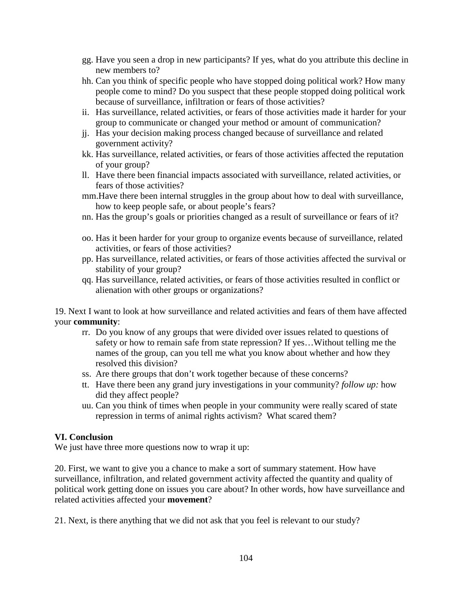- gg. Have you seen a drop in new participants? If yes, what do you attribute this decline in new members to?
- hh. Can you think of specific people who have stopped doing political work? How many people come to mind? Do you suspect that these people stopped doing political work because of surveillance, infiltration or fears of those activities?
- ii. Has surveillance, related activities, or fears of those activities made it harder for your group to communicate or changed your method or amount of communication?
- jj. Has your decision making process changed because of surveillance and related government activity?
- kk. Has surveillance, related activities, or fears of those activities affected the reputation of your group?
- ll. Have there been financial impacts associated with surveillance, related activities, or fears of those activities?
- mm.Have there been internal struggles in the group about how to deal with surveillance, how to keep people safe, or about people's fears?
- nn. Has the group's goals or priorities changed as a result of surveillance or fears of it?
- oo. Has it been harder for your group to organize events because of surveillance, related activities, or fears of those activities?
- pp. Has surveillance, related activities, or fears of those activities affected the survival or stability of your group?
- qq. Has surveillance, related activities, or fears of those activities resulted in conflict or alienation with other groups or organizations?

19. Next I want to look at how surveillance and related activities and fears of them have affected your **community**:

- rr. Do you know of any groups that were divided over issues related to questions of safety or how to remain safe from state repression? If yes…Without telling me the names of the group, can you tell me what you know about whether and how they resolved this division?
- ss. Are there groups that don't work together because of these concerns?
- tt. Have there been any grand jury investigations in your community? *follow up:* how did they affect people?
- uu. Can you think of times when people in your community were really scared of state repression in terms of animal rights activism? What scared them?

# **VI. Conclusion**

We just have three more questions now to wrap it up:

20. First, we want to give you a chance to make a sort of summary statement. How have surveillance, infiltration, and related government activity affected the quantity and quality of political work getting done on issues you care about? In other words, how have surveillance and related activities affected your **movement**?

21. Next, is there anything that we did not ask that you feel is relevant to our study?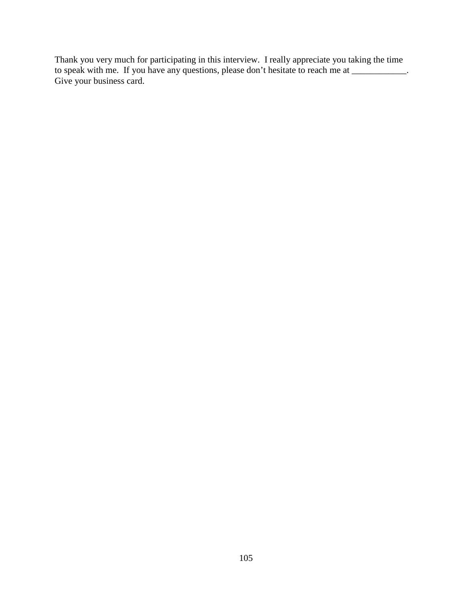Thank you very much for participating in this interview. I really appreciate you taking the time to speak with me. If you have any questions, please don't hesitate to reach me at \_\_\_\_\_\_\_\_\_\_\_\_. Give your business card.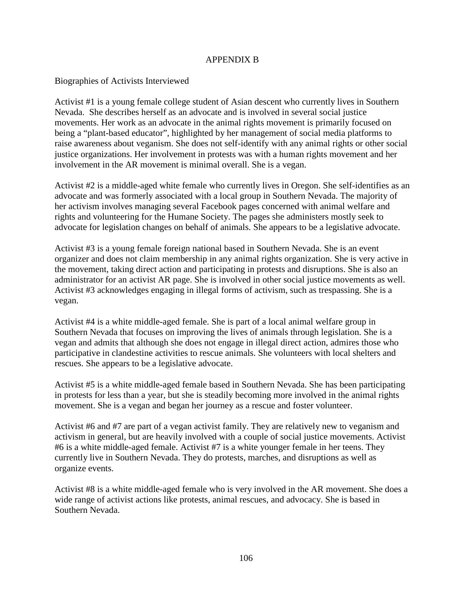#### APPENDIX B

#### Biographies of Activists Interviewed

Activist #1 is a young female college student of Asian descent who currently lives in Southern Nevada. She describes herself as an advocate and is involved in several social justice movements. Her work as an advocate in the animal rights movement is primarily focused on being a "plant-based educator", highlighted by her management of social media platforms to raise awareness about veganism. She does not self-identify with any animal rights or other social justice organizations. Her involvement in protests was with a human rights movement and her involvement in the AR movement is minimal overall. She is a vegan.

Activist #2 is a middle-aged white female who currently lives in Oregon. She self-identifies as an advocate and was formerly associated with a local group in Southern Nevada. The majority of her activism involves managing several Facebook pages concerned with animal welfare and rights and volunteering for the Humane Society. The pages she administers mostly seek to advocate for legislation changes on behalf of animals. She appears to be a legislative advocate.

Activist #3 is a young female foreign national based in Southern Nevada. She is an event organizer and does not claim membership in any animal rights organization. She is very active in the movement, taking direct action and participating in protests and disruptions. She is also an administrator for an activist AR page. She is involved in other social justice movements as well. Activist #3 acknowledges engaging in illegal forms of activism, such as trespassing. She is a vegan.

Activist #4 is a white middle-aged female. She is part of a local animal welfare group in Southern Nevada that focuses on improving the lives of animals through legislation. She is a vegan and admits that although she does not engage in illegal direct action, admires those who participative in clandestine activities to rescue animals. She volunteers with local shelters and rescues. She appears to be a legislative advocate.

Activist #5 is a white middle-aged female based in Southern Nevada. She has been participating in protests for less than a year, but she is steadily becoming more involved in the animal rights movement. She is a vegan and began her journey as a rescue and foster volunteer.

Activist #6 and #7 are part of a vegan activist family. They are relatively new to veganism and activism in general, but are heavily involved with a couple of social justice movements. Activist #6 is a white middle-aged female. Activist #7 is a white younger female in her teens. They currently live in Southern Nevada. They do protests, marches, and disruptions as well as organize events.

Activist #8 is a white middle-aged female who is very involved in the AR movement. She does a wide range of activist actions like protests, animal rescues, and advocacy. She is based in Southern Nevada.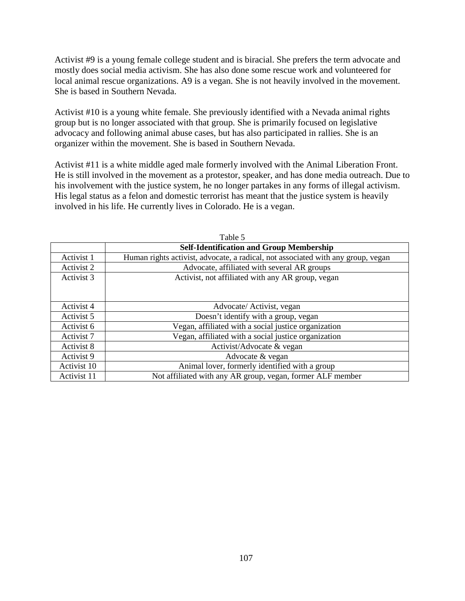Activist #9 is a young female college student and is biracial. She prefers the term advocate and mostly does social media activism. She has also done some rescue work and volunteered for local animal rescue organizations. A9 is a vegan. She is not heavily involved in the movement. She is based in Southern Nevada.

Activist #10 is a young white female. She previously identified with a Nevada animal rights group but is no longer associated with that group. She is primarily focused on legislative advocacy and following animal abuse cases, but has also participated in rallies. She is an organizer within the movement. She is based in Southern Nevada.

Activist #11 is a white middle aged male formerly involved with the Animal Liberation Front. He is still involved in the movement as a protestor, speaker, and has done media outreach. Due to his involvement with the justice system, he no longer partakes in any forms of illegal activism. His legal status as a felon and domestic terrorist has meant that the justice system is heavily involved in his life. He currently lives in Colorado. He is a vegan.

| Table 5     |                                                                                  |
|-------------|----------------------------------------------------------------------------------|
|             | <b>Self-Identification and Group Membership</b>                                  |
| Activist 1  | Human rights activist, advocate, a radical, not associated with any group, vegan |
| Activist 2  | Advocate, affiliated with several AR groups                                      |
| Activist 3  | Activist, not affiliated with any AR group, vegan                                |
|             |                                                                                  |
|             |                                                                                  |
| Activist 4  | Advocate/Activist, vegan                                                         |
| Activist 5  | Doesn't identify with a group, vegan                                             |
| Activist 6  | Vegan, affiliated with a social justice organization                             |
| Activist 7  | Vegan, affiliated with a social justice organization                             |
| Activist 8  | Activist/Advocate & vegan                                                        |
| Activist 9  | Advocate & vegan                                                                 |
| Activist 10 | Animal lover, formerly identified with a group                                   |
| Activist 11 | Not affiliated with any AR group, vegan, former ALF member                       |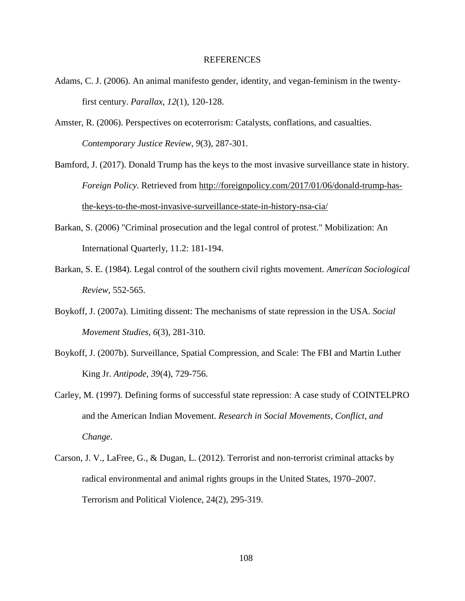#### REFERENCES

- Adams, C. J. (2006). An animal manifesto gender, identity, and vegan-feminism in the twentyfirst century. *Parallax*, *12*(1), 120-128.
- Amster, R. (2006). Perspectives on ecoterrorism: Catalysts, conflations, and casualties. *Contemporary Justice Review*, *9*(3), 287-301.
- Bamford, J. (2017). Donald Trump has the keys to the most invasive surveillance state in history. *Foreign Policy*. Retrieved from [http://foreignpolicy.com/2017/01/06/donald-trump-has](http://foreignpolicy.com/2017/01/06/donald-trump-has-the-keys-to-the-most-invasive-surveillance-state-in-history-nsa-cia/)[the-keys-to-the-most-invasive-surveillance-state-in-history-nsa-cia/](http://foreignpolicy.com/2017/01/06/donald-trump-has-the-keys-to-the-most-invasive-surveillance-state-in-history-nsa-cia/)
- Barkan, S. (2006) "Criminal prosecution and the legal control of protest." Mobilization: An International Quarterly, 11.2: 181-194.
- Barkan, S. E. (1984). Legal control of the southern civil rights movement. *American Sociological Review*, 552-565.
- Boykoff, J. (2007a). Limiting dissent: The mechanisms of state repression in the USA. *Social Movement Studies*, *6*(3), 281-310.
- Boykoff, J. (2007b). Surveillance, Spatial Compression, and Scale: The FBI and Martin Luther King Jr. *Antipode*, *39*(4), 729-756.
- Carley, M. (1997). Defining forms of successful state repression: A case study of COINTELPRO and the American Indian Movement. *Research in Social Movements, Conflict, and Change*.
- Carson, J. V., LaFree, G., & Dugan, L. (2012). Terrorist and non-terrorist criminal attacks by radical environmental and animal rights groups in the United States, 1970–2007. Terrorism and Political Violence, 24(2), 295-319.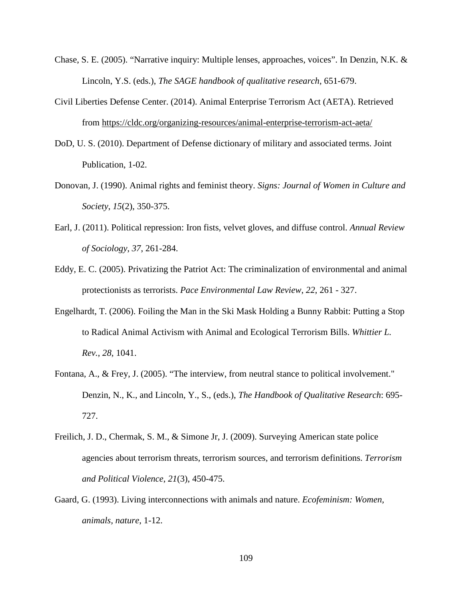- Chase, S. E. (2005). "Narrative inquiry: Multiple lenses, approaches, voices". In Denzin, N.K. & Lincoln, Y.S. (eds.), *The SAGE handbook of qualitative research*, 651-679.
- Civil Liberties Defense Center. (2014). Animal Enterprise Terrorism Act (AETA). Retrieved from<https://cldc.org/organizing-resources/animal-enterprise-terrorism-act-aeta/>
- DoD, U. S. (2010). Department of Defense dictionary of military and associated terms. Joint Publication, 1-02.
- Donovan, J. (1990). Animal rights and feminist theory. *Signs: Journal of Women in Culture and Society*, *15*(2), 350-375.
- Earl, J. (2011). Political repression: Iron fists, velvet gloves, and diffuse control. *Annual Review of Sociology*, *37*, 261-284.
- Eddy, E. C. (2005). Privatizing the Patriot Act: The criminalization of environmental and animal protectionists as terrorists. *Pace Environmental Law Review*, *22*, 261 - 327.
- Engelhardt, T. (2006). Foiling the Man in the Ski Mask Holding a Bunny Rabbit: Putting a Stop to Radical Animal Activism with Animal and Ecological Terrorism Bills. *Whittier L. Rev.*, *28*, 1041.
- Fontana, A., & Frey, J. (2005). "The interview, from neutral stance to political involvement." Denzin, N., K., and Lincoln, Y., S., (eds.), *The Handbook of Qualitative Research*: 695- 727.
- Freilich, J. D., Chermak, S. M., & Simone Jr, J. (2009). Surveying American state police agencies about terrorism threats, terrorism sources, and terrorism definitions. *Terrorism and Political Violence*, *21*(3), 450-475.
- Gaard, G. (1993). Living interconnections with animals and nature. *Ecofeminism: Women, animals, nature*, 1-12.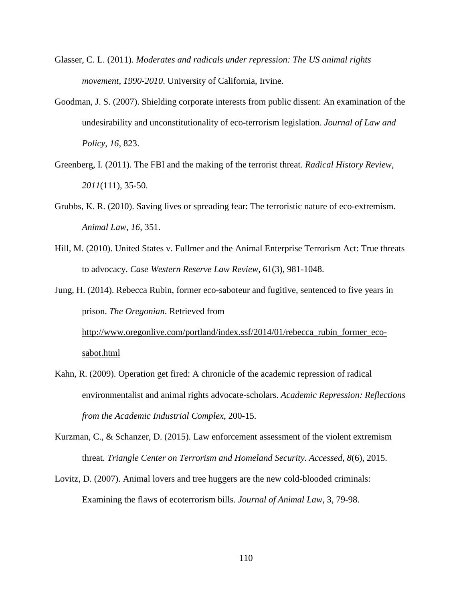- Glasser, C. L. (2011). *Moderates and radicals under repression: The US animal rights movement, 1990-2010*. University of California, Irvine.
- Goodman, J. S. (2007). Shielding corporate interests from public dissent: An examination of the undesirability and unconstitutionality of eco-terrorism legislation. *Journal of Law and Policy*, *16*, 823.
- Greenberg, I. (2011). The FBI and the making of the terrorist threat. *Radical History Review*, *2011*(111), 35-50.
- Grubbs, K. R. (2010). Saving lives or spreading fear: The terroristic nature of eco-extremism. *Animal Law*, *16*, 351.
- Hill, M. (2010). United States v. Fullmer and the Animal Enterprise Terrorism Act: True threats to advocacy. *Case Western Reserve Law Review*, 61(3), 981-1048.

Jung, H. (2014). Rebecca Rubin, former eco-saboteur and fugitive, sentenced to five years in prison. *The Oregonian*. Retrieved from http://www.oregonlive.com/portland/index.ssf/2014/01/rebecca\_rubin\_former\_eco-[sabot.html](http://www.oregonlive.com/portland/index.ssf/2014/01/rebecca_rubin_former_eco-sabot.html)

- Kahn, R. (2009). Operation get fired: A chronicle of the academic repression of radical environmentalist and animal rights advocate-scholars. *Academic Repression: Reflections from the Academic Industrial Complex*, 200-15.
- Kurzman, C., & Schanzer, D. (2015). Law enforcement assessment of the violent extremism threat. *Triangle Center on Terrorism and Homeland Security. Accessed*, *8*(6), 2015.
- Lovitz, D. (2007). Animal lovers and tree huggers are the new cold-blooded criminals: Examining the flaws of ecoterrorism bills. *Journal of Animal Law*, 3, 79-98.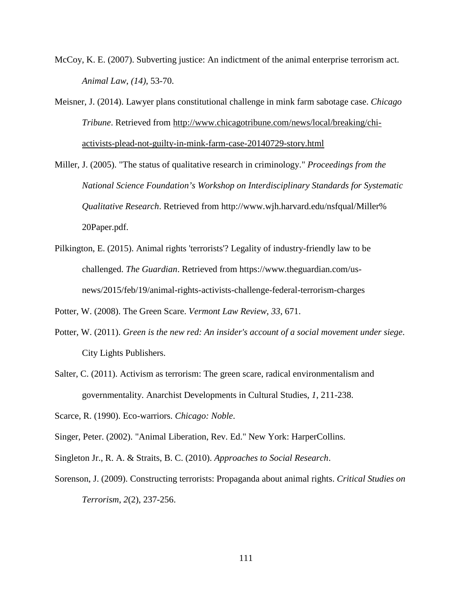- McCoy, K. E. (2007). Subverting justice: An indictment of the animal enterprise terrorism act. *Animal Law*, *(14)*, 53-70.
- Meisner, J. (2014). Lawyer plans constitutional challenge in mink farm sabotage case. *Chicago Tribune*. Retrieved from [http://www.chicagotribune.com/news/local/breaking/chi](http://www.chicagotribune.com/news/local/breaking/chi-activists-plead-not-guilty-in-mink-farm-case-20140729-story.html)[activists-plead-not-guilty-in-mink-farm-case-20140729-story.html](http://www.chicagotribune.com/news/local/breaking/chi-activists-plead-not-guilty-in-mink-farm-case-20140729-story.html)
- Miller, J. (2005). "The status of qualitative research in criminology." *Proceedings from the National Science Foundation's Workshop on Interdisciplinary Standards for Systematic Qualitative Research*. Retrieved from http://www.wjh.harvard.edu/nsfqual/Miller% 20Paper.pdf.
- Pilkington, E. (2015). Animal rights 'terrorists'? Legality of industry-friendly law to be challenged. *The Guardian*. Retrieved from https://www.theguardian.com/usnews/2015/feb/19/animal-rights-activists-challenge-federal-terrorism-charges

Potter, W. (2008). The Green Scare. *Vermont Law Review*, *33*, 671.

- Potter, W. (2011). *Green is the new red: An insider's account of a social movement under siege*. City Lights Publishers.
- Salter, C. (2011). Activism as terrorism: The green scare, radical environmentalism and governmentality. Anarchist Developments in Cultural Studies, *1*, 211-238.

Scarce, R. (1990). Eco-warriors. *Chicago: Noble*.

Singer, Peter. (2002). "Animal Liberation, Rev. Ed." New York: HarperCollins.

Singleton Jr., R. A. & Straits, B. C. (2010). *Approaches to Social Research*.

Sorenson, J. (2009). Constructing terrorists: Propaganda about animal rights. *Critical Studies on Terrorism*, *2*(2), 237-256.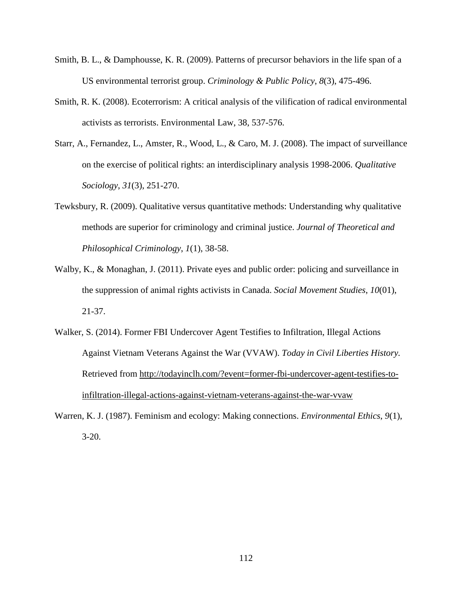- Smith, B. L., & Damphousse, K. R. (2009). Patterns of precursor behaviors in the life span of a US environmental terrorist group. *Criminology & Public Policy*, *8*(3), 475-496.
- Smith, R. K. (2008). Ecoterrorism: A critical analysis of the vilification of radical environmental activists as terrorists. Environmental Law, 38, 537-576.
- Starr, A., Fernandez, L., Amster, R., Wood, L., & Caro, M. J. (2008). The impact of surveillance on the exercise of political rights: an interdisciplinary analysis 1998-2006. *Qualitative Sociology*, *31*(3), 251-270.
- Tewksbury, R. (2009). Qualitative versus quantitative methods: Understanding why qualitative methods are superior for criminology and criminal justice. *Journal of Theoretical and Philosophical Criminology*, *1*(1), 38-58.
- Walby, K., & Monaghan, J. (2011). Private eyes and public order: policing and surveillance in the suppression of animal rights activists in Canada. *Social Movement Studies*, *10*(01), 21-37.
- Walker, S. (2014). Former FBI Undercover Agent Testifies to Infiltration, Illegal Actions Against Vietnam Veterans Against the War (VVAW). *Today in Civil Liberties History.* Retrieved from [http://todayinclh.com/?event=former-fbi-undercover-agent-testifies-to](http://todayinclh.com/?event=former-fbi-undercover-agent-testifies-to-infiltration-illegal-actions-against-vietnam-veterans-against-the-war-vvaw)[infiltration-illegal-actions-against-vietnam-veterans-against-the-war-vvaw](http://todayinclh.com/?event=former-fbi-undercover-agent-testifies-to-infiltration-illegal-actions-against-vietnam-veterans-against-the-war-vvaw)
- Warren, K. J. (1987). Feminism and ecology: Making connections. *Environmental Ethics*, *9*(1), 3-20.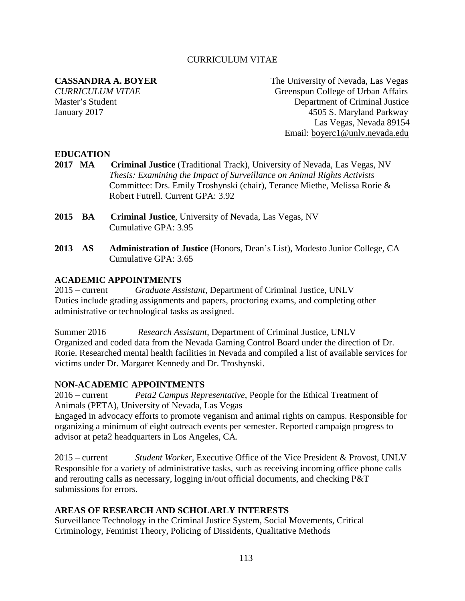### CURRICULUM VITAE

**CASSANDRA A. BOYER** The University of Nevada, Las Vegas *CURRICULUM VITAE* Greenspun College of Urban Affairs Master's Student Department of Criminal Justice January 2017 4505 S. Maryland Parkway Las Vegas, Nevada 89154 Email: [boyerc1@unlv.nevada.edu](mailto:boyerc1@unlv.nevada.edu)

# **EDUCATION**

- **2017 MA Criminal Justice** (Traditional Track), University of Nevada, Las Vegas, NV *Thesis: Examining the Impact of Surveillance on Animal Rights Activists* Committee: Drs. Emily Troshynski (chair), Terance Miethe, Melissa Rorie & Robert Futrell. Current GPA: 3.92
- **2015 BA Criminal Justice**, University of Nevada, Las Vegas, NV Cumulative GPA: 3.95
- **2013 AS Administration of Justice** (Honors, Dean's List), Modesto Junior College, CA Cumulative GPA: 3.65

#### **ACADEMIC APPOINTMENTS**

2015 – current *Graduate Assistant*, Department of Criminal Justice, UNLV Duties include grading assignments and papers, proctoring exams, and completing other administrative or technological tasks as assigned.

Summer 2016 *Research Assistant*, Department of Criminal Justice, UNLV Organized and coded data from the Nevada Gaming Control Board under the direction of Dr. Rorie. Researched mental health facilities in Nevada and compiled a list of available services for victims under Dr. Margaret Kennedy and Dr. Troshynski.

#### **NON-ACADEMIC APPOINTMENTS**

2016 – current *Peta2 Campus Representative*, People for the Ethical Treatment of Animals (PETA), University of Nevada, Las Vegas

Engaged in advocacy efforts to promote veganism and animal rights on campus. Responsible for organizing a minimum of eight outreach events per semester. Reported campaign progress to advisor at peta2 headquarters in Los Angeles, CA.

2015 – current *Student Worker*, Executive Office of the Vice President & Provost, UNLV Responsible for a variety of administrative tasks, such as receiving incoming office phone calls and rerouting calls as necessary, logging in/out official documents, and checking P&T submissions for errors.

# **AREAS OF RESEARCH AND SCHOLARLY INTERESTS**

Surveillance Technology in the Criminal Justice System, Social Movements, Critical Criminology, Feminist Theory, Policing of Dissidents, Qualitative Methods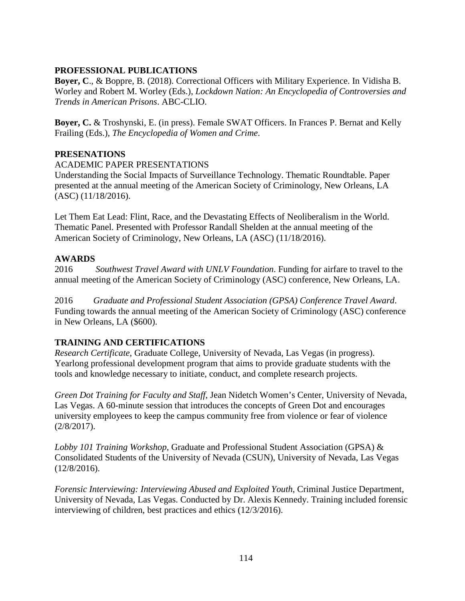# **PROFESSIONAL PUBLICATIONS**

**Boyer, C**., & Boppre, B. (2018). Correctional Officers with Military Experience. In Vidisha B. Worley and Robert M. Worley (Eds.), *Lockdown Nation: An Encyclopedia of Controversies and Trends in American Prisons*. ABC-CLIO.

**Boyer, C.** & Troshynski, E. (in press). Female SWAT Officers. In Frances P. Bernat and Kelly Frailing (Eds.), *The Encyclopedia of Women and Crime*.

# **PRESENATIONS**

# ACADEMIC PAPER PRESENTATIONS

Understanding the Social Impacts of Surveillance Technology. Thematic Roundtable. Paper presented at the annual meeting of the American Society of Criminology, New Orleans, LA (ASC) (11/18/2016).

Let Them Eat Lead: Flint, Race, and the Devastating Effects of Neoliberalism in the World. Thematic Panel. Presented with Professor Randall Shelden at the annual meeting of the American Society of Criminology, New Orleans, LA (ASC) (11/18/2016).

# **AWARDS**

2016 *Southwest Travel Award with UNLV Foundation*. Funding for airfare to travel to the annual meeting of the American Society of Criminology (ASC) conference, New Orleans, LA.

2016 *Graduate and Professional Student Association (GPSA) Conference Travel Award*. Funding towards the annual meeting of the American Society of Criminology (ASC) conference in New Orleans, LA (\$600).

# **TRAINING AND CERTIFICATIONS**

*Research Certificate*, Graduate College, University of Nevada, Las Vegas (in progress). Yearlong professional development program that aims to provide graduate students with the tools and knowledge necessary to initiate, conduct, and complete research projects.

*Green Dot Training for Faculty and Staff*, Jean Nidetch Women's Center, University of Nevada, Las Vegas. A 60-minute session that introduces the concepts of Green Dot and encourages university employees to keep the campus community free from violence or fear of violence (2/8/2017).

*Lobby 101 Training Workshop*, Graduate and Professional Student Association (GPSA) & Consolidated Students of the University of Nevada (CSUN), University of Nevada, Las Vegas (12/8/2016).

*Forensic Interviewing: Interviewing Abused and Exploited Youth*, Criminal Justice Department, University of Nevada, Las Vegas. Conducted by Dr. Alexis Kennedy. Training included forensic interviewing of children, best practices and ethics (12/3/2016).